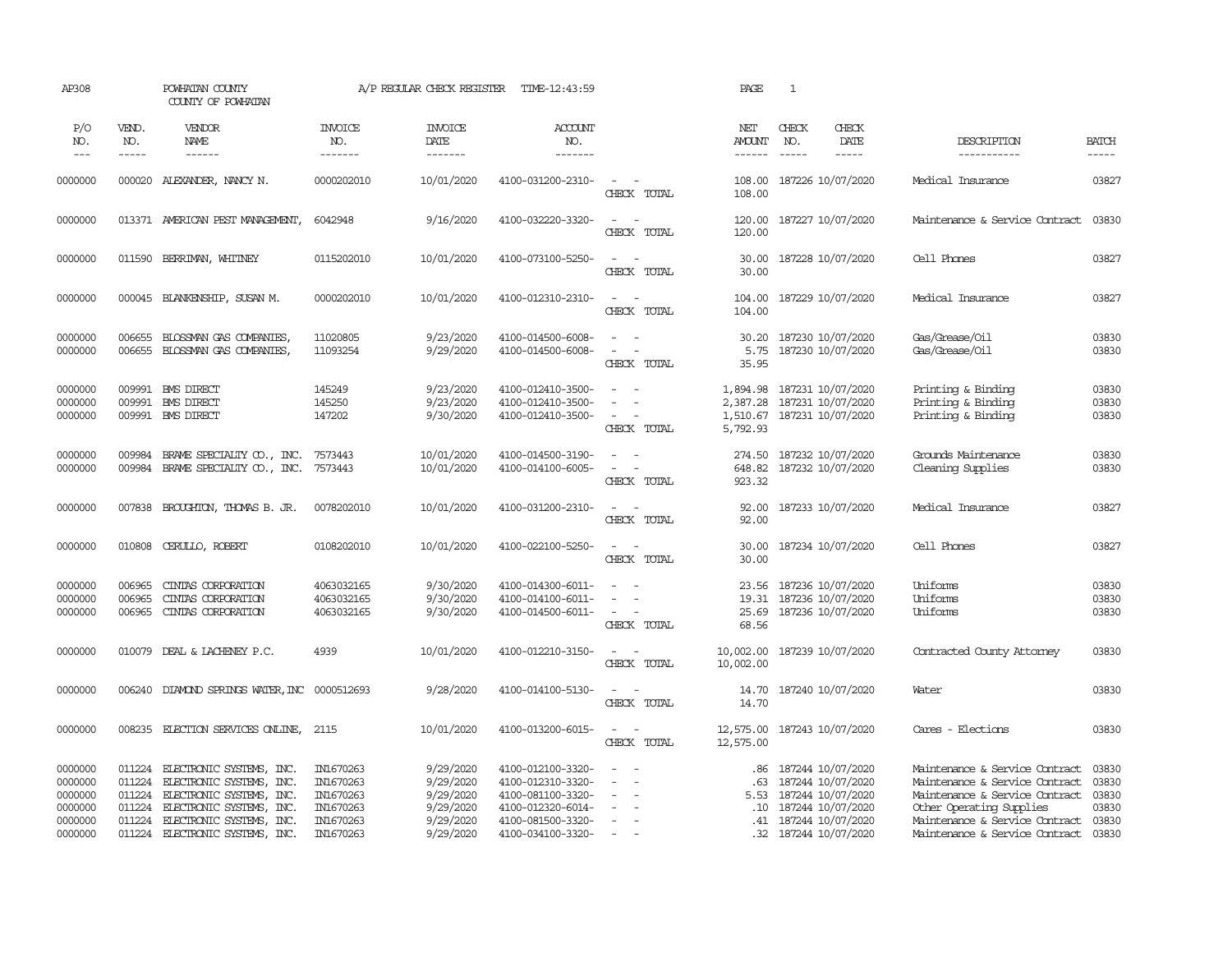| AP308                                                          |                                                          | POWHATAN COUNTY<br>COUNTY OF POWHATAN                                                                                                                                |                                                                            | A/P REGULAR CHECK REGISTER                                                 | TIME-12:43:59                                                                                                              |                                                                                                                                                 | PAGE                                                 | $\mathbf{1}$                                                                                                               |                                |                                                                                                                                                                                                    |                                                    |
|----------------------------------------------------------------|----------------------------------------------------------|----------------------------------------------------------------------------------------------------------------------------------------------------------------------|----------------------------------------------------------------------------|----------------------------------------------------------------------------|----------------------------------------------------------------------------------------------------------------------------|-------------------------------------------------------------------------------------------------------------------------------------------------|------------------------------------------------------|----------------------------------------------------------------------------------------------------------------------------|--------------------------------|----------------------------------------------------------------------------------------------------------------------------------------------------------------------------------------------------|----------------------------------------------------|
| P/O<br>NO.<br>$---$                                            | VEND.<br>NO.<br>$\frac{1}{2}$                            | VENDOR<br>NAME<br>$- - - - - -$                                                                                                                                      | <b>INVOICE</b><br>NO.<br>-------                                           | <b>INVOICE</b><br>DATE<br>--------                                         | ACCOUNT<br>NO.<br>$- - - - - - -$                                                                                          |                                                                                                                                                 | NET<br><b>AMOUNT</b><br>$- - - - - -$                | CHECK<br>NO.<br>$\frac{1}{2}$                                                                                              | CHECK<br>DATE<br>$\frac{1}{2}$ | DESCRIPTION<br>-----------                                                                                                                                                                         | <b>BATCH</b><br>$\frac{1}{2}$                      |
| 0000000                                                        |                                                          | 000020 ALEXANDER, NANCY N.                                                                                                                                           | 0000202010                                                                 | 10/01/2020                                                                 | 4100-031200-2310-                                                                                                          | $\overline{\phantom{a}}$<br>$\sim$ $-$<br>CHECK TOTAL                                                                                           | 108.00                                               | 108.00 187226 10/07/2020                                                                                                   |                                | Medical Insurance                                                                                                                                                                                  | 03827                                              |
| 0000000                                                        |                                                          | 013371 AMERICAN PEST MANAGEMENT,                                                                                                                                     | 6042948                                                                    | 9/16/2020                                                                  | 4100-032220-3320-                                                                                                          | $\sim$ $ \sim$<br>CHECK TOTAL                                                                                                                   | 120.00                                               | 120.00 187227 10/07/2020                                                                                                   |                                | Maintenance & Service Contract                                                                                                                                                                     | 03830                                              |
| 0000000                                                        | 011590                                                   | BERRIMAN, WHITNEY                                                                                                                                                    | 0115202010                                                                 | 10/01/2020                                                                 | 4100-073100-5250-                                                                                                          | $\sim$ $-$<br>$\sim$<br>CHECK TOTAL                                                                                                             | 30.00<br>30.00                                       | 187228 10/07/2020                                                                                                          |                                | Cell Phones                                                                                                                                                                                        | 03827                                              |
| 0000000                                                        |                                                          | 000045 BLANKENSHIP, SUSAN M.                                                                                                                                         | 0000202010                                                                 | 10/01/2020                                                                 | 4100-012310-2310-                                                                                                          | $\sim$ $\sim$<br>CHECK TOTAL                                                                                                                    | 104.00<br>104.00                                     | 187229 10/07/2020                                                                                                          |                                | Medical Insurance                                                                                                                                                                                  | 03827                                              |
| 0000000<br>0000000                                             | 006655<br>006655                                         | BLOSSMAN GAS COMPANIES,<br>BLOSSMAN GAS COMPANIES,                                                                                                                   | 11020805<br>11093254                                                       | 9/23/2020<br>9/29/2020                                                     | 4100-014500-6008-<br>4100-014500-6008-                                                                                     | $\equiv$<br>$\sim$<br>$\blacksquare$<br>$\overline{\phantom{a}}$<br>CHECK TOTAL                                                                 | 30.20<br>5.75<br>35.95                               | 187230 10/07/2020<br>187230 10/07/2020                                                                                     |                                | Gas/Grease/Oil<br>Gas/Grease/Oil                                                                                                                                                                   | 03830<br>03830                                     |
| 0000000<br>0000000<br>0000000                                  | 009991<br>009991<br>009991                               | <b>EMS DIRECT</b><br><b>EMS DIRECT</b><br><b>EMS DIRECT</b>                                                                                                          | 145249<br>145250<br>147202                                                 | 9/23/2020<br>9/23/2020<br>9/30/2020                                        | 4100-012410-3500-<br>4100-012410-3500-<br>4100-012410-3500-                                                                | $\sim$<br>$\sim$<br>$\sim$<br>$\sim$<br>$\sim$<br>CHECK TOTAL                                                                                   | 1,894.98<br>2,387.28<br>1,510.67<br>5,792.93         | 187231 10/07/2020<br>187231 10/07/2020<br>187231 10/07/2020                                                                |                                | Printing & Binding<br>Printing & Binding<br>Printing & Binding                                                                                                                                     | 03830<br>03830<br>03830                            |
| 0000000<br>0000000                                             | 009984<br>009984                                         | BRAME SPECIALITY CO., INC.<br>BRAME SPECIALITY CO., INC.                                                                                                             | 7573443<br>7573443                                                         | 10/01/2020<br>10/01/2020                                                   | 4100-014500-3190-<br>4100-014100-6005-                                                                                     | $\sim$<br>$\sim$<br>$\sim$ $-$<br>$\sim$<br>CHECK TOTAL                                                                                         | 274.50<br>923.32                                     | 187232 10/07/2020<br>648.82 187232 10/07/2020                                                                              |                                | Grounds Maintenance<br>Cleaning Supplies                                                                                                                                                           | 03830<br>03830                                     |
| 0000000                                                        | 007838                                                   | BROUGHION, THOMAS B. JR.                                                                                                                                             | 0078202010                                                                 | 10/01/2020                                                                 | 4100-031200-2310-                                                                                                          | $\equiv$<br>$\overline{\phantom{a}}$<br>CHECK TOTAL                                                                                             | 92.00<br>92.00                                       | 187233 10/07/2020                                                                                                          |                                | Medical Insurance                                                                                                                                                                                  | 03827                                              |
| 0000000                                                        | 010808                                                   | CERULLO, ROBERT                                                                                                                                                      | 0108202010                                                                 | 10/01/2020                                                                 | 4100-022100-5250-                                                                                                          | $\sim$<br>$\sim$<br>CHECK TOTAL                                                                                                                 | 30.00<br>30.00                                       | 187234 10/07/2020                                                                                                          |                                | Cell Phones                                                                                                                                                                                        | 03827                                              |
| 0000000<br>0000000<br>0000000                                  | 006965<br>006965<br>006965                               | CINIAS CORPORATION<br>CINIAS CORPORATION<br>CINIAS CORPORATION                                                                                                       | 4063032165<br>4063032165<br>4063032165                                     | 9/30/2020<br>9/30/2020<br>9/30/2020                                        | 4100-014300-6011-<br>4100-014100-6011-<br>4100-014500-6011-                                                                | $\sim$<br>$\sim$<br>$\frac{1}{2} \left( \frac{1}{2} \right) \left( \frac{1}{2} \right) = \frac{1}{2} \left( \frac{1}{2} \right)$<br>CHECK TOTAL | 19.31<br>68.56                                       | 23.56 187236 10/07/2020<br>187236 10/07/2020<br>25.69 187236 10/07/2020                                                    |                                | Uniforms<br>Uniforms<br>Uniforms                                                                                                                                                                   | 03830<br>03830<br>03830                            |
| 0000000                                                        | 010079                                                   | DEAL & LACHENEY P.C.                                                                                                                                                 | 4939                                                                       | 10/01/2020                                                                 | 4100-012210-3150-                                                                                                          | $\sim$<br>$\sim$<br>CHECK TOTAL                                                                                                                 | 10,002.00<br>10,002.00                               | 187239 10/07/2020                                                                                                          |                                | Contracted County Attorney                                                                                                                                                                         | 03830                                              |
| 0000000                                                        | 006240                                                   | DIAMOND SPRINGS WATER, INC                                                                                                                                           | 0000512693                                                                 | 9/28/2020                                                                  | 4100-014100-5130-                                                                                                          | $\overline{\phantom{a}}$<br>CHECK TOTAL                                                                                                         | 14.70<br>14.70                                       | 187240 10/07/2020                                                                                                          |                                | Water                                                                                                                                                                                              | 03830                                              |
| 0000000                                                        | 008235                                                   | ELECTION SERVICES ONLINE,                                                                                                                                            | 2115                                                                       | 10/01/2020                                                                 | 4100-013200-6015-                                                                                                          | $\overline{\phantom{a}}$<br>$\overline{\phantom{a}}$<br>CHECK TOTAL                                                                             | 12,575.00<br>12,575.00                               | 187243 10/07/2020                                                                                                          |                                | Cares - Elections                                                                                                                                                                                  | 03830                                              |
| 0000000<br>0000000<br>0000000<br>0000000<br>0000000<br>0000000 | 011224<br>011224<br>011224<br>011224<br>011224<br>011224 | ELECTRONIC SYSTEMS, INC.<br>ELECTRONIC SYSTEMS, INC.<br>ELECTRONIC SYSTEMS, INC.<br>ELECTRONIC SYSTEMS, INC.<br>ELECTRONIC SYSTEMS, INC.<br>ELECTRONIC SYSTEMS, INC. | IN1670263<br>IN1670263<br>IN1670263<br>IN1670263<br>IN1670263<br>IN1670263 | 9/29/2020<br>9/29/2020<br>9/29/2020<br>9/29/2020<br>9/29/2020<br>9/29/2020 | 4100-012100-3320-<br>4100-012310-3320-<br>4100-081100-3320-<br>4100-012320-6014-<br>4100-081500-3320-<br>4100-034100-3320- | $\sim$<br>$\sim$<br>$\sim$<br>$\sim$<br>$\sim$<br>$\overline{\phantom{a}}$                                                                      | .86<br>.63<br>5.53<br>.10<br>.41<br>.32 <sub>0</sub> | 187244 10/07/2020<br>187244 10/07/2020<br>187244 10/07/2020<br>187244 10/07/2020<br>187244 10/07/2020<br>187244 10/07/2020 |                                | Maintenance & Service Contract<br>Maintenance & Service Contract<br>Maintenance & Service Contract<br>Other Operating Supplies<br>Maintenance & Service Contract<br>Maintenance & Service Contract | 03830<br>03830<br>03830<br>03830<br>03830<br>03830 |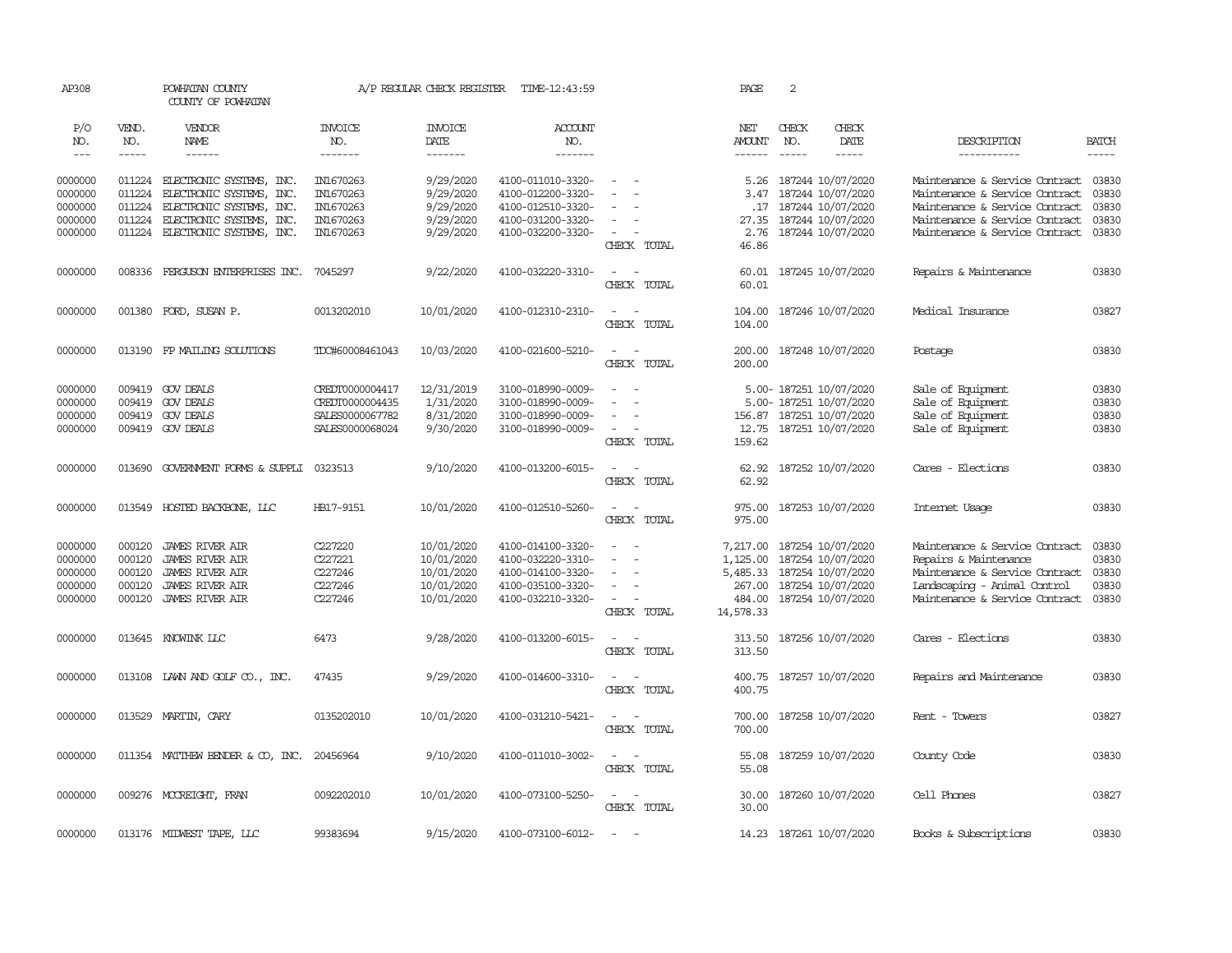| AP308   |             | POWHATAN COUNTY<br>COUNTY OF POWHATAN     |                 | A/P REGULAR CHECK REGISTER | TIME-12:43:59     |                                      | PAGE                       | 2             |                            |                                      |              |
|---------|-------------|-------------------------------------------|-----------------|----------------------------|-------------------|--------------------------------------|----------------------------|---------------|----------------------------|--------------------------------------|--------------|
| P/O     | VEND.       | VENDOR                                    | <b>INVOICE</b>  | <b>INVOICE</b>             | ACCOUNT           |                                      | NET                        | CHECK         | CHECK                      |                                      |              |
| NO.     | NO.         | NAME                                      | NO.             | DATE                       | NO.               |                                      | AMOUNT                     | NO.           | DATE                       | DESCRIPTION                          | <b>BATCH</b> |
| $---$   | $- - - - -$ | $- - - - - -$                             | -------         | $- - - - - - -$            | $- - - - - - -$   |                                      | $- - - - - -$              | $\frac{1}{2}$ | $- - - - -$                | -----------                          | $- - - - -$  |
|         |             |                                           |                 |                            |                   |                                      |                            |               |                            |                                      |              |
| 0000000 |             | 011224 ELECTRONIC SYSTEMS, INC.           | IN1670263       | 9/29/2020                  | 4100-011010-3320- | $\sim$                               | 5.26                       |               | 187244 10/07/2020          | Maintenance & Service Contract 03830 |              |
| 0000000 | 011224      | ELECTRONIC SYSTEMS, INC.                  | IN1670263       | 9/29/2020                  | 4100-012200-3320- |                                      | 3.47                       |               | 187244 10/07/2020          | Maintenance & Service Contract       | 03830        |
| 0000000 | 011224      | ELECTRONIC SYSTEMS, INC.                  | IN1670263       | 9/29/2020                  | 4100-012510-3320- |                                      | .17                        |               | 187244 10/07/2020          | Maintenance & Service Contract       | 03830        |
| 0000000 | 011224      | ELECTRONIC SYSTEMS, INC.                  | IN1670263       | 9/29/2020                  | 4100-031200-3320- | $\sim$                               | 27.35                      |               | 187244 10/07/2020          | Maintenance & Service Contract       | 03830        |
| 0000000 | 011224      | ELECTRONIC SYSTEMS, INC.                  | IN1670263       | 9/29/2020                  | 4100-032200-3320- | $\sim$                               | 2.76                       |               | 187244 10/07/2020          | Maintenance & Service Contract       | 03830        |
|         |             |                                           |                 |                            |                   | CHECK TOTAL                          | 46.86                      |               |                            |                                      |              |
| 0000000 |             | 008336 FERGUSON ENTERPRISES INC.          | 7045297         |                            | 4100-032220-3310- | $\sim$<br>$\sim$                     |                            |               | 187245 10/07/2020          |                                      | 03830        |
|         |             |                                           |                 | 9/22/2020                  |                   |                                      | 60.01                      |               |                            | Repairs & Maintenance                |              |
|         |             |                                           |                 |                            |                   | CHECK TOTAL                          | 60.01                      |               |                            |                                      |              |
| 0000000 |             | 001380 FORD, SUSAN P.                     | 0013202010      | 10/01/2020                 | 4100-012310-2310- | $\sim$<br>$\sim$                     | 104.00                     |               | 187246 10/07/2020          | Medical Insurance                    | 03827        |
|         |             |                                           |                 |                            |                   | CHECK TOTAL                          | 104.00                     |               |                            |                                      |              |
| 0000000 |             | 013190 FP MAILING SOLUTIONS               | TDC#60008461043 | 10/03/2020                 | 4100-021600-5210- | $\equiv$<br>$\sim$                   | 200.00                     |               | 187248 10/07/2020          | Postage                              | 03830        |
|         |             |                                           |                 |                            |                   | CHECK TOTAL                          | 200.00                     |               |                            |                                      |              |
| 0000000 |             | 009419 GOV DEALS                          | CREDT0000004417 | 12/31/2019                 | 3100-018990-0009- | $\sim$                               |                            |               | 5.00- 187251 10/07/2020    | Sale of Equipment                    | 03830        |
| 0000000 |             | 009419 GOV DEALS                          | CREDT0000004435 | 1/31/2020                  | 3100-018990-0009- | $\equiv$<br>$\overline{\phantom{a}}$ |                            |               | 5.00- 187251 10/07/2020    | Sale of Equipment                    | 03830        |
| 0000000 |             | 009419 GOV DEALS                          | SALES0000067782 | 8/31/2020                  | 3100-018990-0009- |                                      |                            |               | 156.87 187251 10/07/2020   | Sale of Equipment                    | 03830        |
| 0000000 |             | 009419 GOV DEALS                          | SALES0000068024 | 9/30/2020                  | 3100-018990-0009- |                                      |                            |               | 12.75 187251 10/07/2020    | Sale of Equipment                    | 03830        |
|         |             |                                           |                 |                            |                   | CHECK TOTAL                          | 159.62                     |               |                            |                                      |              |
| 0000000 | 013690      | GOVERNMENT FORMS & SUPPLI                 | 0323513         | 9/10/2020                  | 4100-013200-6015- | $\sim$<br>$\sim$                     | 62.92                      |               | 187252 10/07/2020          | Cares - Elections                    | 03830        |
|         |             |                                           |                 |                            |                   | CHECK TOTAL                          | 62.92                      |               |                            |                                      |              |
| 0000000 |             | 013549 HOSTED BACKBONE, LLC               | HB17-9151       | 10/01/2020                 | 4100-012510-5260- | $\overline{\phantom{a}}$             | 975.00                     |               | 187253 10/07/2020          | Internet Usage                       | 03830        |
|         |             |                                           |                 |                            |                   | CHECK TOTAL                          | 975.00                     |               |                            |                                      |              |
| 0000000 | 000120      | JAMES RIVER AIR                           | C227220         | 10/01/2020                 | 4100-014100-3320- | $\sim$<br>- 11                       | 7,217.00                   |               | 187254 10/07/2020          | Maintenance & Service Contract       | 03830        |
| 0000000 | 000120      | <b>JAMES RIVER AIR</b>                    | C227221         | 10/01/2020                 | 4100-032220-3310- |                                      | 1,125.00 187254 10/07/2020 |               |                            | Repairs & Maintenance                | 03830        |
| 0000000 | 000120      | <b>JAMES RIVER AIR</b>                    | C227246         | 10/01/2020                 | 4100-014100-3320- | $\sim$                               |                            |               | 5,485.33 187254 10/07/2020 | Maintenance & Service Contract       | 03830        |
| 0000000 | 000120      | <b>JAMES RIVER AIR</b>                    | C227246         | 10/01/2020                 | 4100-035100-3320- | $\equiv$                             | 267.00                     |               | 187254 10/07/2020          | Landscaping - Animal Control         | 03830        |
| 0000000 | 000120      | <b>JAMES RIVER AIR</b>                    | C227246         | 10/01/2020                 | 4100-032210-3320- | $\sim$<br>$\sim$                     | 484.00                     |               | 187254 10/07/2020          | Maintenance & Service Contract       | 03830        |
|         |             |                                           |                 |                            |                   | CHECK TOTAL                          | 14,578.33                  |               |                            |                                      |              |
| 0000000 |             | 013645 KNOWINK LLC                        | 6473            | 9/28/2020                  | 4100-013200-6015- | $\sim$<br>$\sim$                     | 313.50                     |               | 187256 10/07/2020          | Cares - Elections                    | 03830        |
|         |             |                                           |                 |                            |                   | CHECK TOTAL                          | 313.50                     |               |                            |                                      |              |
| 0000000 |             | $013108$ LAWN AND GOLF CO., INC.          | 47435           | 9/29/2020                  | 4100-014600-3310- | $\sim$<br>$\sim$                     | 400.75                     |               | 187257 10/07/2020          | Repairs and Maintenance              | 03830        |
|         |             |                                           |                 |                            |                   | CHECK TOTAL                          | 400.75                     |               |                            |                                      |              |
| 0000000 |             | 013529 MARTIN, CARY                       | 0135202010      | 10/01/2020                 | 4100-031210-5421- | $\sim$ $ \sim$                       |                            |               | 187258 10/07/2020          | Rent - Towers                        | 03827        |
|         |             |                                           |                 |                            |                   | CHECK TOTAL                          | 700.00<br>700.00           |               |                            |                                      |              |
|         |             |                                           |                 |                            |                   |                                      |                            |               |                            |                                      |              |
| 0000000 |             | 011354 MATTHEW BENDER & CO, INC. 20456964 |                 | 9/10/2020                  | 4100-011010-3002- | $\sim$<br>$\sim$<br>CHECK TOTAL      | 55.08<br>55.08             |               | 187259 10/07/2020          | County Code                          | 03830        |
|         |             |                                           |                 |                            |                   |                                      |                            |               |                            |                                      |              |
| 0000000 |             | 009276 MCCREIGHT, FRAN                    | 0092202010      | 10/01/2020                 | 4100-073100-5250- | $\sim$ $ -$<br>CHECK TOTAL           | 30.00<br>30.00             |               | 187260 10/07/2020          | Cell Phones                          | 03827        |
|         |             |                                           |                 |                            |                   |                                      |                            |               |                            |                                      |              |
| 0000000 |             | 013176 MIDWEST TAPE, LLC                  | 99383694        | 9/15/2020                  | 4100-073100-6012- | $\sim$                               |                            |               | 14.23 187261 10/07/2020    | Books & Subscriptions                | 03830        |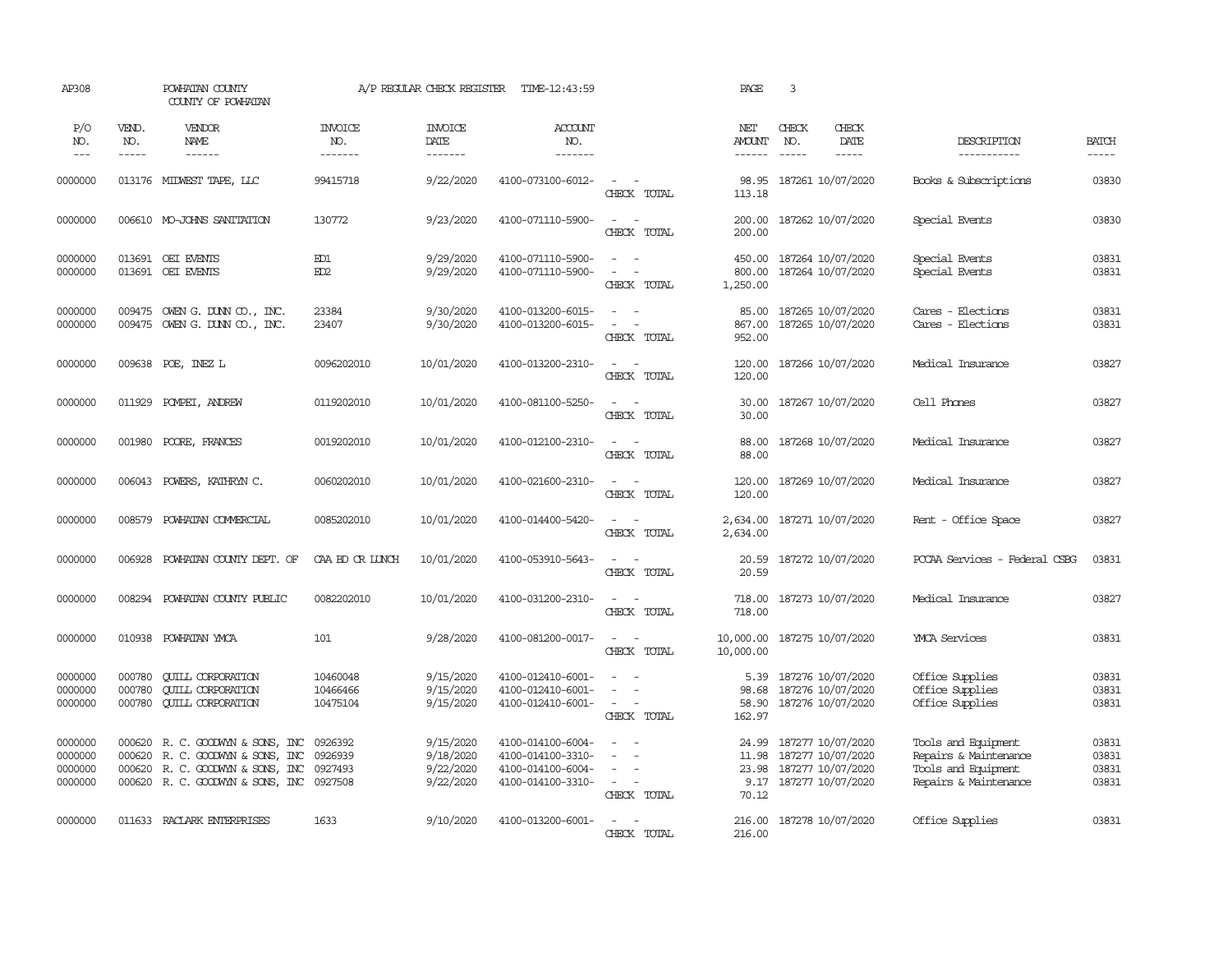| AP308                                    |                            | POWHATAN COUNTY<br>COUNTY OF POWHATAN                                                                                                                 |                                  | A/P REGULAR CHECK REGISTER                       | TIME-12:43:59                                                                    |                                                                                         | PAGE                             | $\overline{3}$                                                                        |                        |                                                                                              |                                  |
|------------------------------------------|----------------------------|-------------------------------------------------------------------------------------------------------------------------------------------------------|----------------------------------|--------------------------------------------------|----------------------------------------------------------------------------------|-----------------------------------------------------------------------------------------|----------------------------------|---------------------------------------------------------------------------------------|------------------------|----------------------------------------------------------------------------------------------|----------------------------------|
| P/O<br>NO.<br>$---$                      | VEND.<br>NO.<br>-----      | <b>VENDOR</b><br>NAME<br>$- - - - - -$                                                                                                                | <b>INVOICE</b><br>NO.<br>------- | <b>INVOICE</b><br>DATE<br>-------                | <b>ACCOUNT</b><br>NO.<br>-------                                                 |                                                                                         | NET<br>AMOUNT                    | CHECK<br>NO.                                                                          | CHECK<br>DATE<br>----- | DESCRIPTION<br>-----------                                                                   | <b>BATCH</b><br>-----            |
| 0000000                                  |                            | 013176 MIDWEST TAPE, LLC                                                                                                                              | 99415718                         | 9/22/2020                                        | 4100-073100-6012-                                                                | $\sim$<br>$\sim$<br>CHECK TOTAL                                                         | 98.95<br>113.18                  | 187261 10/07/2020                                                                     |                        | Books & Subscriptions                                                                        | 03830                            |
| 0000000                                  |                            | 006610 MO-JOHNS SANITATION                                                                                                                            | 130772                           | 9/23/2020                                        | 4100-071110-5900-                                                                | $\sim$ $-$<br>$\overline{\phantom{a}}$<br>CHECK TOTAL                                   | 200.00<br>200.00                 | 187262 10/07/2020                                                                     |                        | Special Events                                                                               | 03830                            |
| 0000000<br>0000000                       |                            | 013691 OEI EVENTS<br>013691 OEI EVENTS                                                                                                                | ED1<br>ED <sub>2</sub>           | 9/29/2020<br>9/29/2020                           | 4100-071110-5900-<br>4100-071110-5900-                                           | $\sim$ $ \sim$<br>$\overline{\phantom{a}}$<br>$\sim$<br>CHECK TOTAL                     | 450.00<br>800.00<br>1,250.00     | 187264 10/07/2020<br>187264 10/07/2020                                                |                        | Special Events<br>Special Events                                                             | 03831<br>03831                   |
| 0000000<br>0000000                       | 009475                     | 009475 OWEN G. DUNN CO., INC.<br>OWENG. DUNN CO., INC.                                                                                                | 23384<br>23407                   | 9/30/2020<br>9/30/2020                           | 4100-013200-6015-<br>4100-013200-6015-                                           | $\sim$<br>$\sim$<br>$\sim$<br>CHECK TOTAL                                               | 85.00<br>867.00<br>952.00        | 187265 10/07/2020<br>187265 10/07/2020                                                |                        | Cares - Elections<br>Cares - Elections                                                       | 03831<br>03831                   |
| 0000000                                  | 009638                     | POE, INEZ L                                                                                                                                           | 0096202010                       | 10/01/2020                                       | 4100-013200-2310-                                                                | $\sim$<br>$\sim$<br>CHECK TOTAL                                                         | 120.00<br>120.00                 | 187266 10/07/2020                                                                     |                        | Medical Insurance                                                                            | 03827                            |
| 0000000                                  | 011929                     | POMPEI, ANDREW                                                                                                                                        | 0119202010                       | 10/01/2020                                       | 4100-081100-5250-                                                                | $\sim$<br>$\sim$<br>CHECK TOTAL                                                         | 30.00<br>30.00                   | 187267 10/07/2020                                                                     |                        | Cell Phones                                                                                  | 03827                            |
| 0000000                                  | 001980                     | POORE, FRANCES                                                                                                                                        | 0019202010                       | 10/01/2020                                       | 4100-012100-2310-                                                                | $\sim$<br>$\sim$<br>CHECK TOTAL                                                         | 88.00<br>88.00                   | 187268 10/07/2020                                                                     |                        | Medical Insurance                                                                            | 03827                            |
| 0000000                                  |                            | 006043 POWERS, KATHRYN C.                                                                                                                             | 0060202010                       | 10/01/2020                                       | 4100-021600-2310-                                                                | $\sim$ $\sim$<br>CHECK TOTAL                                                            | 120.00<br>120.00                 | 187269 10/07/2020                                                                     |                        | Medical Insurance                                                                            | 03827                            |
| 0000000                                  | 008579                     | POWHATAN COMMERCIAL                                                                                                                                   | 0085202010                       | 10/01/2020                                       | 4100-014400-5420-                                                                | $\sim$<br>$\sim$ $-$<br>CHECK TOTAL                                                     | 2,634.00<br>2,634.00             | 187271 10/07/2020                                                                     |                        | Rent - Office Space                                                                          | 03827                            |
| 0000000                                  | 006928                     | POWHATAN COUNTY DEPT. OF                                                                                                                              | CAA BD CR LUNCH                  | 10/01/2020                                       | 4100-053910-5643-                                                                | $\sim$ $ \sim$<br>CHECK TOTAL                                                           | 20.59<br>20.59                   | 187272 10/07/2020                                                                     |                        | PCCAA Services - Federal CSBG                                                                | 03831                            |
| 0000000                                  | 008294                     | POWHATAN COUNTY PUBLIC                                                                                                                                | 0082202010                       | 10/01/2020                                       | 4100-031200-2310-                                                                | $\sim$<br>$\sim$<br>CHECK TOTAL                                                         | 718.00<br>718.00                 | 187273 10/07/2020                                                                     |                        | Medical Insurance                                                                            | 03827                            |
| 0000000                                  |                            | 010938 POWHATAN YMCA                                                                                                                                  | 101                              | 9/28/2020                                        | 4100-081200-0017-                                                                | $\sim$ $\sim$<br>CHECK TOTAL                                                            | 10,000.00<br>10,000.00           | 187275 10/07/2020                                                                     |                        | <b>YMCA</b> Services                                                                         | 03831                            |
| 0000000<br>0000000<br>0000000            | 000780<br>000780<br>000780 | <b>CUILL CORPORATION</b><br><b>QUILL CORPORATION</b><br><b>CUILL CORPORATION</b>                                                                      | 10460048<br>10466466<br>10475104 | 9/15/2020<br>9/15/2020<br>9/15/2020              | 4100-012410-6001-<br>4100-012410-6001-<br>4100-012410-6001-                      | $\sim$ $ -$<br>CHECK TOTAL                                                              | 5.39<br>98.68<br>162.97          | 187276 10/07/2020<br>187276 10/07/2020<br>58.90 187276 10/07/2020                     |                        | Office Supplies<br>Office Supplies<br>Office Supplies                                        | 03831<br>03831<br>03831          |
| 0000000<br>0000000<br>0000000<br>0000000 | 000620                     | 000620 R. C. GOODWIN & SONS, INC<br>R. C. GOODWIN & SONS, INC<br>000620 R. C. GOODWYN & SONS, INC 0927493<br>000620 R. C. GOODWYN & SONS, INC 0927508 | 0926392<br>0926939               | 9/15/2020<br>9/18/2020<br>9/22/2020<br>9/22/2020 | 4100-014100-6004-<br>4100-014100-3310-<br>4100-014100-6004-<br>4100-014100-3310- | $\equiv$<br>$\sim$<br>$\blacksquare$<br>$\sim$<br>$\sim$<br>$\sim$ $  -$<br>CHECK TOTAL | 24.99<br>11.98<br>23.98<br>70.12 | 187277 10/07/2020<br>187277 10/07/2020<br>187277 10/07/2020<br>9.17 187277 10/07/2020 |                        | Tools and Equipment<br>Repairs & Maintenance<br>Tools and Equipment<br>Repairs & Maintenance | 03831<br>03831<br>03831<br>03831 |
| 0000000                                  |                            | 011633 RACLARK ENTERPRISES                                                                                                                            | 1633                             | 9/10/2020                                        | 4100-013200-6001-                                                                | $\overline{\phantom{a}}$<br>$\sim$<br>CHECK TOTAL                                       | 216.00<br>216.00                 | 187278 10/07/2020                                                                     |                        | Office Supplies                                                                              | 03831                            |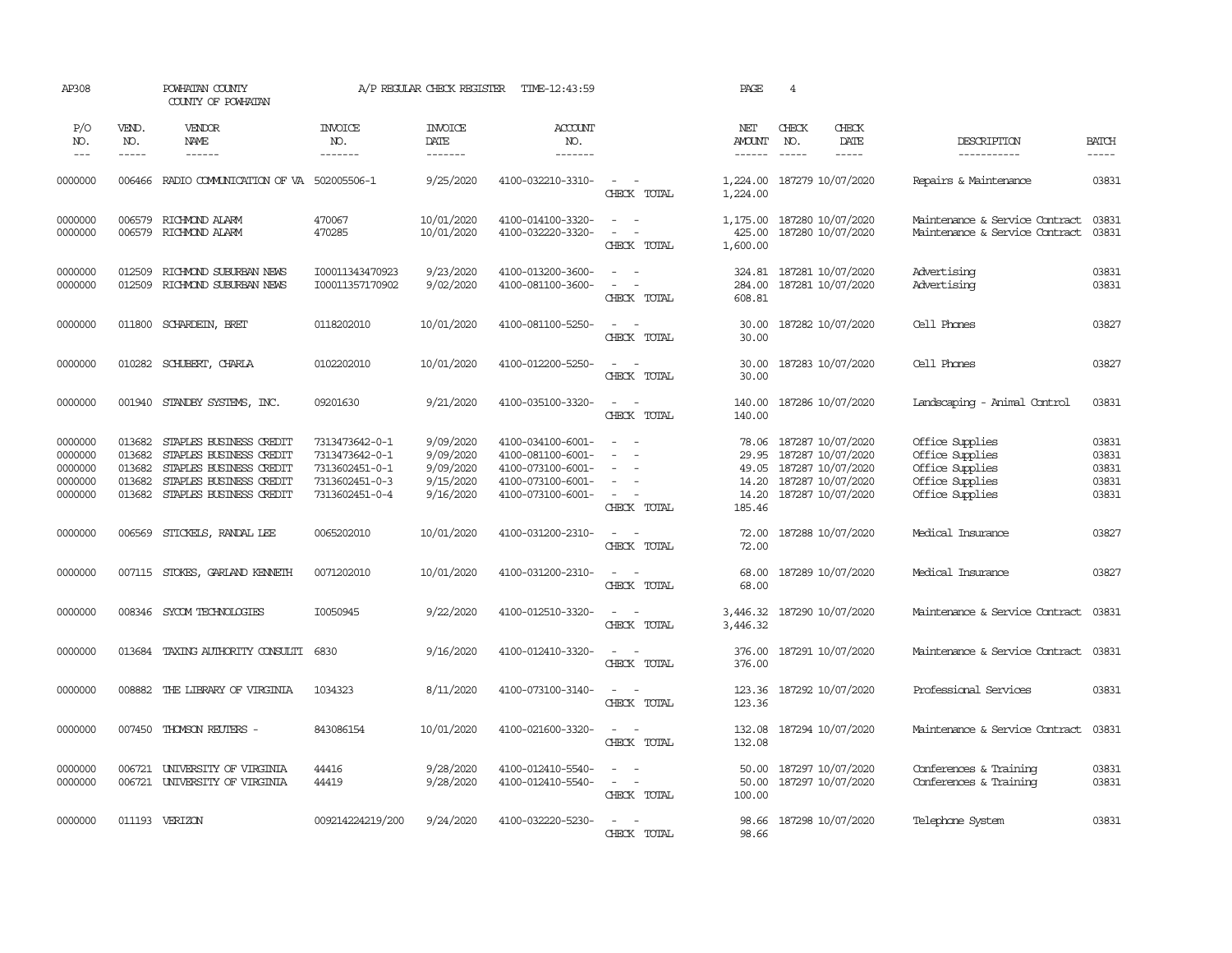| AP308                                               |                                                | POWHATAN COUNTY<br>COUNTY OF POWHATAN                                                                                               |                                                                                        | A/P REGULAR CHECK REGISTER                                    | TIME-12:43:59                                                                                         |                                                                                                                             | PAGE                                                | $\overline{4}$                |                                                                                                       |                                                                                             |                                           |
|-----------------------------------------------------|------------------------------------------------|-------------------------------------------------------------------------------------------------------------------------------------|----------------------------------------------------------------------------------------|---------------------------------------------------------------|-------------------------------------------------------------------------------------------------------|-----------------------------------------------------------------------------------------------------------------------------|-----------------------------------------------------|-------------------------------|-------------------------------------------------------------------------------------------------------|---------------------------------------------------------------------------------------------|-------------------------------------------|
| P/O<br>NO.<br>$---$                                 | VEND.<br>NO.<br>$- - - - -$                    | VENDOR<br>NAME<br>------                                                                                                            | <b>INVOICE</b><br>NO.<br>-------                                                       | <b>INVOICE</b><br>DATE<br>-------                             | <b>ACCOUNT</b><br>NO.<br>-------                                                                      |                                                                                                                             | NET<br><b>AMOUNT</b><br>$- - - - - -$               | CHECK<br>NO.<br>$\frac{1}{2}$ | CHECK<br>DATE<br>$- - - - -$                                                                          | DESCRIPTION<br>-----------                                                                  | <b>BATCH</b><br>$- - - - -$               |
| 0000000                                             | 006466                                         | RADIO COMMUNICATION OF VA 502005506-1                                                                                               |                                                                                        | 9/25/2020                                                     | 4100-032210-3310-                                                                                     | $\sim$ 100 $\sim$<br>CHECK TOTAL                                                                                            | 1,224.00                                            |                               | 1,224.00 187279 10/07/2020                                                                            | Repairs & Maintenance                                                                       | 03831                                     |
| 0000000<br>0000000                                  | 006579<br>006579                               | RICHMOND ALARM<br>RICHMOND ALARM                                                                                                    | 470067<br>470285                                                                       | 10/01/2020<br>10/01/2020                                      | 4100-014100-3320-<br>4100-032220-3320-                                                                | $\sim$<br>$\sim$<br>$\sim$<br>CHECK TOTAL                                                                                   | 1,175.00<br>425.00<br>1,600.00                      |                               | 187280 10/07/2020<br>187280 10/07/2020                                                                | Maintenance & Service Contract<br>Maintenance & Service Contract                            | 03831<br>03831                            |
| 0000000<br>0000000                                  | 012509<br>012509                               | RICHMOND SUBURBAN NEWS<br>RICHMOND SUBURBAN NEWS                                                                                    | I00011343470923<br>I00011357170902                                                     | 9/23/2020<br>9/02/2020                                        | 4100-013200-3600-<br>4100-081100-3600-                                                                | $\sim$<br>$\sim$<br>$\sim$<br>$\sim$<br>CHECK TOTAL                                                                         | 324.81<br>284.00<br>608.81                          |                               | 187281 10/07/2020<br>187281 10/07/2020                                                                | Advertising<br>Advertising                                                                  | 03831<br>03831                            |
| 0000000                                             | 011800                                         | SCHARDEIN, BRET                                                                                                                     | 0118202010                                                                             | 10/01/2020                                                    | 4100-081100-5250-                                                                                     | $\sim$<br>$\sim$<br>CHECK TOTAL                                                                                             | 30.00<br>30.00                                      |                               | 187282 10/07/2020                                                                                     | Cell Phones                                                                                 | 03827                                     |
| 0000000                                             |                                                | 010282 SCHUBERT, CHARLA                                                                                                             | 0102202010                                                                             | 10/01/2020                                                    | 4100-012200-5250-                                                                                     | $\sim$<br>$\sim$<br>CHECK TOTAL                                                                                             | 30.00<br>30.00                                      |                               | 187283 10/07/2020                                                                                     | Cell Phones                                                                                 | 03827                                     |
| 0000000                                             | 001940                                         | STANDBY SYSTEMS, INC.                                                                                                               | 09201630                                                                               | 9/21/2020                                                     | 4100-035100-3320-                                                                                     | $\sim$<br>$\sim$<br>CHECK TOTAL                                                                                             | 140.00<br>140.00                                    |                               | 187286 10/07/2020                                                                                     | Landscaping - Animal Control                                                                | 03831                                     |
| 0000000<br>0000000<br>0000000<br>0000000<br>0000000 | 013682<br>013682<br>013682<br>013682<br>013682 | STAPLES BUSINESS CREDIT<br>STAPLES BUSINESS CREDIT<br>STAPLES BUSINESS CREDIT<br>STAPLES BUSINESS CREDIT<br>STAPLES BUSINESS CREDIT | 7313473642-0-1<br>7313473642-0-1<br>7313602451-0-1<br>7313602451-0-3<br>7313602451-0-4 | 9/09/2020<br>9/09/2020<br>9/09/2020<br>9/15/2020<br>9/16/2020 | 4100-034100-6001-<br>4100-081100-6001-<br>4100-073100-6001-<br>4100-073100-6001-<br>4100-073100-6001- | $\sim$<br>$\sim$<br>$\sim$<br>$\sim$<br>$\equiv$<br>$\overline{\phantom{a}}$<br>$\sim$<br>CHECK TOTAL                       | 78.06<br>29.95<br>49.05<br>14.20<br>14.20<br>185.46 |                               | 187287 10/07/2020<br>187287 10/07/2020<br>187287 10/07/2020<br>187287 10/07/2020<br>187287 10/07/2020 | Office Supplies<br>Office Supplies<br>Office Supplies<br>Office Supplies<br>Office Supplies | 03831<br>03831<br>03831<br>03831<br>03831 |
| 0000000                                             | 006569                                         | STICKELS, RANDAL LEE                                                                                                                | 0065202010                                                                             | 10/01/2020                                                    | 4100-031200-2310-                                                                                     | $\sim$ $\sim$<br>CHECK TOTAL                                                                                                | 72.00<br>72.00                                      |                               | 187288 10/07/2020                                                                                     | Medical Insurance                                                                           | 03827                                     |
| 0000000                                             | 007115                                         | STOKES, GARLAND KENNETH                                                                                                             | 0071202010                                                                             | 10/01/2020                                                    | 4100-031200-2310-                                                                                     | $\frac{1}{2} \left( \frac{1}{2} \right) \left( \frac{1}{2} \right) = \frac{1}{2} \left( \frac{1}{2} \right)$<br>CHECK TOTAL | 68.00<br>68.00                                      |                               | 187289 10/07/2020                                                                                     | Medical Insurance                                                                           | 03827                                     |
| 0000000                                             | 008346                                         | SYCOM TECHNOLOGIES                                                                                                                  | I0050945                                                                               | 9/22/2020                                                     | 4100-012510-3320-                                                                                     | $\sim$<br>$\sim$<br>CHECK TOTAL                                                                                             | 3,446.32<br>3,446.32                                |                               | 187290 10/07/2020                                                                                     | Maintenance & Service Contract                                                              | 03831                                     |
| 0000000                                             | 013684                                         | TAXING AUTHORITY CONSULTI                                                                                                           | 6830                                                                                   | 9/16/2020                                                     | 4100-012410-3320-                                                                                     | $\sim$<br>CHECK TOTAL                                                                                                       | 376.00<br>376.00                                    |                               | 187291 10/07/2020                                                                                     | Maintenance & Service Contract                                                              | 03831                                     |
| 0000000                                             | 008882                                         | THE LIBRARY OF VIRGINIA                                                                                                             | 1034323                                                                                | 8/11/2020                                                     | 4100-073100-3140-                                                                                     | $\sim$<br>$\sim$<br>CHECK TOTAL                                                                                             | 123.36<br>123.36                                    |                               | 187292 10/07/2020                                                                                     | Professional Services                                                                       | 03831                                     |
| 0000000                                             |                                                | 007450 THOMSON REUTERS -                                                                                                            | 843086154                                                                              | 10/01/2020                                                    | 4100-021600-3320-                                                                                     | $\sim$ $\sim$<br>CHECK TOTAL                                                                                                | 132.08<br>132.08                                    |                               | 187294 10/07/2020                                                                                     | Maintenance & Service Contract                                                              | 03831                                     |
| 0000000<br>0000000                                  | 006721<br>006721                               | UNIVERSITY OF VIRGINIA<br>UNIVERSITY OF VIRGINIA                                                                                    | 44416<br>44419                                                                         | 9/28/2020<br>9/28/2020                                        | 4100-012410-5540-<br>4100-012410-5540-                                                                | $\equiv$<br>$\sim$<br>$\sim$<br>$\overline{\phantom{a}}$<br>CHECK TOTAL                                                     | 50.00<br>50.00<br>100.00                            |                               | 187297 10/07/2020<br>187297 10/07/2020                                                                | Conferences & Training<br>Conferences & Training                                            | 03831<br>03831                            |
| 0000000                                             |                                                | 011193 VERIZON                                                                                                                      | 009214224219/200                                                                       | 9/24/2020                                                     | 4100-032220-5230-                                                                                     | $\sim$<br>$\sim$<br>CHECK TOTAL                                                                                             | 98.66<br>98.66                                      |                               | 187298 10/07/2020                                                                                     | Telephone System                                                                            | 03831                                     |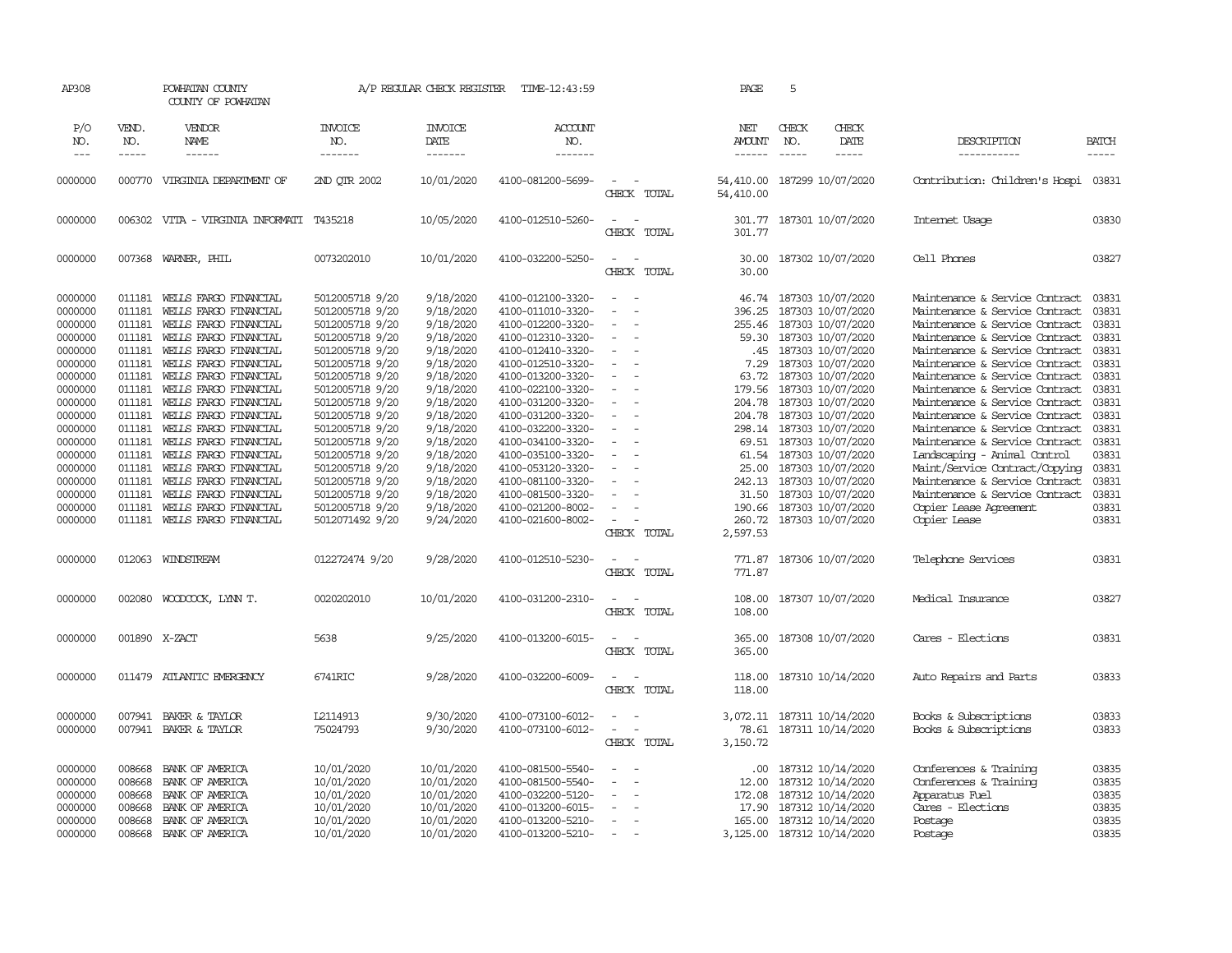| AP308                                                                                                                                                                                              |                                                                                                                                                                                  | POWHATAN COUNTY<br>COUNTY OF POWHATAN                                                                                                                                                                                                                                                                                                                                                                                                                          |                                                                                                                                                                                                                                                                                                                                                    | A/P REGULAR CHECK REGISTER                                                                                                                                                                                                             | TIME-12:43:59                                                                                                                                                                                                                                                                                                                                                                          |                                                                                                                                                                                                                                                                               |       | PAGE                                                                                                                                                 | 5                           |                                                                                                                                                                                                                                                                                                                                                                                                           |                                                                                                                                                                                                                                                                                                                                                                                                                                                                                                                                                                                                      |                                                                                                                                                                |
|----------------------------------------------------------------------------------------------------------------------------------------------------------------------------------------------------|----------------------------------------------------------------------------------------------------------------------------------------------------------------------------------|----------------------------------------------------------------------------------------------------------------------------------------------------------------------------------------------------------------------------------------------------------------------------------------------------------------------------------------------------------------------------------------------------------------------------------------------------------------|----------------------------------------------------------------------------------------------------------------------------------------------------------------------------------------------------------------------------------------------------------------------------------------------------------------------------------------------------|----------------------------------------------------------------------------------------------------------------------------------------------------------------------------------------------------------------------------------------|----------------------------------------------------------------------------------------------------------------------------------------------------------------------------------------------------------------------------------------------------------------------------------------------------------------------------------------------------------------------------------------|-------------------------------------------------------------------------------------------------------------------------------------------------------------------------------------------------------------------------------------------------------------------------------|-------|------------------------------------------------------------------------------------------------------------------------------------------------------|-----------------------------|-----------------------------------------------------------------------------------------------------------------------------------------------------------------------------------------------------------------------------------------------------------------------------------------------------------------------------------------------------------------------------------------------------------|------------------------------------------------------------------------------------------------------------------------------------------------------------------------------------------------------------------------------------------------------------------------------------------------------------------------------------------------------------------------------------------------------------------------------------------------------------------------------------------------------------------------------------------------------------------------------------------------------|----------------------------------------------------------------------------------------------------------------------------------------------------------------|
| P/O<br>NO.<br>$---$                                                                                                                                                                                | VEND.<br>NO.<br>-----                                                                                                                                                            | VENDOR<br>NAME<br>$- - - - - -$                                                                                                                                                                                                                                                                                                                                                                                                                                | <b>INVOICE</b><br>NO.<br>-------                                                                                                                                                                                                                                                                                                                   | <b>INVOICE</b><br>DATE<br>-------                                                                                                                                                                                                      | <b>ACCOUNT</b><br>NO.<br>-------                                                                                                                                                                                                                                                                                                                                                       |                                                                                                                                                                                                                                                                               |       | NET<br><b>AMOUNT</b><br>$- - - - - -$                                                                                                                | CHECK<br>NO.<br>$- - - - -$ | CHECK<br>DATE<br>$- - - - -$                                                                                                                                                                                                                                                                                                                                                                              | DESCRIPTION<br>-----------                                                                                                                                                                                                                                                                                                                                                                                                                                                                                                                                                                           | <b>BATCH</b><br>-----                                                                                                                                          |
| 0000000                                                                                                                                                                                            | 000770                                                                                                                                                                           | VIRGINIA DEPARTMENT OF                                                                                                                                                                                                                                                                                                                                                                                                                                         | 2ND QTR 2002                                                                                                                                                                                                                                                                                                                                       | 10/01/2020                                                                                                                                                                                                                             | 4100-081200-5699-                                                                                                                                                                                                                                                                                                                                                                      | $\overline{\phantom{a}}$<br>$\overline{\phantom{a}}$<br>CHECK TOTAL                                                                                                                                                                                                           |       | 54,410.00<br>54,410.00                                                                                                                               |                             | 187299 10/07/2020                                                                                                                                                                                                                                                                                                                                                                                         | Contribution: Children's Hospi                                                                                                                                                                                                                                                                                                                                                                                                                                                                                                                                                                       | 03831                                                                                                                                                          |
| 0000000                                                                                                                                                                                            |                                                                                                                                                                                  | 006302 VITA - VIRGINIA INFORMATI T435218                                                                                                                                                                                                                                                                                                                                                                                                                       |                                                                                                                                                                                                                                                                                                                                                    | 10/05/2020                                                                                                                                                                                                                             | 4100-012510-5260-                                                                                                                                                                                                                                                                                                                                                                      | $\sim$<br>$\overline{\phantom{a}}$<br>CHECK                                                                                                                                                                                                                                   | TOTAL | 301.77                                                                                                                                               |                             | 301.77 187301 10/07/2020                                                                                                                                                                                                                                                                                                                                                                                  | Internet Usage                                                                                                                                                                                                                                                                                                                                                                                                                                                                                                                                                                                       | 03830                                                                                                                                                          |
| 0000000                                                                                                                                                                                            |                                                                                                                                                                                  | 007368 WARNER, PHIL                                                                                                                                                                                                                                                                                                                                                                                                                                            | 0073202010                                                                                                                                                                                                                                                                                                                                         | 10/01/2020                                                                                                                                                                                                                             | 4100-032200-5250-                                                                                                                                                                                                                                                                                                                                                                      | $\sim$<br>$\overline{\phantom{a}}$<br>CHECK                                                                                                                                                                                                                                   | TOTAL | 30.00<br>30.00                                                                                                                                       |                             | 187302 10/07/2020                                                                                                                                                                                                                                                                                                                                                                                         | Cell Phones                                                                                                                                                                                                                                                                                                                                                                                                                                                                                                                                                                                          | 03827                                                                                                                                                          |
| 0000000<br>0000000<br>0000000<br>0000000<br>0000000<br>0000000<br>0000000<br>0000000<br>0000000<br>0000000<br>0000000<br>0000000<br>0000000<br>0000000<br>0000000<br>0000000<br>0000000<br>0000000 | 011181<br>011181<br>011181<br>011181<br>011181<br>011181<br>011181<br>011181<br>011181<br>011181<br>011181<br>011181<br>011181<br>011181<br>011181<br>011181<br>011181<br>011181 | WEILS FARGO FINANCIAL<br>WELLS FARGO FINANCIAL<br>WELLS FARGO FINANCIAL<br>WELLS FARGO FINANCIAL<br>WELLS FARGO FINANCIAL<br>WELLS FARGO FINANCIAL<br>WELLS FARGO FINANCIAL<br>WELLS FARGO FINANCIAL<br>WELLS FARGO FINANCIAL<br>WELLS FARGO FINANCIAL<br>WELLS FARGO FINANCIAL<br>WELLS FARGO FINANCIAL<br>WEILS FARGO FINANCIAL<br>WELLS FARGO FINANCIAL<br>WELLS FARGO FINANCIAL<br>WELLS FARGO FINANCIAL<br>WELLS FARGO FINANCIAL<br>WEILS FARGO FINANCIAL | 5012005718 9/20<br>5012005718 9/20<br>5012005718 9/20<br>5012005718 9/20<br>5012005718 9/20<br>5012005718 9/20<br>5012005718 9/20<br>5012005718 9/20<br>5012005718 9/20<br>5012005718 9/20<br>5012005718 9/20<br>5012005718 9/20<br>5012005718 9/20<br>5012005718 9/20<br>5012005718 9/20<br>5012005718 9/20<br>5012005718 9/20<br>5012071492 9/20 | 9/18/2020<br>9/18/2020<br>9/18/2020<br>9/18/2020<br>9/18/2020<br>9/18/2020<br>9/18/2020<br>9/18/2020<br>9/18/2020<br>9/18/2020<br>9/18/2020<br>9/18/2020<br>9/18/2020<br>9/18/2020<br>9/18/2020<br>9/18/2020<br>9/18/2020<br>9/24/2020 | 4100-012100-3320-<br>4100-011010-3320-<br>4100-012200-3320-<br>4100-012310-3320-<br>4100-012410-3320-<br>4100-012510-3320-<br>4100-013200-3320-<br>4100-022100-3320-<br>4100-031200-3320-<br>4100-031200-3320-<br>4100-032200-3320-<br>4100-034100-3320-<br>4100-035100-3320-<br>4100-053120-3320-<br>4100-081100-3320-<br>4100-081500-3320-<br>4100-021200-8002-<br>4100-021600-8002- | $\sim$<br>$\sim$<br>$\overline{\phantom{a}}$<br>$\sim$<br>$\overline{\phantom{a}}$<br>$\overline{\phantom{a}}$<br>$\overline{\phantom{a}}$<br>$\sim$<br>$\sim$<br>$\overline{a}$<br>$\sim$<br>$\overline{\phantom{a}}$<br>$\sim$<br>$\sim$<br>$\sim$<br>$\sim$<br>CHECK TOTAL |       | 46.74<br>396.25<br>255.46<br>59.30<br>.45<br>7.29<br>63.72<br>179.56<br>204.78<br>204.78<br>25.00<br>242.13<br>31.50<br>190.66<br>260.72<br>2,597.53 |                             | 187303 10/07/2020<br>187303 10/07/2020<br>187303 10/07/2020<br>187303 10/07/2020<br>187303 10/07/2020<br>187303 10/07/2020<br>187303 10/07/2020<br>187303 10/07/2020<br>187303 10/07/2020<br>187303 10/07/2020<br>298.14 187303 10/07/2020<br>69.51 187303 10/07/2020<br>61.54 187303 10/07/2020<br>187303 10/07/2020<br>187303 10/07/2020<br>187303 10/07/2020<br>187303 10/07/2020<br>187303 10/07/2020 | Maintenance & Service Contract<br>Maintenance & Service Contract<br>Maintenance & Service Contract<br>Maintenance & Service Contract<br>Maintenance & Service Contract<br>Maintenance & Service Contract<br>Maintenance & Service Contract<br>Maintenance & Service Contract<br>Maintenance & Service Contract<br>Maintenance & Service Contract<br>Maintenance & Service Contract<br>Maintenance & Service Contract<br>Landscaping - Animal Control<br>Maint/Service Contract/Copying<br>Maintenance & Service Contract<br>Maintenance & Service Contract<br>Copier Lease Agreement<br>Copier Lease | 03831<br>03831<br>03831<br>03831<br>03831<br>03831<br>03831<br>03831<br>03831<br>03831<br>03831<br>03831<br>03831<br>03831<br>03831<br>03831<br>03831<br>03831 |
| 0000000                                                                                                                                                                                            |                                                                                                                                                                                  | 012063 WINDSTREAM                                                                                                                                                                                                                                                                                                                                                                                                                                              | 012272474 9/20                                                                                                                                                                                                                                                                                                                                     | 9/28/2020                                                                                                                                                                                                                              | 4100-012510-5230-                                                                                                                                                                                                                                                                                                                                                                      | $ -$<br>CHECK TOTAL                                                                                                                                                                                                                                                           |       | 771.87<br>771.87                                                                                                                                     |                             | 187306 10/07/2020                                                                                                                                                                                                                                                                                                                                                                                         | Telephone Services                                                                                                                                                                                                                                                                                                                                                                                                                                                                                                                                                                                   | 03831                                                                                                                                                          |
| 0000000                                                                                                                                                                                            | 002080                                                                                                                                                                           | WOODCOCK, LYNN T.                                                                                                                                                                                                                                                                                                                                                                                                                                              | 0020202010                                                                                                                                                                                                                                                                                                                                         | 10/01/2020                                                                                                                                                                                                                             | 4100-031200-2310-                                                                                                                                                                                                                                                                                                                                                                      | $\sim$<br>$\sim$<br>CHECK TOTAL                                                                                                                                                                                                                                               |       | 108.00<br>108.00                                                                                                                                     |                             | 187307 10/07/2020                                                                                                                                                                                                                                                                                                                                                                                         | Medical Insurance                                                                                                                                                                                                                                                                                                                                                                                                                                                                                                                                                                                    | 03827                                                                                                                                                          |
| 0000000                                                                                                                                                                                            |                                                                                                                                                                                  | 001890 X-ZACT                                                                                                                                                                                                                                                                                                                                                                                                                                                  | 5638                                                                                                                                                                                                                                                                                                                                               | 9/25/2020                                                                                                                                                                                                                              | 4100-013200-6015-                                                                                                                                                                                                                                                                                                                                                                      | $\overline{\phantom{a}}$<br>$\sim$<br>CHECK TOTAL                                                                                                                                                                                                                             |       | 365.00<br>365.00                                                                                                                                     |                             | 187308 10/07/2020                                                                                                                                                                                                                                                                                                                                                                                         | Cares - Elections                                                                                                                                                                                                                                                                                                                                                                                                                                                                                                                                                                                    | 03831                                                                                                                                                          |
| 0000000                                                                                                                                                                                            |                                                                                                                                                                                  | 011479 ATLANTIC EMERGENCY                                                                                                                                                                                                                                                                                                                                                                                                                                      | 6741RIC                                                                                                                                                                                                                                                                                                                                            | 9/28/2020                                                                                                                                                                                                                              | 4100-032200-6009-                                                                                                                                                                                                                                                                                                                                                                      | $\overline{\phantom{a}}$<br>CHECK TOTAL                                                                                                                                                                                                                                       |       | 118.00<br>118.00                                                                                                                                     |                             | 187310 10/14/2020                                                                                                                                                                                                                                                                                                                                                                                         | Auto Repairs and Parts                                                                                                                                                                                                                                                                                                                                                                                                                                                                                                                                                                               | 03833                                                                                                                                                          |
| 0000000<br>0000000                                                                                                                                                                                 | 007941                                                                                                                                                                           | 007941 BAKER & TAYLOR<br>BAKER & TAYLOR                                                                                                                                                                                                                                                                                                                                                                                                                        | L2114913<br>75024793                                                                                                                                                                                                                                                                                                                               | 9/30/2020<br>9/30/2020                                                                                                                                                                                                                 | 4100-073100-6012-<br>4100-073100-6012-                                                                                                                                                                                                                                                                                                                                                 | $\sim$<br>$\sim$<br>$\overline{\phantom{a}}$<br>$\overline{\phantom{a}}$<br>CHECK TOTAL                                                                                                                                                                                       |       | 78.61<br>3,150.72                                                                                                                                    |                             | 3,072.11 187311 10/14/2020<br>187311 10/14/2020                                                                                                                                                                                                                                                                                                                                                           | Books & Subscriptions<br>Books & Subscriptions                                                                                                                                                                                                                                                                                                                                                                                                                                                                                                                                                       | 03833<br>03833                                                                                                                                                 |
| 0000000<br>0000000<br>0000000<br>0000000<br>0000000<br>0000000                                                                                                                                     | 008668<br>008668<br>008668<br>008668<br>008668<br>008668                                                                                                                         | BANK OF AMERICA<br>BANK OF AMERICA<br>BANK OF AMERICA<br>BANK OF AMERICA<br>BANK OF AMERICA<br>BANK OF AMERICA                                                                                                                                                                                                                                                                                                                                                 | 10/01/2020<br>10/01/2020<br>10/01/2020<br>10/01/2020<br>10/01/2020<br>10/01/2020                                                                                                                                                                                                                                                                   | 10/01/2020<br>10/01/2020<br>10/01/2020<br>10/01/2020<br>10/01/2020<br>10/01/2020                                                                                                                                                       | 4100-081500-5540-<br>4100-081500-5540-<br>4100-032200-5120-<br>4100-013200-6015-<br>4100-013200-5210-<br>4100-013200-5210-                                                                                                                                                                                                                                                             | $\sim$<br>$\sim$<br>$\overline{\phantom{a}}$<br>$\overline{\phantom{a}}$                                                                                                                                                                                                      |       | .00<br>12.00<br>172.08<br>17.90<br>165.00                                                                                                            |                             | 187312 10/14/2020<br>187312 10/14/2020<br>187312 10/14/2020<br>187312 10/14/2020<br>187312 10/14/2020<br>3,125.00 187312 10/14/2020                                                                                                                                                                                                                                                                       | Conferences & Training<br>Conferences & Training<br>Apparatus Fuel<br>Cares - Elections<br>Postage<br>Postage                                                                                                                                                                                                                                                                                                                                                                                                                                                                                        | 03835<br>03835<br>03835<br>03835<br>03835<br>03835                                                                                                             |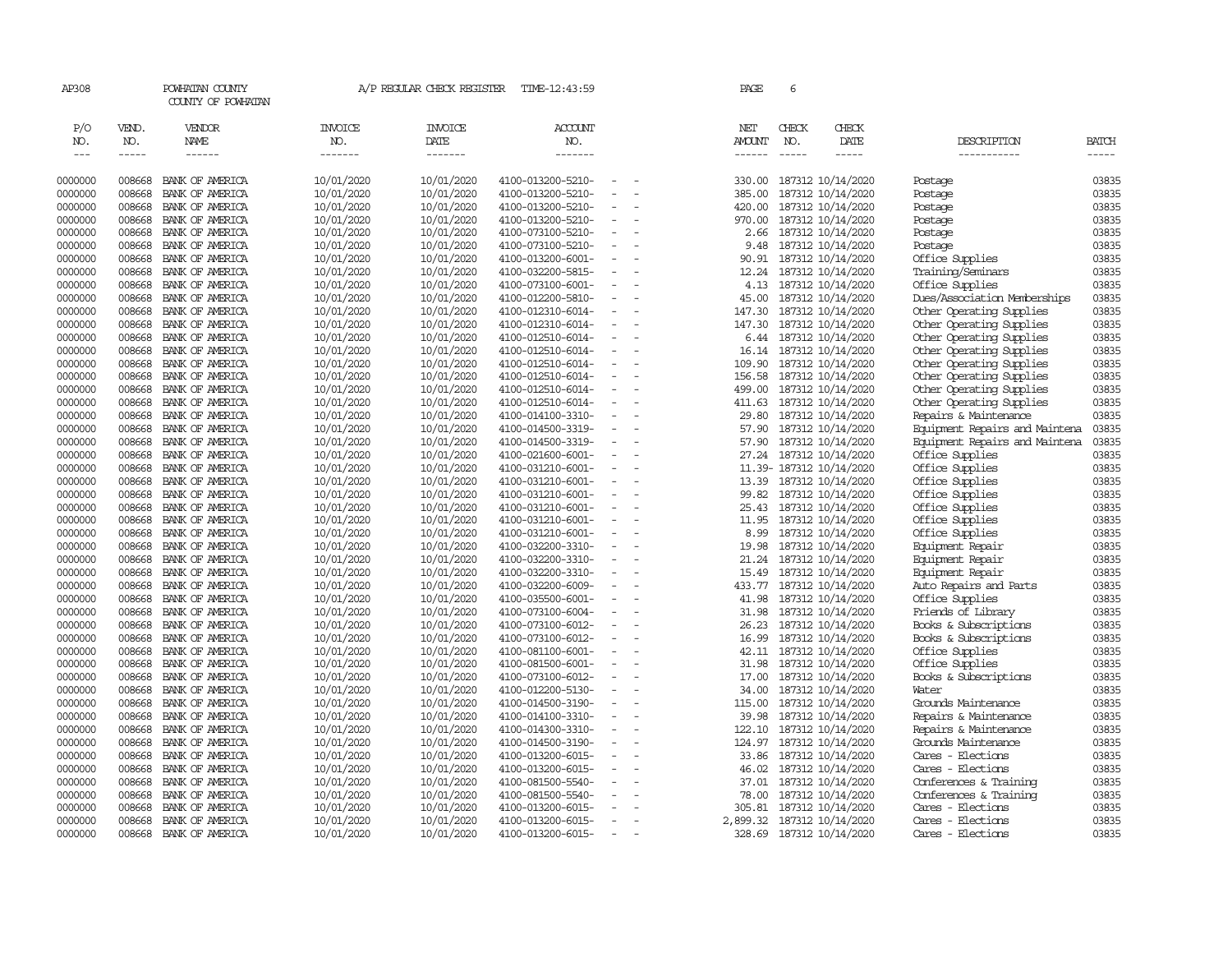| AP308                       |                             | POWHATAN COUNTY<br>COUNTY OF POWHATAN  |                                  | A/P REGULAR CHECK REGISTER                | TIME-12:43:59                          |                          |                          | PAGE                       | 6                                                  |               |                                      |                       |
|-----------------------------|-----------------------------|----------------------------------------|----------------------------------|-------------------------------------------|----------------------------------------|--------------------------|--------------------------|----------------------------|----------------------------------------------------|---------------|--------------------------------------|-----------------------|
| P/O<br>NO.<br>$\frac{1}{2}$ | VEND.<br>NO.<br>$- - - - -$ | <b>VENDOR</b><br>NAME<br>$- - - - - -$ | <b>INVOICE</b><br>NO.<br>------- | <b>INVOICE</b><br>DATE<br>$- - - - - - -$ | ACCOUNT<br>NO.<br>$- - - - - - -$      |                          |                          | NET<br>AMOUNT<br>------    | CHECK<br>NO.<br>$---$                              | CHECK<br>DATE | DESCRIPTION<br>-----------           | <b>BATCH</b><br>----- |
| 0000000                     | 008668                      | BANK OF AMERICA                        | 10/01/2020                       | 10/01/2020                                | 4100-013200-5210-                      | $\overline{\phantom{a}}$ |                          |                            | 330.00 187312 10/14/2020                           |               | Postage                              | 03835                 |
| 0000000                     | 008668                      | BANK OF AMERICA                        | 10/01/2020                       | 10/01/2020                                | 4100-013200-5210-                      | $\sim$                   | $\overline{\phantom{a}}$ | 385.00                     | 187312 10/14/2020                                  |               | Postage                              | 03835                 |
| 0000000                     | 008668                      | BANK OF AMERICA                        | 10/01/2020                       | 10/01/2020                                | 4100-013200-5210-                      |                          |                          | 420.00                     | 187312 10/14/2020                                  |               | Postage                              | 03835                 |
| 0000000                     | 008668                      | BANK OF AMERICA                        | 10/01/2020                       | 10/01/2020                                | 4100-013200-5210-                      | $\blacksquare$           |                          |                            | 970.00 187312 10/14/2020                           |               | Postage                              | 03835                 |
| 0000000                     | 008668                      | BANK OF AMERICA                        | 10/01/2020                       | 10/01/2020                                | 4100-073100-5210-                      |                          |                          |                            | 2.66 187312 10/14/2020                             |               | Postage                              | 03835                 |
| 0000000                     | 008668                      | BANK OF AMERICA                        | 10/01/2020                       | 10/01/2020                                | 4100-073100-5210-                      | $\sim$                   | $\overline{\phantom{a}}$ |                            | 9.48 187312 10/14/2020                             |               | Postage                              | 03835                 |
| 0000000                     | 008668                      | BANK OF AMERICA                        | 10/01/2020                       | 10/01/2020                                | 4100-013200-6001-                      | $\sim$                   |                          | 90.91                      | 187312 10/14/2020                                  |               | Office Supplies                      | 03835                 |
| 0000000                     | 008668                      | BANK OF AMERICA                        | 10/01/2020                       | 10/01/2020                                | 4100-032200-5815-                      | $\overline{\phantom{a}}$ |                          | 12.24                      | 187312 10/14/2020                                  |               | Training/Seminars                    | 03835                 |
| 0000000                     | 008668                      | BANK OF AMERICA                        | 10/01/2020                       | 10/01/2020                                | 4100-073100-6001-                      | $\overline{\phantom{a}}$ | $\overline{\phantom{a}}$ |                            | 4.13 187312 10/14/2020                             |               | Office Supplies                      | 03835                 |
| 0000000                     | 008668                      | BANK OF AMERICA                        | 10/01/2020                       | 10/01/2020                                | 4100-012200-5810-                      | $\overline{\phantom{a}}$ |                          | 45.00                      | 187312 10/14/2020                                  |               | Dues/Association Memberships         | 03835                 |
| 0000000                     | 008668                      | BANK OF AMERICA                        | 10/01/2020                       | 10/01/2020                                | 4100-012310-6014-                      | $\equiv$                 |                          | 147.30                     | 187312 10/14/2020                                  |               | Other Operating Supplies             | 03835                 |
| 0000000                     | 008668                      | BANK OF AMERICA                        | 10/01/2020                       | 10/01/2020                                | 4100-012310-6014-                      |                          |                          |                            | 147.30 187312 10/14/2020                           |               | Other Operating Supplies             | 03835                 |
| 0000000                     | 008668                      | BANK OF AMERICA                        | 10/01/2020                       | 10/01/2020                                | 4100-012510-6014-                      | $\sim$                   | $\overline{\phantom{a}}$ |                            | 6.44 187312 10/14/2020                             |               | Other Operating Supplies             | 03835                 |
| 0000000                     | 008668                      | BANK OF AMERICA                        | 10/01/2020                       | 10/01/2020                                | 4100-012510-6014-                      | $\overline{\phantom{a}}$ |                          |                            | 16.14 187312 10/14/2020                            |               | Other Operating Supplies             | 03835                 |
| 0000000                     | 008668                      | BANK OF AMERICA                        | 10/01/2020                       | 10/01/2020                                | 4100-012510-6014-                      | $\sim$                   |                          |                            | 109.90 187312 10/14/2020                           |               | Other Operating Supplies             | 03835                 |
| 0000000                     | 008668                      | BANK OF AMERICA                        | 10/01/2020                       | 10/01/2020                                | 4100-012510-6014-                      | $\overline{\phantom{a}}$ | $\overline{\phantom{a}}$ | 156.58                     | 187312 10/14/2020                                  |               | Other Operating Supplies             | 03835                 |
| 0000000                     | 008668                      | BANK OF AMERICA                        | 10/01/2020                       | 10/01/2020                                | 4100-012510-6014-                      | $\overline{\phantom{a}}$ |                          | 499.00                     | 187312 10/14/2020                                  |               | Other Operating Supplies             | 03835                 |
| 0000000                     | 008668                      | BANK OF AMERICA                        | 10/01/2020                       | 10/01/2020                                | 4100-012510-6014-                      | $\sim$                   |                          | 411.63                     | 187312 10/14/2020                                  |               | Other Operating Supplies             | 03835                 |
| 0000000                     | 008668                      | BANK OF AMERICA                        | 10/01/2020                       | 10/01/2020                                | 4100-014100-3310-                      |                          |                          | 29.80                      | 187312 10/14/2020                                  |               | Repairs & Maintenance                | 03835                 |
| 0000000                     | 008668                      | BANK OF AMERICA                        | 10/01/2020                       | 10/01/2020                                | 4100-014500-3319-                      | $\sim$                   |                          |                            | 57.90 187312 10/14/2020                            |               | Equipment Repairs and Maintena       | 03835                 |
| 0000000                     | 008668                      | BANK OF AMERICA                        | 10/01/2020                       | 10/01/2020                                | 4100-014500-3319-                      | $\sim$                   |                          |                            | 57.90 187312 10/14/2020                            |               | Equipment Repairs and Maintena       | 03835                 |
| 0000000                     | 008668                      | BANK OF AMERICA                        | 10/01/2020                       | 10/01/2020                                | 4100-021600-6001-                      | $\overline{\phantom{a}}$ |                          |                            | 27.24 187312 10/14/2020                            |               | Office Supplies                      | 03835                 |
| 0000000                     | 008668                      | BANK OF AMERICA                        | 10/01/2020                       | 10/01/2020                                | 4100-031210-6001-                      | $\overline{\phantom{a}}$ | $\overline{\phantom{a}}$ |                            | 11.39-187312 10/14/2020                            |               | Office Supplies                      | 03835                 |
| 0000000                     | 008668                      | BANK OF AMERICA                        | 10/01/2020                       | 10/01/2020                                | 4100-031210-6001-                      | $\overline{\phantom{a}}$ |                          |                            | 13.39 187312 10/14/2020                            |               | Office Supplies                      | 03835                 |
| 0000000                     | 008668                      | BANK OF AMERICA                        | 10/01/2020                       | 10/01/2020                                | 4100-031210-6001-                      | $\overline{\phantom{a}}$ |                          | 99.82                      | 187312 10/14/2020                                  |               | Office Supplies                      | 03835                 |
| 0000000                     | 008668                      | BANK OF AMERICA                        | 10/01/2020                       | 10/01/2020                                | 4100-031210-6001-                      |                          |                          | 25.43                      | 187312 10/14/2020                                  |               | Office Supplies                      | 03835                 |
| 0000000                     | 008668                      | BANK OF AMERICA                        | 10/01/2020                       | 10/01/2020                                | 4100-031210-6001-                      | $\sim$<br>$\sim$         |                          |                            | 11.95 187312 10/14/2020                            |               | Office Supplies                      | 03835                 |
| 0000000<br>0000000          | 008668<br>008668            | BANK OF AMERICA<br>BANK OF AMERICA     | 10/01/2020                       | 10/01/2020                                | 4100-031210-6001-<br>4100-032200-3310- | $\sim$                   |                          |                            | 8.99 187312 10/14/2020                             |               | Office Supplies                      | 03835<br>03835        |
| 0000000                     | 008668                      | BANK OF AMERICA                        | 10/01/2020<br>10/01/2020         | 10/01/2020<br>10/01/2020                  | 4100-032200-3310-                      | $\sim$                   |                          |                            | 19.98 187312 10/14/2020<br>21.24 187312 10/14/2020 |               | Equipment Repair<br>Equipment Repair | 03835                 |
| 0000000                     | 008668                      | BANK OF AMERICA                        | 10/01/2020                       | 10/01/2020                                | 4100-032200-3310-                      | $\overline{\phantom{a}}$ |                          |                            | 15.49 187312 10/14/2020                            |               | Equipment Repair                     | 03835                 |
| 0000000                     | 008668                      | BANK OF AMERICA                        | 10/01/2020                       | 10/01/2020                                | 4100-032200-6009-                      | $\overline{\phantom{a}}$ | $\overline{\phantom{a}}$ | 433.77                     | 187312 10/14/2020                                  |               | Auto Repairs and Parts               | 03835                 |
| 0000000                     | 008668                      | BANK OF AMERICA                        | 10/01/2020                       | 10/01/2020                                | 4100-035500-6001-                      |                          |                          |                            | 41.98 187312 10/14/2020                            |               | Office Supplies                      | 03835                 |
| 0000000                     | 008668                      | BANK OF AMERICA                        | 10/01/2020                       | 10/01/2020                                | 4100-073100-6004-                      | $\overline{\phantom{a}}$ |                          |                            | 31.98 187312 10/14/2020                            |               | Friends of Library                   | 03835                 |
| 0000000                     | 008668                      | BANK OF AMERICA                        | 10/01/2020                       | 10/01/2020                                | 4100-073100-6012-                      | $\overline{\phantom{a}}$ |                          | 26.23                      | 187312 10/14/2020                                  |               | Books & Subscriptions                | 03835                 |
| 0000000                     | 008668                      | BANK OF AMERICA                        | 10/01/2020                       | 10/01/2020                                | 4100-073100-6012-                      | $\sim$                   |                          |                            | 16.99 187312 10/14/2020                            |               | Books & Subscriptions                | 03835                 |
| 0000000                     | 008668                      | BANK OF AMERICA                        | 10/01/2020                       | 10/01/2020                                | 4100-081100-6001-                      | $\sim$                   |                          |                            | 42.11 187312 10/14/2020                            |               | Office Supplies                      | 03835                 |
| 0000000                     | 008668                      | BANK OF AMERICA                        | 10/01/2020                       | 10/01/2020                                | 4100-081500-6001-                      | $\overline{\phantom{a}}$ |                          |                            | 31.98 187312 10/14/2020                            |               | Office Supplies                      | 03835                 |
| 0000000                     | 008668                      | BANK OF AMERICA                        | 10/01/2020                       | 10/01/2020                                | 4100-073100-6012-                      | $\overline{\phantom{a}}$ | $\overline{\phantom{a}}$ | 17.00                      | 187312 10/14/2020                                  |               | Books & Subscriptions                | 03835                 |
| 0000000                     | 008668                      | BANK OF AMERICA                        | 10/01/2020                       | 10/01/2020                                | 4100-012200-5130-                      | $\overline{\phantom{a}}$ |                          | 34.00                      | 187312 10/14/2020                                  |               | Water                                | 03835                 |
| 0000000                     | 008668                      | BANK OF AMERICA                        | 10/01/2020                       | 10/01/2020                                | 4100-014500-3190-                      | $\overline{\phantom{a}}$ |                          |                            | 115.00 187312 10/14/2020                           |               | Grounds Maintenance                  | 03835                 |
| 0000000                     | 008668                      | BANK OF AMERICA                        | 10/01/2020                       | 10/01/2020                                | 4100-014100-3310-                      | $\blacksquare$           |                          | 39.98                      | 187312 10/14/2020                                  |               | Repairs & Maintenance                | 03835                 |
| 0000000                     | 008668                      | BANK OF AMERICA                        | 10/01/2020                       | 10/01/2020                                | 4100-014300-3310-                      | $\sim$                   |                          |                            | 122.10 187312 10/14/2020                           |               | Repairs & Maintenance                | 03835                 |
| 0000000                     | 008668                      | BANK OF AMERICA                        | 10/01/2020                       | 10/01/2020                                | 4100-014500-3190-                      |                          |                          |                            | 124.97 187312 10/14/2020                           |               | Grounds Maintenance                  | 03835                 |
| 0000000                     | 008668                      | BANK OF AMERICA                        | 10/01/2020                       | 10/01/2020                                | 4100-013200-6015-                      | $\overline{\phantom{a}}$ | $\overline{\phantom{a}}$ |                            | 33.86 187312 10/14/2020                            |               | Cares - Elections                    | 03835                 |
| 0000000                     | 008668                      | BANK OF AMERICA                        | 10/01/2020                       | 10/01/2020                                | 4100-013200-6015-                      | $\overline{\phantom{a}}$ | $\overline{\phantom{a}}$ | 46.02                      | 187312 10/14/2020                                  |               | Cares - Elections                    | 03835                 |
| 0000000                     | 008668                      | BANK OF AMERICA                        | 10/01/2020                       | 10/01/2020                                | 4100-081500-5540-                      |                          |                          |                            | 37.01 187312 10/14/2020                            |               | Conferences & Training               | 03835                 |
| 0000000                     | 008668                      | BANK OF AMERICA                        | 10/01/2020                       | 10/01/2020                                | 4100-081500-5540-                      | $\sim$                   |                          |                            | 78.00 187312 10/14/2020                            |               | Conferences & Training               | 03835                 |
| 0000000                     | 008668                      | BANK OF AMERICA                        | 10/01/2020                       | 10/01/2020                                | 4100-013200-6015-                      |                          |                          |                            | 305.81 187312 10/14/2020                           |               | Cares - Elections                    | 03835                 |
| 0000000                     | 008668                      | BANK OF AMERICA                        | 10/01/2020                       | 10/01/2020                                | 4100-013200-6015-                      | $\overline{\phantom{a}}$ |                          | 2,899.32 187312 10/14/2020 |                                                    |               | Cares - Elections                    | 03835                 |
| 0000000                     | 008668                      | BANK OF AMERICA                        | 10/01/2020                       | 10/01/2020                                | 4100-013200-6015-                      |                          |                          |                            | 328.69 187312 10/14/2020                           |               | Cares - Elections                    | 03835                 |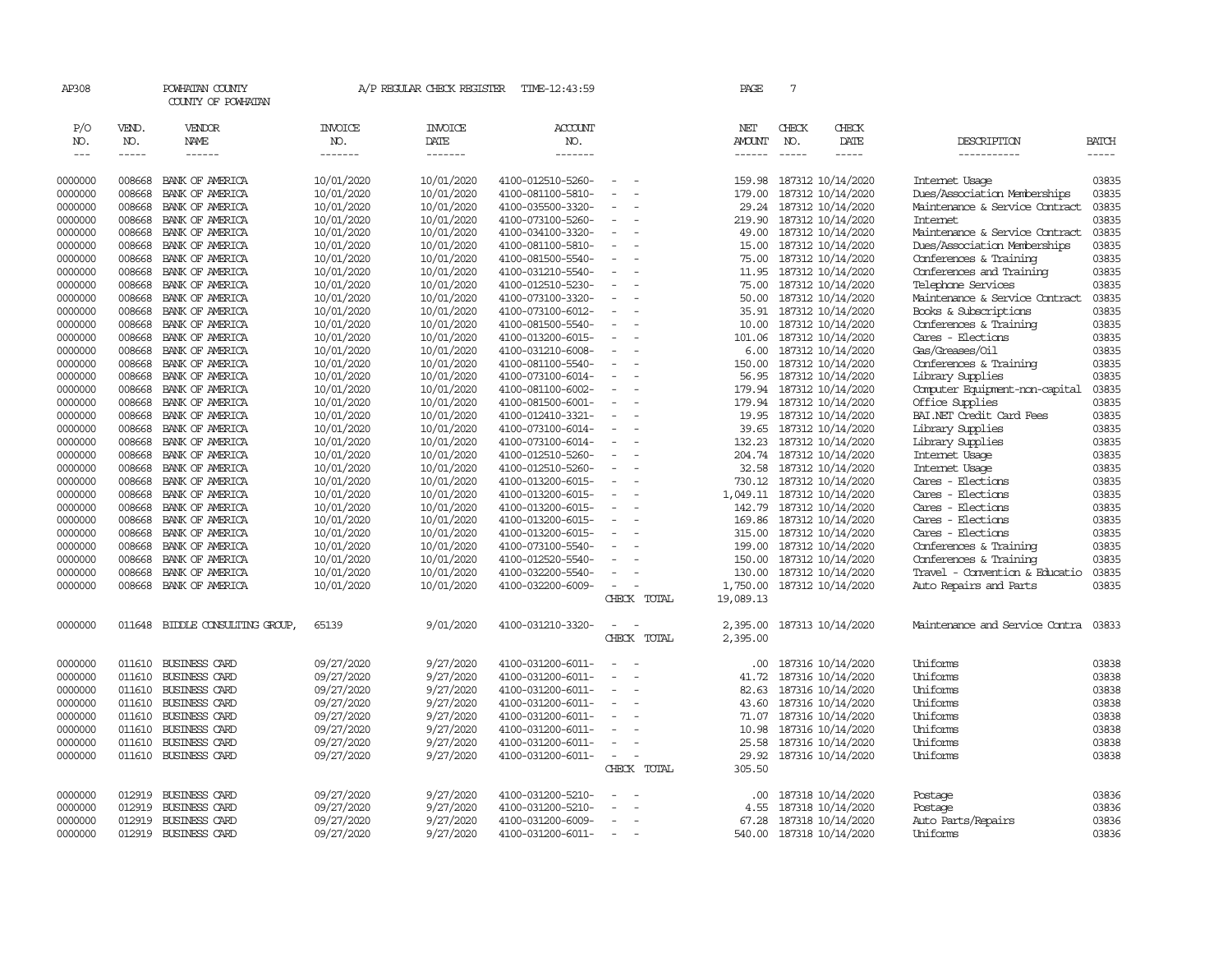| AP308         |              | POWHATAN COUNTY<br>COUNTY OF POWHATAN                                                                                                                                                                                                                                                                                                                                                                                                                                                  |                       | A/P REGULAR CHECK REGISTER | TIME-12:43:59         |                                                      | PAGE                                                                                                                                                                                                                                                                                                                                                                                                                                                                                | 7            |                            |                                |             |
|---------------|--------------|----------------------------------------------------------------------------------------------------------------------------------------------------------------------------------------------------------------------------------------------------------------------------------------------------------------------------------------------------------------------------------------------------------------------------------------------------------------------------------------|-----------------------|----------------------------|-----------------------|------------------------------------------------------|-------------------------------------------------------------------------------------------------------------------------------------------------------------------------------------------------------------------------------------------------------------------------------------------------------------------------------------------------------------------------------------------------------------------------------------------------------------------------------------|--------------|----------------------------|--------------------------------|-------------|
| P/O<br>NO.    | VEND.<br>NO. | VENDOR<br>NAME                                                                                                                                                                                                                                                                                                                                                                                                                                                                         | <b>INVOICE</b><br>NO. | <b>INVOICE</b><br>DATE     | <b>ACCOUNT</b><br>NO. |                                                      | NET<br>AMOUNT                                                                                                                                                                                                                                                                                                                                                                                                                                                                       | CHECK<br>NO. | CHECK<br>DATE              | DESCRIPTION                    | BATCH       |
| $\frac{1}{2}$ | $- - - - -$  | $\begin{array}{cccccccccc} \multicolumn{2}{c}{} & \multicolumn{2}{c}{} & \multicolumn{2}{c}{} & \multicolumn{2}{c}{} & \multicolumn{2}{c}{} & \multicolumn{2}{c}{} & \multicolumn{2}{c}{} & \multicolumn{2}{c}{} & \multicolumn{2}{c}{} & \multicolumn{2}{c}{} & \multicolumn{2}{c}{} & \multicolumn{2}{c}{} & \multicolumn{2}{c}{} & \multicolumn{2}{c}{} & \multicolumn{2}{c}{} & \multicolumn{2}{c}{} & \multicolumn{2}{c}{} & \multicolumn{2}{c}{} & \multicolumn{2}{c}{} & \mult$ | -------               | -------                    | -------               |                                                      | $\begin{tabular}{ccccc} \multicolumn{2}{c}{} & \multicolumn{2}{c}{} & \multicolumn{2}{c}{} & \multicolumn{2}{c}{} & \multicolumn{2}{c}{} & \multicolumn{2}{c}{} & \multicolumn{2}{c}{} & \multicolumn{2}{c}{} & \multicolumn{2}{c}{} & \multicolumn{2}{c}{} & \multicolumn{2}{c}{} & \multicolumn{2}{c}{} & \multicolumn{2}{c}{} & \multicolumn{2}{c}{} & \multicolumn{2}{c}{} & \multicolumn{2}{c}{} & \multicolumn{2}{c}{} & \multicolumn{2}{c}{} & \multicolumn{2}{c}{} & \mult$ |              | -----                      | -----------                    | $- - - - -$ |
| 0000000       | 008668       | BANK OF AMERICA                                                                                                                                                                                                                                                                                                                                                                                                                                                                        | 10/01/2020            | 10/01/2020                 | 4100-012510-5260-     | $\sim$<br>$\sim$                                     | 159.98                                                                                                                                                                                                                                                                                                                                                                                                                                                                              |              | 187312 10/14/2020          | Internet Usage                 | 03835       |
| 0000000       | 008668       | BANK OF AMERICA                                                                                                                                                                                                                                                                                                                                                                                                                                                                        | 10/01/2020            | 10/01/2020                 | 4100-081100-5810-     | $\equiv$                                             | 179.00                                                                                                                                                                                                                                                                                                                                                                                                                                                                              |              | 187312 10/14/2020          | Dues/Association Memberships   | 03835       |
| 0000000       | 008668       | BANK OF AMERICA                                                                                                                                                                                                                                                                                                                                                                                                                                                                        | 10/01/2020            | 10/01/2020                 | 4100-035500-3320-     | $\blacksquare$                                       | 29.24                                                                                                                                                                                                                                                                                                                                                                                                                                                                               |              | 187312 10/14/2020          | Maintenance & Service Contract | 03835       |
| 0000000       | 008668       | BANK OF AMERICA                                                                                                                                                                                                                                                                                                                                                                                                                                                                        | 10/01/2020            | 10/01/2020                 | 4100-073100-5260-     | $\equiv$                                             | 219.90                                                                                                                                                                                                                                                                                                                                                                                                                                                                              |              | 187312 10/14/2020          | <b>Internet</b>                | 03835       |
| 0000000       | 008668       | BANK OF AMERICA                                                                                                                                                                                                                                                                                                                                                                                                                                                                        | 10/01/2020            | 10/01/2020                 | 4100-034100-3320-     | $\sim$                                               | 49.00                                                                                                                                                                                                                                                                                                                                                                                                                                                                               |              | 187312 10/14/2020          | Maintenance & Service Contract | 03835       |
| 0000000       | 008668       | BANK OF AMERICA                                                                                                                                                                                                                                                                                                                                                                                                                                                                        | 10/01/2020            | 10/01/2020                 | 4100-081100-5810-     | $\overline{\phantom{a}}$                             | 15.00                                                                                                                                                                                                                                                                                                                                                                                                                                                                               |              | 187312 10/14/2020          | Dues/Association Memberships   | 03835       |
| 0000000       | 008668       | BANK OF AMERICA                                                                                                                                                                                                                                                                                                                                                                                                                                                                        | 10/01/2020            | 10/01/2020                 | 4100-081500-5540-     | $\sim$                                               | 75.00                                                                                                                                                                                                                                                                                                                                                                                                                                                                               |              | 187312 10/14/2020          | Conferences & Training         | 03835       |
| 0000000       | 008668       | BANK OF AMERICA                                                                                                                                                                                                                                                                                                                                                                                                                                                                        | 10/01/2020            | 10/01/2020                 | 4100-031210-5540-     | $\sim$<br>$\overline{\phantom{a}}$                   | 11.95                                                                                                                                                                                                                                                                                                                                                                                                                                                                               |              | 187312 10/14/2020          | Conferences and Training       | 03835       |
| 0000000       | 008668       | BANK OF AMERICA                                                                                                                                                                                                                                                                                                                                                                                                                                                                        | 10/01/2020            | 10/01/2020                 | 4100-012510-5230-     | $\equiv$                                             | 75.00                                                                                                                                                                                                                                                                                                                                                                                                                                                                               |              | 187312 10/14/2020          | Telephone Services             | 03835       |
| 0000000       | 008668       | BANK OF AMERICA                                                                                                                                                                                                                                                                                                                                                                                                                                                                        | 10/01/2020            | 10/01/2020                 | 4100-073100-3320-     | $\overline{\phantom{a}}$                             | 50.00                                                                                                                                                                                                                                                                                                                                                                                                                                                                               |              | 187312 10/14/2020          | Maintenance & Service Contract | 03835       |
| 0000000       | 008668       | BANK OF AMERICA                                                                                                                                                                                                                                                                                                                                                                                                                                                                        | 10/01/2020            | 10/01/2020                 | 4100-073100-6012-     | $\overline{\phantom{a}}$                             |                                                                                                                                                                                                                                                                                                                                                                                                                                                                                     |              | 35.91 187312 10/14/2020    | Books & Subscriptions          | 03835       |
| 0000000       | 008668       | BANK OF AMERICA                                                                                                                                                                                                                                                                                                                                                                                                                                                                        | 10/01/2020            | 10/01/2020                 | 4100-081500-5540-     | $\equiv$                                             | 10.00                                                                                                                                                                                                                                                                                                                                                                                                                                                                               |              | 187312 10/14/2020          | Conferences & Training         | 03835       |
| 0000000       | 008668       | BANK OF AMERICA                                                                                                                                                                                                                                                                                                                                                                                                                                                                        | 10/01/2020            | 10/01/2020                 | 4100-013200-6015-     | $\sim$                                               | 101.06                                                                                                                                                                                                                                                                                                                                                                                                                                                                              |              | 187312 10/14/2020          | Cares - Elections              | 03835       |
| 0000000       | 008668       | BANK OF AMERICA                                                                                                                                                                                                                                                                                                                                                                                                                                                                        | 10/01/2020            | 10/01/2020                 | 4100-031210-6008-     | $\sim$                                               | 6.00                                                                                                                                                                                                                                                                                                                                                                                                                                                                                |              | 187312 10/14/2020          | Gas/Greases/Oil                | 03835       |
| 0000000       | 008668       | BANK OF AMERICA                                                                                                                                                                                                                                                                                                                                                                                                                                                                        | 10/01/2020            | 10/01/2020                 | 4100-081100-5540-     | $\sim$<br>$\overline{\phantom{a}}$                   | 150.00                                                                                                                                                                                                                                                                                                                                                                                                                                                                              |              | 187312 10/14/2020          | Conferences & Training         | 03835       |
| 0000000       | 008668       | BANK OF AMERICA                                                                                                                                                                                                                                                                                                                                                                                                                                                                        | 10/01/2020            | 10/01/2020                 | 4100-073100-6014-     | $\blacksquare$                                       | 56.95                                                                                                                                                                                                                                                                                                                                                                                                                                                                               |              | 187312 10/14/2020          | Library Supplies               | 03835       |
| 0000000       | 008668       | BANK OF AMERICA                                                                                                                                                                                                                                                                                                                                                                                                                                                                        | 10/01/2020            | 10/01/2020                 | 4100-081100-6002-     | $\overline{\phantom{a}}$                             | 179.94                                                                                                                                                                                                                                                                                                                                                                                                                                                                              |              | 187312 10/14/2020          | Computer Equipment-non-capital | 03835       |
| 0000000       | 008668       | BANK OF AMERICA                                                                                                                                                                                                                                                                                                                                                                                                                                                                        | 10/01/2020            | 10/01/2020                 | 4100-081500-6001-     | $\sim$<br>$\sim$                                     | 179.94                                                                                                                                                                                                                                                                                                                                                                                                                                                                              |              | 187312 10/14/2020          | Office Supplies                | 03835       |
| 0000000       | 008668       | BANK OF AMERICA                                                                                                                                                                                                                                                                                                                                                                                                                                                                        | 10/01/2020            | 10/01/2020                 | 4100-012410-3321-     | $\sim$                                               | 19.95                                                                                                                                                                                                                                                                                                                                                                                                                                                                               |              | 187312 10/14/2020          | BAI.NET Credit Card Fees       | 03835       |
| 0000000       | 008668       | BANK OF AMERICA                                                                                                                                                                                                                                                                                                                                                                                                                                                                        | 10/01/2020            | 10/01/2020                 | 4100-073100-6014-     | $\sim$<br>$\overline{\phantom{a}}$                   |                                                                                                                                                                                                                                                                                                                                                                                                                                                                                     |              | 39.65 187312 10/14/2020    | Library Supplies               | 03835       |
| 0000000       | 008668       | BANK OF AMERICA                                                                                                                                                                                                                                                                                                                                                                                                                                                                        | 10/01/2020            | 10/01/2020                 | 4100-073100-6014-     | $\overline{\phantom{a}}$<br>$\overline{\phantom{a}}$ |                                                                                                                                                                                                                                                                                                                                                                                                                                                                                     |              | 132.23 187312 10/14/2020   | Library Supplies               | 03835       |
| 0000000       | 008668       | BANK OF AMERICA                                                                                                                                                                                                                                                                                                                                                                                                                                                                        | 10/01/2020            | 10/01/2020                 | 4100-012510-5260-     | $\overline{\phantom{a}}$                             |                                                                                                                                                                                                                                                                                                                                                                                                                                                                                     |              | 204.74 187312 10/14/2020   | Internet Usage                 | 03835       |
| 0000000       | 008668       | BANK OF AMERICA                                                                                                                                                                                                                                                                                                                                                                                                                                                                        | 10/01/2020            | 10/01/2020                 | 4100-012510-5260-     | $\overline{\phantom{a}}$                             | 32.58                                                                                                                                                                                                                                                                                                                                                                                                                                                                               |              | 187312 10/14/2020          | Internet Usage                 | 03835       |
| 0000000       | 008668       | BANK OF AMERICA                                                                                                                                                                                                                                                                                                                                                                                                                                                                        | 10/01/2020            | 10/01/2020                 | 4100-013200-6015-     | $\equiv$                                             | 730.12                                                                                                                                                                                                                                                                                                                                                                                                                                                                              |              | 187312 10/14/2020          | Cares - Elections              | 03835       |
| 0000000       | 008668       | BANK OF AMERICA                                                                                                                                                                                                                                                                                                                                                                                                                                                                        | 10/01/2020            | 10/01/2020                 | 4100-013200-6015-     | $\sim$<br>$\overline{\phantom{a}}$                   |                                                                                                                                                                                                                                                                                                                                                                                                                                                                                     |              | 1,049.11 187312 10/14/2020 | Cares - Elections              | 03835       |
| 0000000       | 008668       | BANK OF AMERICA                                                                                                                                                                                                                                                                                                                                                                                                                                                                        | 10/01/2020            | 10/01/2020                 | 4100-013200-6015-     | $\equiv$                                             | 142.79                                                                                                                                                                                                                                                                                                                                                                                                                                                                              |              | 187312 10/14/2020          | Cares - Elections              | 03835       |
| 0000000       | 008668       | BANK OF AMERICA                                                                                                                                                                                                                                                                                                                                                                                                                                                                        | 10/01/2020            | 10/01/2020                 | 4100-013200-6015-     | $\equiv$                                             | 169.86                                                                                                                                                                                                                                                                                                                                                                                                                                                                              |              | 187312 10/14/2020          | Cares - Elections              | 03835       |
| 0000000       | 008668       | BANK OF AMERICA                                                                                                                                                                                                                                                                                                                                                                                                                                                                        | 10/01/2020            | 10/01/2020                 | 4100-013200-6015-     | $\equiv$                                             | 315.00                                                                                                                                                                                                                                                                                                                                                                                                                                                                              |              | 187312 10/14/2020          | Cares - Elections              | 03835       |
| 0000000       | 008668       | BANK OF AMERICA                                                                                                                                                                                                                                                                                                                                                                                                                                                                        | 10/01/2020            | 10/01/2020                 | 4100-073100-5540-     | $\equiv$                                             | 199.00                                                                                                                                                                                                                                                                                                                                                                                                                                                                              |              | 187312 10/14/2020          | Conferences & Training         | 03835       |
| 0000000       | 008668       | BANK OF AMERICA                                                                                                                                                                                                                                                                                                                                                                                                                                                                        | 10/01/2020            | 10/01/2020                 | 4100-012520-5540-     | $\equiv$                                             | 150.00                                                                                                                                                                                                                                                                                                                                                                                                                                                                              |              | 187312 10/14/2020          | Conferences & Training         | 03835       |
| 0000000       | 008668       | BANK OF AMERICA                                                                                                                                                                                                                                                                                                                                                                                                                                                                        | 10/01/2020            | 10/01/2020                 | 4100-032200-5540-     | $\blacksquare$                                       | 130.00                                                                                                                                                                                                                                                                                                                                                                                                                                                                              |              | 187312 10/14/2020          | Travel - Convention & Educatio | 03835       |
| 0000000       | 008668       | BANK OF AMERICA                                                                                                                                                                                                                                                                                                                                                                                                                                                                        | 10/01/2020            | 10/01/2020                 | 4100-032200-6009-     | $\overline{\phantom{a}}$                             | 1,750.00                                                                                                                                                                                                                                                                                                                                                                                                                                                                            |              | 187312 10/14/2020          | Auto Repairs and Parts         | 03835       |
|               |              |                                                                                                                                                                                                                                                                                                                                                                                                                                                                                        |                       |                            |                       | CHECK TOTAL                                          | 19,089.13                                                                                                                                                                                                                                                                                                                                                                                                                                                                           |              |                            |                                |             |
| 0000000       |              | 011648 BIDDLE CONSULTING GROUP,                                                                                                                                                                                                                                                                                                                                                                                                                                                        | 65139                 | 9/01/2020                  | 4100-031210-3320-     | $\sim$<br>$\sim$                                     | 2,395.00                                                                                                                                                                                                                                                                                                                                                                                                                                                                            |              | 187313 10/14/2020          | Maintenance and Service Contra | 03833       |
|               |              |                                                                                                                                                                                                                                                                                                                                                                                                                                                                                        |                       |                            |                       | CHECK TOTAL                                          | 2,395.00                                                                                                                                                                                                                                                                                                                                                                                                                                                                            |              |                            |                                |             |
|               |              |                                                                                                                                                                                                                                                                                                                                                                                                                                                                                        |                       |                            |                       |                                                      |                                                                                                                                                                                                                                                                                                                                                                                                                                                                                     |              |                            |                                |             |
| 0000000       | 011610       | <b>BUSINESS CARD</b>                                                                                                                                                                                                                                                                                                                                                                                                                                                                   | 09/27/2020            | 9/27/2020                  | 4100-031200-6011-     | $\overline{\phantom{a}}$<br>$\sim$                   | $.00 \times$                                                                                                                                                                                                                                                                                                                                                                                                                                                                        |              | 187316 10/14/2020          | Uniforms                       | 03838       |
| 0000000       | 011610       | BUSINESS CARD                                                                                                                                                                                                                                                                                                                                                                                                                                                                          | 09/27/2020            | 9/27/2020                  | 4100-031200-6011-     | $\overline{\phantom{a}}$<br>$\sim$                   | 41.72                                                                                                                                                                                                                                                                                                                                                                                                                                                                               |              | 187316 10/14/2020          | Uniforms                       | 03838       |
| 0000000       | 011610       | BUSINESS CARD                                                                                                                                                                                                                                                                                                                                                                                                                                                                          | 09/27/2020            | 9/27/2020                  | 4100-031200-6011-     | $\blacksquare$                                       | 82.63                                                                                                                                                                                                                                                                                                                                                                                                                                                                               |              | 187316 10/14/2020          | Uniforms                       | 03838       |
| 0000000       | 011610       | BUSINESS CARD                                                                                                                                                                                                                                                                                                                                                                                                                                                                          | 09/27/2020            | 9/27/2020                  | 4100-031200-6011-     | $\sim$                                               | 43.60                                                                                                                                                                                                                                                                                                                                                                                                                                                                               |              | 187316 10/14/2020          | Uniforms                       | 03838       |
| 0000000       | 011610       | BUSINESS CARD                                                                                                                                                                                                                                                                                                                                                                                                                                                                          | 09/27/2020            | 9/27/2020                  | 4100-031200-6011-     | $\sim$<br>$\overline{\phantom{a}}$                   | 71.07                                                                                                                                                                                                                                                                                                                                                                                                                                                                               |              | 187316 10/14/2020          | Uniforms                       | 03838       |
| 0000000       | 011610       | BUSINESS CARD                                                                                                                                                                                                                                                                                                                                                                                                                                                                          | 09/27/2020            | 9/27/2020                  | 4100-031200-6011-     | $\blacksquare$                                       | 10.98                                                                                                                                                                                                                                                                                                                                                                                                                                                                               |              | 187316 10/14/2020          | Uniforms                       | 03838       |
| 0000000       | 011610       | BUSINESS CARD                                                                                                                                                                                                                                                                                                                                                                                                                                                                          | 09/27/2020            | 9/27/2020                  | 4100-031200-6011-     | $\sim$                                               | 25.58                                                                                                                                                                                                                                                                                                                                                                                                                                                                               |              | 187316 10/14/2020          | Uniforms                       | 03838       |
| 0000000       | 011610       | BUSINESS CARD                                                                                                                                                                                                                                                                                                                                                                                                                                                                          | 09/27/2020            | 9/27/2020                  | 4100-031200-6011-     | $\overline{\phantom{a}}$                             | 29.92                                                                                                                                                                                                                                                                                                                                                                                                                                                                               |              | 187316 10/14/2020          | Uniforms                       | 03838       |
|               |              |                                                                                                                                                                                                                                                                                                                                                                                                                                                                                        |                       |                            |                       | CHECK TOTAL                                          | 305.50                                                                                                                                                                                                                                                                                                                                                                                                                                                                              |              |                            |                                |             |
| 0000000       | 012919       | BUSINESS CARD                                                                                                                                                                                                                                                                                                                                                                                                                                                                          | 09/27/2020            | 9/27/2020                  | 4100-031200-5210-     |                                                      | .00.                                                                                                                                                                                                                                                                                                                                                                                                                                                                                |              | 187318 10/14/2020          | Postage                        | 03836       |
| 0000000       | 012919       | BUSINESS CARD                                                                                                                                                                                                                                                                                                                                                                                                                                                                          | 09/27/2020            | 9/27/2020                  | 4100-031200-5210-     | $\sim$<br>$\overline{\phantom{a}}$                   | 4.55                                                                                                                                                                                                                                                                                                                                                                                                                                                                                |              | 187318 10/14/2020          | Postage                        | 03836       |
| 0000000       | 012919       | BUSINESS CARD                                                                                                                                                                                                                                                                                                                                                                                                                                                                          | 09/27/2020            | 9/27/2020                  | 4100-031200-6009-     | $\sim$                                               | 67.28                                                                                                                                                                                                                                                                                                                                                                                                                                                                               |              | 187318 10/14/2020          | Auto Parts/Repairs             | 03836       |
| 0000000       | 012919       | <b>BUSINESS CARD</b>                                                                                                                                                                                                                                                                                                                                                                                                                                                                   | 09/27/2020            | 9/27/2020                  | 4100-031200-6011-     | $\overline{\phantom{a}}$                             | 540.00                                                                                                                                                                                                                                                                                                                                                                                                                                                                              |              | 187318 10/14/2020          | Uniforms                       | 03836       |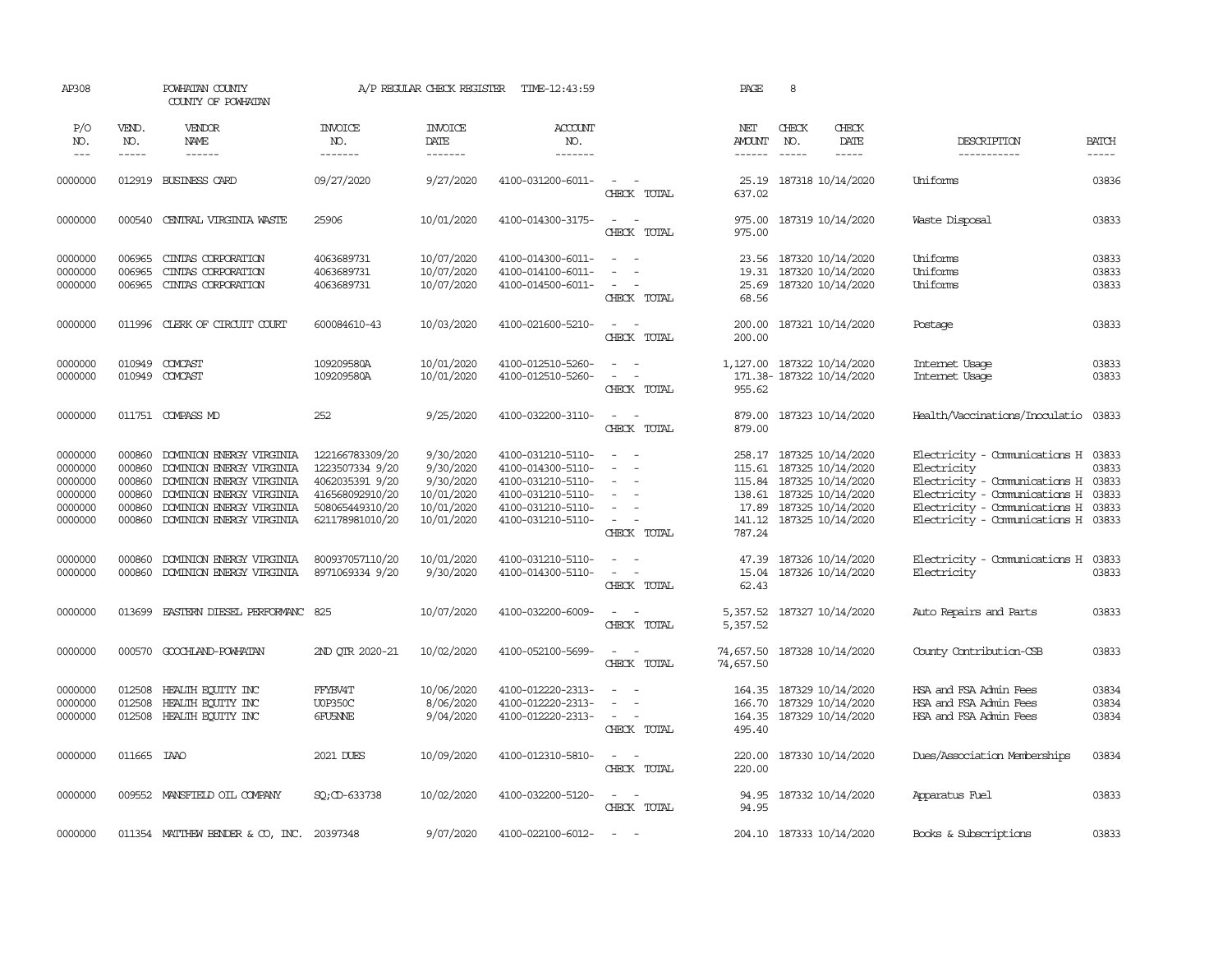| AP308                                                          |                                                          | POWHATAN COUNTY<br>COUNTY OF POWHATAN                                                                                                                                |                                                                                                                | A/P REGULAR CHECK REGISTER                                                                                                                                                                                                                                                                                                                                                                                                                                                                                       | TIME-12:43:59                                                                                                              |                                                                                                                                                                                         | PAGE                                  | 8                                                                                                                                                            |                              |                                                                                                                                                                                                    |                         |
|----------------------------------------------------------------|----------------------------------------------------------|----------------------------------------------------------------------------------------------------------------------------------------------------------------------|----------------------------------------------------------------------------------------------------------------|------------------------------------------------------------------------------------------------------------------------------------------------------------------------------------------------------------------------------------------------------------------------------------------------------------------------------------------------------------------------------------------------------------------------------------------------------------------------------------------------------------------|----------------------------------------------------------------------------------------------------------------------------|-----------------------------------------------------------------------------------------------------------------------------------------------------------------------------------------|---------------------------------------|--------------------------------------------------------------------------------------------------------------------------------------------------------------|------------------------------|----------------------------------------------------------------------------------------------------------------------------------------------------------------------------------------------------|-------------------------|
| P/O<br>NO.<br>$---$                                            | VEND.<br>NO.<br>$- - - - -$                              | VENDOR<br>NAME<br>$- - - - - -$                                                                                                                                      | <b>INVOICE</b><br>NO.<br>-------                                                                               | <b>INVOICE</b><br>DATE<br>$\begin{array}{cccccccccc} \multicolumn{2}{c}{} & \multicolumn{2}{c}{} & \multicolumn{2}{c}{} & \multicolumn{2}{c}{} & \multicolumn{2}{c}{} & \multicolumn{2}{c}{} & \multicolumn{2}{c}{} & \multicolumn{2}{c}{} & \multicolumn{2}{c}{} & \multicolumn{2}{c}{} & \multicolumn{2}{c}{} & \multicolumn{2}{c}{} & \multicolumn{2}{c}{} & \multicolumn{2}{c}{} & \multicolumn{2}{c}{} & \multicolumn{2}{c}{} & \multicolumn{2}{c}{} & \multicolumn{2}{c}{} & \multicolumn{2}{c}{} & \mult$ | <b>ACCOUNT</b><br>NO.<br>-------                                                                                           |                                                                                                                                                                                         | NET<br><b>AMOUNT</b><br>$- - - - - -$ | CHECK<br>NO.<br>$\frac{1}{2}$                                                                                                                                | CHECK<br>DATE<br>$- - - - -$ | DESCRIPTION<br>-----------                                                                                                                                                                         | <b>BATCH</b><br>-----   |
| 0000000                                                        | 012919                                                   | BUSINESS CARD                                                                                                                                                        | 09/27/2020                                                                                                     | 9/27/2020                                                                                                                                                                                                                                                                                                                                                                                                                                                                                                        | 4100-031200-6011-                                                                                                          | $\sim$<br>$\overline{\phantom{a}}$<br>CHECK TOTAL                                                                                                                                       | 25.19<br>637.02                       | 187318 10/14/2020                                                                                                                                            |                              | Uniforms                                                                                                                                                                                           | 03836                   |
| 0000000                                                        |                                                          | 000540 CENTRAL VIRGINIA WASTE                                                                                                                                        | 25906                                                                                                          | 10/01/2020                                                                                                                                                                                                                                                                                                                                                                                                                                                                                                       | 4100-014300-3175-                                                                                                          | $\sim$<br>$\sim$<br>CHECK TOTAL                                                                                                                                                         | 975.00<br>975.00                      | 187319 10/14/2020                                                                                                                                            |                              | Waste Disposal                                                                                                                                                                                     | 03833                   |
| 0000000<br>0000000<br>0000000                                  | 006965<br>006965<br>006965                               | CINIAS CORPORATION<br>CINIAS CORPORATION<br>CINIAS CORPORATION                                                                                                       | 4063689731<br>4063689731<br>4063689731                                                                         | 10/07/2020<br>10/07/2020<br>10/07/2020                                                                                                                                                                                                                                                                                                                                                                                                                                                                           | 4100-014300-6011-<br>4100-014100-6011-<br>4100-014500-6011-                                                                | $\frac{1}{2} \left( \frac{1}{2} \right) \left( \frac{1}{2} \right) = \frac{1}{2} \left( \frac{1}{2} \right)$<br>$\equiv$<br>$\sim$<br>CHECK TOTAL                                       | 23.56<br>19.31<br>68.56               | 187320 10/14/2020<br>187320 10/14/2020<br>25.69 187320 10/14/2020                                                                                            |                              | Uniforms<br>Uniforms<br>Uniforms                                                                                                                                                                   | 03833<br>03833<br>03833 |
| 0000000                                                        | 011996                                                   | CLERK OF CIRCUIT COURT                                                                                                                                               | 600084610-43                                                                                                   | 10/03/2020                                                                                                                                                                                                                                                                                                                                                                                                                                                                                                       | 4100-021600-5210-                                                                                                          | $\sim$<br>$\sim$<br>CHECK TOTAL                                                                                                                                                         | 200.00<br>200.00                      | 187321 10/14/2020                                                                                                                                            |                              | Postage                                                                                                                                                                                            | 03833                   |
| 0000000<br>0000000                                             | 010949<br>010949                                         | COMCAST<br>COMCAST                                                                                                                                                   | 109209580A<br>109209580A                                                                                       | 10/01/2020<br>10/01/2020                                                                                                                                                                                                                                                                                                                                                                                                                                                                                         | 4100-012510-5260-<br>4100-012510-5260-                                                                                     | $\overline{\phantom{a}}$<br>$\sim$<br>$\sim$<br>$\sim$<br>CHECK TOTAL                                                                                                                   | 955.62                                | 1,127.00 187322 10/14/2020<br>171.38-187322 10/14/2020                                                                                                       |                              | Internet Usage<br>Internet Usage                                                                                                                                                                   | 03833<br>03833          |
| 0000000                                                        |                                                          | 011751 COMPASS MD                                                                                                                                                    | 252                                                                                                            | 9/25/2020                                                                                                                                                                                                                                                                                                                                                                                                                                                                                                        | 4100-032200-3110-                                                                                                          | $\sim$<br>$\sim$<br>CHECK TOTAL                                                                                                                                                         | 879.00<br>879.00                      | 187323 10/14/2020                                                                                                                                            |                              | Health/Vaccinations/Inoculatio                                                                                                                                                                     | 03833                   |
| 0000000<br>0000000<br>0000000<br>0000000<br>0000000<br>0000000 | 000860<br>000860<br>000860<br>000860<br>000860<br>000860 | DOMINION ENERGY VIRGINIA<br>DOMINION ENERGY VIRGINIA<br>DOMINION ENERGY VIRGINIA<br>DOMINION ENERGY VIRGINIA<br>DOMINION ENERGY VIRGINIA<br>DOMINION ENERGY VIRGINIA | 122166783309/20<br>1223507334 9/20<br>4062035391 9/20<br>416568092910/20<br>508065449310/20<br>621178981010/20 | 9/30/2020<br>9/30/2020<br>9/30/2020<br>10/01/2020<br>10/01/2020<br>10/01/2020                                                                                                                                                                                                                                                                                                                                                                                                                                    | 4100-031210-5110-<br>4100-014300-5110-<br>4100-031210-5110-<br>4100-031210-5110-<br>4100-031210-5110-<br>4100-031210-5110- | $\sim$<br>$\overline{\phantom{a}}$<br>$\equiv$<br>$\sim$<br>$\frac{1}{2} \left( \frac{1}{2} \right) \left( \frac{1}{2} \right) = \frac{1}{2} \left( \frac{1}{2} \right)$<br>CHECK TOTAL | 258.17<br>787.24                      | 187325 10/14/2020<br>115.61 187325 10/14/2020<br>115.84 187325 10/14/2020<br>138.61 187325 10/14/2020<br>17.89 187325 10/14/2020<br>141.12 187325 10/14/2020 |                              | Electricity - Comunications H<br>Electricity<br>Electricity - Comunications H 03833<br>Electricity - Comunications H<br>Electricity - Comunications H 03833<br>Electricity - Comunications H 03833 | 03833<br>03833<br>03833 |
| 0000000<br>0000000                                             | 000860<br>000860                                         | DOMINION ENERGY VIRGINIA<br>DOMINION ENERGY VIRGINIA                                                                                                                 | 800937057110/20<br>8971069334 9/20                                                                             | 10/01/2020<br>9/30/2020                                                                                                                                                                                                                                                                                                                                                                                                                                                                                          | 4100-031210-5110-<br>4100-014300-5110-                                                                                     | $\sim$<br>$\sim$<br>$\sim$<br>$\sim$<br>CHECK TOTAL                                                                                                                                     | 47.39<br>15.04<br>62.43               | 187326 10/14/2020<br>187326 10/14/2020                                                                                                                       |                              | Electricity - Comunications H<br>Electricity                                                                                                                                                       | 03833<br>03833          |
| 0000000                                                        | 013699                                                   | <b>EASTERN DIESEL PERFORMANC 825</b>                                                                                                                                 |                                                                                                                | 10/07/2020                                                                                                                                                                                                                                                                                                                                                                                                                                                                                                       | 4100-032200-6009-                                                                                                          | $\sim$<br>$\sim$<br>CHECK TOTAL                                                                                                                                                         | 5,357.52<br>5,357.52                  | 187327 10/14/2020                                                                                                                                            |                              | Auto Repairs and Parts                                                                                                                                                                             | 03833                   |
| 0000000                                                        | 000570                                                   | GOOCHLAND-POWHATAN                                                                                                                                                   | 2ND OTR 2020-21                                                                                                | 10/02/2020                                                                                                                                                                                                                                                                                                                                                                                                                                                                                                       | 4100-052100-5699-                                                                                                          | $\overline{\phantom{a}}$<br>$\sim$<br>CHECK TOTAL                                                                                                                                       | 74,657.50                             | 74,657.50 187328 10/14/2020                                                                                                                                  |                              | County Contribution-CSB                                                                                                                                                                            | 03833                   |
| 0000000<br>0000000<br>0000000                                  | 012508<br>012508<br>012508                               | HEALTH EQUITY INC<br>HEALTH ECUTTY INC<br>HEALTH ECUTTY INC                                                                                                          | FFYBV4T<br><b>U0P350C</b><br><b>GFU5NNE</b>                                                                    | 10/06/2020<br>8/06/2020<br>9/04/2020                                                                                                                                                                                                                                                                                                                                                                                                                                                                             | 4100-012220-2313-<br>4100-012220-2313-<br>4100-012220-2313-                                                                | $\sim$<br>$\equiv$<br>$\sim$<br>CHECK TOTAL                                                                                                                                             | 166.70<br>164.35<br>495.40            | 164.35 187329 10/14/2020<br>187329 10/14/2020<br>187329 10/14/2020                                                                                           |                              | HSA and FSA Admin Fees<br>HSA and FSA Admin Fees<br>HSA and FSA Admin Fees                                                                                                                         | 03834<br>03834<br>03834 |
| 0000000                                                        | 011665 IAAO                                              |                                                                                                                                                                      | 2021 DUES                                                                                                      | 10/09/2020                                                                                                                                                                                                                                                                                                                                                                                                                                                                                                       | 4100-012310-5810-                                                                                                          | $\sim$ $ \sim$<br>CHECK TOTAL                                                                                                                                                           | 220.00                                | 220.00 187330 10/14/2020                                                                                                                                     |                              | Dues/Association Memberships                                                                                                                                                                       | 03834                   |
| 0000000                                                        | 009552                                                   | MANSFIELD OIL COMPANY                                                                                                                                                | $SO;CD-633738$                                                                                                 | 10/02/2020                                                                                                                                                                                                                                                                                                                                                                                                                                                                                                       | 4100-032200-5120-                                                                                                          | $\sim$ $ -$<br>CHECK TOTAL                                                                                                                                                              | 94.95<br>94.95                        | 187332 10/14/2020                                                                                                                                            |                              | Apparatus Fuel                                                                                                                                                                                     | 03833                   |
| 0000000                                                        |                                                          | 011354 MATTHEW BENDER & CO, INC. 20397348                                                                                                                            |                                                                                                                | 9/07/2020                                                                                                                                                                                                                                                                                                                                                                                                                                                                                                        | 4100-022100-6012-                                                                                                          | $\sim$                                                                                                                                                                                  |                                       | 204.10 187333 10/14/2020                                                                                                                                     |                              | Books & Subscriptions                                                                                                                                                                              | 03833                   |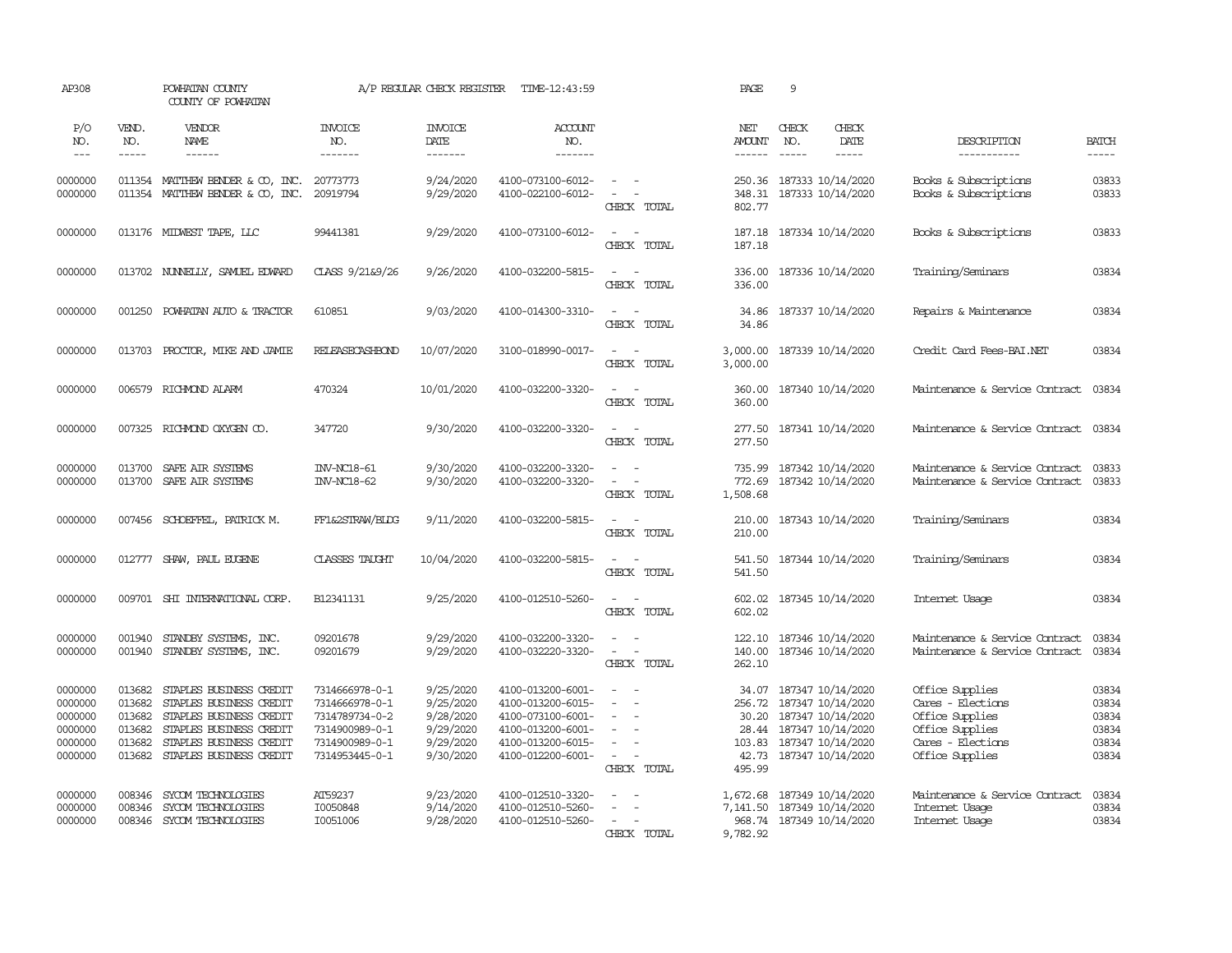| AP308                                                          |                                                          | POWHATAN COUNTY<br>COUNTY OF POWHATAN                                                                                                                          |                                                                                                          | A/P REGULAR CHECK REGISTER                                                 | TIME-12:43:59                                                                                                              |                                                                                                                               | PAGE                                  | 9                                                                                                                                            |                                                                                                                    |                                                    |
|----------------------------------------------------------------|----------------------------------------------------------|----------------------------------------------------------------------------------------------------------------------------------------------------------------|----------------------------------------------------------------------------------------------------------|----------------------------------------------------------------------------|----------------------------------------------------------------------------------------------------------------------------|-------------------------------------------------------------------------------------------------------------------------------|---------------------------------------|----------------------------------------------------------------------------------------------------------------------------------------------|--------------------------------------------------------------------------------------------------------------------|----------------------------------------------------|
| P/O<br>NO.<br>$\frac{1}{2}$                                    | VEND.<br>NO.<br>$- - - - -$                              | VENDOR<br>NAME<br>$- - - - - -$                                                                                                                                | <b>INVOICE</b><br>NO.<br>-------                                                                         | <b>INVOICE</b><br>DATE<br>-------                                          | ACCOUNT<br>NO.<br>--------                                                                                                 |                                                                                                                               | NET<br><b>AMOUNT</b><br>$- - - - - -$ | CHECK<br>CHECK<br>NO.<br>DATE<br>$\frac{1}{2}$<br>$- - - - -$                                                                                | DESCRIPTION<br>-----------                                                                                         | <b>BATCH</b><br>-----                              |
| 0000000<br>0000000                                             |                                                          | 011354 MATTHEW BENDER & CO, INC. 20773773<br>011354 MATTHEW BENDER & CO, INC.                                                                                  | 20919794                                                                                                 | 9/24/2020<br>9/29/2020                                                     | 4100-073100-6012-<br>4100-022100-6012-                                                                                     | $\overline{\phantom{a}}$<br>- -<br>$\equiv$<br>CHECK TOTAL                                                                    | 348.31<br>802.77                      | 250.36 187333 10/14/2020<br>187333 10/14/2020                                                                                                | Books & Subscriptions<br>Books & Subscriptions                                                                     | 03833<br>03833                                     |
| 0000000                                                        |                                                          | 013176 MIDWEST TAPE, LLC                                                                                                                                       | 99441381                                                                                                 | 9/29/2020                                                                  | 4100-073100-6012-                                                                                                          | $\sim$<br>$\sim$<br>CHECK TOTAL                                                                                               | 187.18<br>187.18                      | 187334 10/14/2020                                                                                                                            | Books & Subscriptions                                                                                              | 03833                                              |
| 0000000                                                        |                                                          | 013702 NUNNELLY, SAMUEL EDWARD                                                                                                                                 | CLASS 9/21&9/26                                                                                          | 9/26/2020                                                                  | 4100-032200-5815-                                                                                                          | $\sim$<br>$\sim$<br>CHECK TOTAL                                                                                               | 336.00<br>336.00                      | 187336 10/14/2020                                                                                                                            | Training/Seminars                                                                                                  | 03834                                              |
| 0000000                                                        | 001250                                                   | POWHATAN AUTO & TRACTOR                                                                                                                                        | 610851                                                                                                   | 9/03/2020                                                                  | 4100-014300-3310-                                                                                                          | $\overline{\phantom{a}}$<br>$\sim$ $-$<br>CHECK TOTAL                                                                         | 34.86<br>34.86                        | 187337 10/14/2020                                                                                                                            | Repairs & Maintenance                                                                                              | 03834                                              |
| 0000000                                                        |                                                          | 013703 PROCTOR, MIKE AND JAMIE                                                                                                                                 | <b>RELEASECASHBOND</b>                                                                                   | 10/07/2020                                                                 | 3100-018990-0017-                                                                                                          | $\sim$ $ \sim$<br>CHECK TOTAL                                                                                                 | 3,000.00<br>3,000.00                  | 187339 10/14/2020                                                                                                                            | Credit Card Fees-BAI.NET                                                                                           | 03834                                              |
| 0000000                                                        |                                                          | 006579 RICHMOND ALARM                                                                                                                                          | 470324                                                                                                   | 10/01/2020                                                                 | 4100-032200-3320-                                                                                                          | $\frac{1}{2} \left( \frac{1}{2} \right) \left( \frac{1}{2} \right) = \frac{1}{2} \left( \frac{1}{2} \right)$<br>CHECK TOTAL   | 360.00<br>360.00                      | 187340 10/14/2020                                                                                                                            | Maintenance & Service Contract                                                                                     | 03834                                              |
| 0000000                                                        |                                                          | 007325 RICHMOND OXYGEN CO.                                                                                                                                     | 347720                                                                                                   | 9/30/2020                                                                  | 4100-032200-3320-                                                                                                          | $\overline{\phantom{a}}$<br>$\sim$<br>CHECK TOTAL                                                                             | 277.50<br>277.50                      | 187341 10/14/2020                                                                                                                            | Maintenance & Service Contract 03834                                                                               |                                                    |
| 0000000<br>0000000                                             | 013700<br>013700                                         | SAFE AIR SYSTEMS<br>SAFE AIR SYSTEMS                                                                                                                           | INV-NC18-61<br>INV-NC18-62                                                                               | 9/30/2020<br>9/30/2020                                                     | 4100-032200-3320-<br>4100-032200-3320-                                                                                     | $\sim$<br>$\sim$<br>$\sim$<br>$\sim$<br>CHECK TOTAL                                                                           | 735.99<br>772.69<br>1,508.68          | 187342 10/14/2020<br>187342 10/14/2020                                                                                                       | Maintenance & Service Contract<br>Maintenance & Service Contract                                                   | 03833<br>03833                                     |
| 0000000                                                        | 007456                                                   | SCHOEFFEL, PATRICK M.                                                                                                                                          | FF1&2STRAW/BLDG                                                                                          | 9/11/2020                                                                  | 4100-032200-5815-                                                                                                          | $\sim$<br>$\sim$<br>CHECK TOTAL                                                                                               | 210.00<br>210.00                      | 187343 10/14/2020                                                                                                                            | Training/Seminars                                                                                                  | 03834                                              |
| 0000000                                                        |                                                          | 012777 SHAW, PAUL EUGENE                                                                                                                                       | <b>CLASSES TAUGHT</b>                                                                                    | 10/04/2020                                                                 | 4100-032200-5815-                                                                                                          | $\overline{\phantom{a}}$<br>$\sim$<br>CHECK TOTAL                                                                             | 541.50<br>541.50                      | 187344 10/14/2020                                                                                                                            | Training/Seminars                                                                                                  | 03834                                              |
| 0000000                                                        |                                                          | 009701 SHI INTERNATIONAL CORP.                                                                                                                                 | B12341131                                                                                                | 9/25/2020                                                                  | 4100-012510-5260-                                                                                                          | $\sim$ $ \sim$<br>CHECK TOTAL                                                                                                 | 602.02<br>602.02                      | 187345 10/14/2020                                                                                                                            | Internet Usage                                                                                                     | 03834                                              |
| 0000000<br>0000000                                             | 001940<br>001940                                         | STANDBY SYSTEMS, INC.<br>STANDBY SYSTEMS, INC.                                                                                                                 | 09201678<br>09201679                                                                                     | 9/29/2020<br>9/29/2020                                                     | 4100-032200-3320-<br>4100-032220-3320-                                                                                     | $\equiv$<br>$\sim$<br>$\sim$<br>$\sim$ $-$<br>CHECK TOTAL                                                                     | 122.10<br>140.00<br>262.10            | 187346 10/14/2020<br>187346 10/14/2020                                                                                                       | Maintenance & Service Contract<br>Maintenance & Service Contract                                                   | 03834<br>03834                                     |
| 0000000<br>0000000<br>0000000<br>0000000<br>0000000<br>0000000 | 013682<br>013682<br>013682<br>013682<br>013682<br>013682 | STAPLES BUSINESS CREDIT<br>STAPLES BUSINESS CREDIT<br>STAPLES BUSINESS CREDIT<br>STAPLES BUSINESS CREDIT<br>STAPLES BUSINESS CREDIT<br>STAPLES BUSINESS CREDIT | 7314666978-0-1<br>7314666978-0-1<br>7314789734-0-2<br>7314900989-0-1<br>7314900989-0-1<br>7314953445-0-1 | 9/25/2020<br>9/25/2020<br>9/28/2020<br>9/29/2020<br>9/29/2020<br>9/30/2020 | 4100-013200-6001-<br>4100-013200-6015-<br>4100-073100-6001-<br>4100-013200-6001-<br>4100-013200-6015-<br>4100-012200-6001- | $\sim$<br>$\sim$<br>$\overline{a}$<br>$\sim$<br>$\sim$<br>$\sim$<br>$\equiv$<br>$\overline{\phantom{a}}$<br>÷.<br>CHECK TOTAL | 256.72<br>103.83<br>42.73<br>495.99   | 34.07 187347 10/14/2020<br>187347 10/14/2020<br>30.20 187347 10/14/2020<br>28.44 187347 10/14/2020<br>187347 10/14/2020<br>187347 10/14/2020 | Office Supplies<br>Cares - Elections<br>Office Supplies<br>Office Supplies<br>Cares - Elections<br>Office Supplies | 03834<br>03834<br>03834<br>03834<br>03834<br>03834 |
| 0000000<br>0000000<br>0000000                                  | 008346<br>008346<br>008346                               | SYCOM TECHNOLOGIES<br>SYCOM TECHNOLOGIES<br>SYCOM TECHNOLOGIES                                                                                                 | AT59237<br>I0050848<br>I0051006                                                                          | 9/23/2020<br>9/14/2020<br>9/28/2020                                        | 4100-012510-3320-<br>4100-012510-5260-<br>4100-012510-5260-                                                                | $\equiv$<br>. —<br>CHECK TOTAL                                                                                                | 1,672.68<br>9,782.92                  | 187349 10/14/2020<br>7,141.50 187349 10/14/2020<br>968.74 187349 10/14/2020                                                                  | Maintenance & Service Contract<br>Internet Usage<br>Internet Usage                                                 | 03834<br>03834<br>03834                            |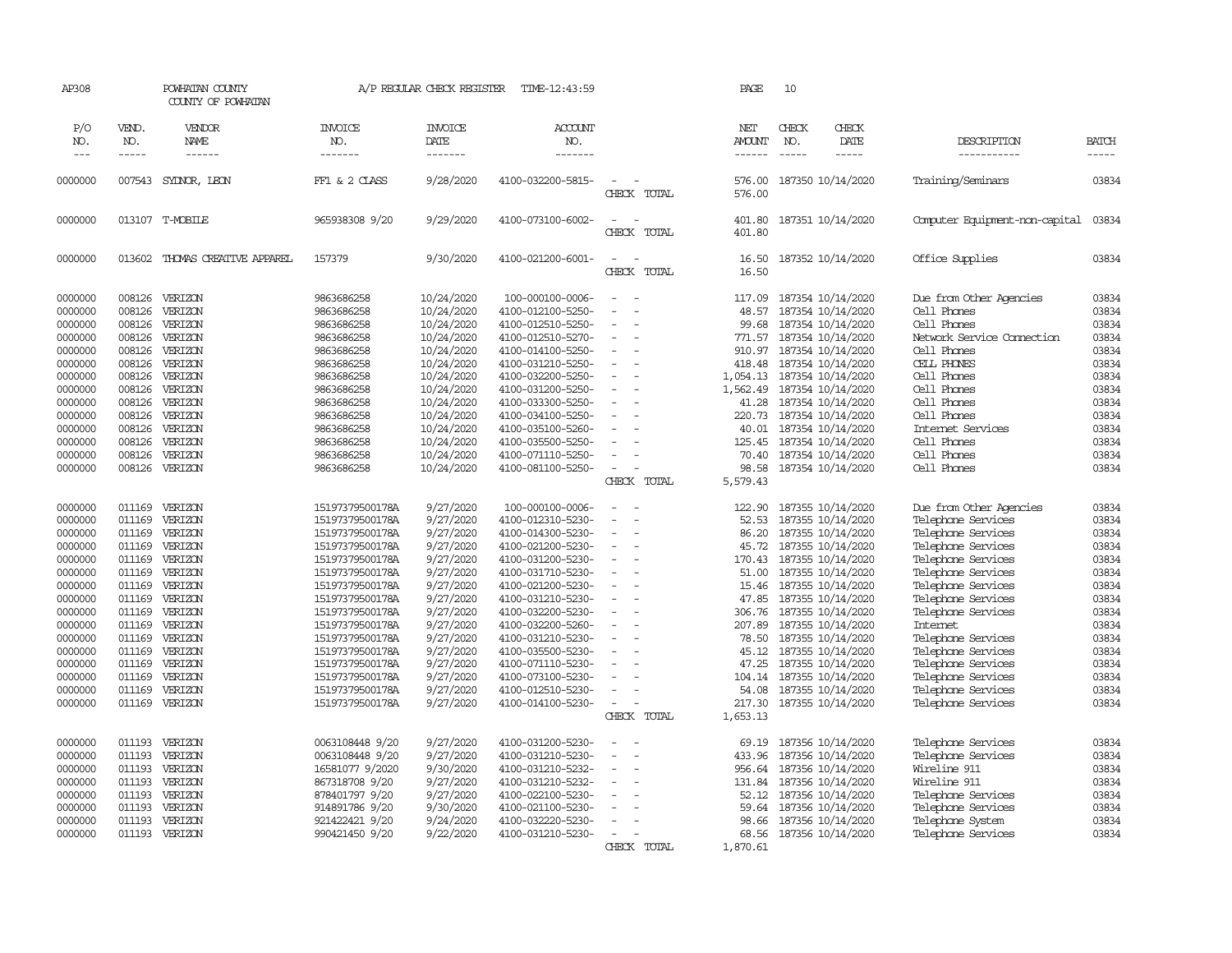| AP308              |                  | POWHATAN COUNTY<br>COUNTY OF POWHATAN |                       | A/P REGULAR CHECK REGISTER | TIME-12:43:59                          |                                      |             | PAGE                 | 10            |                                        |                                          |                |
|--------------------|------------------|---------------------------------------|-----------------------|----------------------------|----------------------------------------|--------------------------------------|-------------|----------------------|---------------|----------------------------------------|------------------------------------------|----------------|
| P/O<br>NO.         | VEND.<br>NO.     | VENDOR<br>NAME                        | <b>INVOICE</b><br>NO. | <b>INVOICE</b><br>DATE     | ACCOUNT<br>NO.                         |                                      |             | NET<br><b>AMOUNT</b> | CHECK<br>NO.  | CHECK<br>DATE                          | DESCRIPTION                              | <b>BATCH</b>   |
| $---$              | $- - - - -$      | ------                                | -------               | -------                    | -------                                |                                      |             | $- - - - - -$        | $\frac{1}{2}$ | -----                                  | -----------                              | $- - - - -$    |
| 0000000            | 007543           | SYDNOR, LEON                          | FF1 & 2 CLASS         | 9/28/2020                  | 4100-032200-5815-                      | CHECK TOTAL                          |             | 576.00<br>576.00     |               | 187350 10/14/2020                      | Training/Seminars                        | 03834          |
| 0000000            |                  | 013107 T-MOBILE                       | 965938308 9/20        | 9/29/2020                  | 4100-073100-6002-                      | $\equiv$<br>$\overline{\phantom{a}}$ | CHECK TOTAL | 401.80<br>401.80     |               | 187351 10/14/2020                      | Computer Equipment-non-capital           | 03834          |
| 0000000            | 013602           | THOMAS CREATTVE APPAREL               | 157379                | 9/30/2020                  | 4100-021200-6001-                      | $\sim$<br>$\sim$                     | CHECK TOTAL | 16.50<br>16.50       |               | 187352 10/14/2020                      | Office Supplies                          | 03834          |
| 0000000            | 008126           | VERIZON                               | 9863686258            | 10/24/2020                 | 100-000100-0006-                       | $\sim$                               |             | 117.09               |               | 187354 10/14/2020                      | Due from Other Agencies                  | 03834          |
| 0000000            | 008126           | VERIZON                               | 9863686258            | 10/24/2020                 | 4100-012100-5250-                      |                                      |             | 48.57                |               | 187354 10/14/2020                      | Cell Phones                              | 03834          |
| 0000000            | 008126           | VERIZON                               | 9863686258            | 10/24/2020                 | 4100-012510-5250-                      | $\overline{\phantom{a}}$             |             | 99.68                |               | 187354 10/14/2020                      | Cell Phones                              | 03834          |
| 0000000            | 008126           | VERIZON                               | 9863686258            | 10/24/2020                 | 4100-012510-5270-                      | $\sim$                               |             | 771.57               |               | 187354 10/14/2020                      | Network Service Connection               | 03834          |
| 0000000            | 008126           | VERIZON                               | 9863686258            | 10/24/2020                 | 4100-014100-5250-                      | $\sim$                               |             | 910.97               |               | 187354 10/14/2020                      | Cell Phones                              | 03834          |
| 0000000            | 008126           | VERIZON                               | 9863686258            | 10/24/2020                 | 4100-031210-5250-                      | $\sim$                               |             | 418.48               |               | 187354 10/14/2020                      | CELL PHONES                              | 03834          |
| 0000000            | 008126           | VERIZON                               | 9863686258            | 10/24/2020                 | 4100-032200-5250-                      | $\bar{a}$                            |             | 1,054.13             |               | 187354 10/14/2020                      | Cell Phones                              | 03834          |
| 0000000            | 008126           | VERIZON                               | 9863686258            | 10/24/2020                 | 4100-031200-5250-                      | $\sim$                               |             | 1,562.49             |               | 187354 10/14/2020                      | Cell Phones                              | 03834          |
| 0000000            | 008126           | VERIZON                               | 9863686258            | 10/24/2020                 | 4100-033300-5250-                      |                                      |             | 41.28                |               | 187354 10/14/2020                      | Cell Phones                              | 03834          |
| 0000000            | 008126           | VERIZON                               | 9863686258            | 10/24/2020                 | 4100-034100-5250-                      |                                      |             | 220.73               |               | 187354 10/14/2020                      | Cell Phones                              | 03834          |
| 0000000            | 008126           | VERIZON                               | 9863686258            | 10/24/2020                 | 4100-035100-5260-                      |                                      |             | 40.01                |               | 187354 10/14/2020                      | Internet Services                        | 03834          |
| 0000000            | 008126           | VERIZON                               | 9863686258            | 10/24/2020                 | 4100-035500-5250-                      | $\sim$                               |             | 125.45               |               | 187354 10/14/2020                      | Cell Phones                              | 03834          |
| 0000000            | 008126           | VERIZON                               | 9863686258            | 10/24/2020                 | 4100-071110-5250-                      |                                      |             |                      |               | 70.40 187354 10/14/2020                | Cell Phones                              | 03834          |
| 0000000            | 008126           | VERIZON                               | 9863686258            | 10/24/2020                 | 4100-081100-5250-                      | $\sim$                               |             | 98.58                |               | 187354 10/14/2020                      | Cell Phones                              | 03834          |
|                    |                  |                                       |                       |                            |                                        |                                      | CHECK TOTAL | 5,579.43             |               |                                        |                                          |                |
| 0000000            | 011169           | VERIZON                               | 15197379500178A       | 9/27/2020                  | 100-000100-0006-                       | $\equiv$                             |             | 122.90               |               | 187355 10/14/2020                      | Due from Other Agencies                  | 03834          |
| 0000000            | 011169           | VERIZON                               | 15197379500178A       | 9/27/2020                  | 4100-012310-5230-                      | $\equiv$<br>$\sim$                   |             | 52.53                |               | 187355 10/14/2020                      | Telephone Services                       | 03834          |
| 0000000            | 011169           | VERIZON                               | 15197379500178A       | 9/27/2020                  | 4100-014300-5230-                      | $\sim$                               |             | 86.20                |               | 187355 10/14/2020                      | Telephone Services                       | 03834          |
| 0000000            | 011169           | VERIZON                               | 15197379500178A       | 9/27/2020                  | 4100-021200-5230-                      | $\sim$                               |             | 45.72                |               | 187355 10/14/2020                      | Telephone Services                       | 03834          |
| 0000000            | 011169           | VERIZON                               | 15197379500178A       | 9/27/2020                  | 4100-031200-5230-                      | $\sim$                               |             | 170.43               |               | 187355 10/14/2020                      | Telephone Services                       | 03834          |
| 0000000            | 011169           | VERIZON                               | 15197379500178A       | 9/27/2020                  | 4100-031710-5230-                      | $\bar{a}$                            |             | 51.00                |               | 187355 10/14/2020                      | Telephone Services                       | 03834          |
| 0000000            | 011169           | VERIZON                               | 15197379500178A       | 9/27/2020                  | 4100-021200-5230-                      | $\sim$                               |             | 15.46                |               | 187355 10/14/2020                      | Telephone Services                       | 03834          |
| 0000000            | 011169           | VERIZON                               | 15197379500178A       | 9/27/2020                  | 4100-031210-5230-                      |                                      |             | 47.85                |               | 187355 10/14/2020                      | Telephone Services                       | 03834          |
| 0000000            | 011169           | VERIZON                               | 15197379500178A       | 9/27/2020                  | 4100-032200-5230-                      | $\equiv$                             |             | 306.76               |               | 187355 10/14/2020                      | Telephone Services                       | 03834          |
| 0000000            | 011169           | VERIZON                               | 15197379500178A       | 9/27/2020                  | 4100-032200-5260-                      | $\equiv$                             |             | 207.89               |               | 187355 10/14/2020                      | Internet                                 | 03834          |
| 0000000            | 011169           | VERIZON                               | 15197379500178A       | 9/27/2020                  | 4100-031210-5230-                      | $\sim$                               |             | 78.50                |               | 187355 10/14/2020                      | Telephone Services                       | 03834          |
| 0000000            | 011169           | VERIZON                               | 15197379500178A       | 9/27/2020                  | 4100-035500-5230-                      |                                      |             | 45.12                |               | 187355 10/14/2020                      | Telephone Services                       | 03834          |
| 0000000            | 011169           | VERIZON                               | 15197379500178A       | 9/27/2020                  | 4100-071110-5230-                      | $\sim$                               |             | 47.25                |               | 187355 10/14/2020                      | Telephone Services                       | 03834          |
| 0000000            | 011169           | VERIZON                               | 15197379500178A       | 9/27/2020                  | 4100-073100-5230-                      |                                      |             | 104.14               |               | 187355 10/14/2020                      | Telephone Services                       | 03834          |
| 0000000            | 011169           | VERIZON                               | 15197379500178A       | 9/27/2020                  | 4100-012510-5230-                      | $\equiv$                             |             | 54.08                |               | 187355 10/14/2020                      | Telephone Services                       | 03834          |
| 0000000            | 011169           | VERIZON                               | 15197379500178A       | 9/27/2020                  | 4100-014100-5230-                      | $\overline{\phantom{a}}$             |             | 217.30               |               | 187355 10/14/2020                      | Telephone Services                       | 03834          |
|                    |                  |                                       |                       |                            |                                        |                                      | CHECK TOTAL | 1,653.13             |               |                                        |                                          |                |
|                    | 011193           |                                       |                       |                            |                                        |                                      |             |                      |               |                                        |                                          |                |
| 0000000            | 011193           | VERIZON<br>VERIZON                    | 0063108448 9/20       | 9/27/2020                  | 4100-031200-5230-<br>4100-031210-5230- | $\sim$                               |             | 69.19                |               | 187356 10/14/2020<br>187356 10/14/2020 | Telephone Services<br>Telephone Services | 03834<br>03834 |
| 0000000            | 011193           | VERIZON                               | 0063108448 9/20       | 9/27/2020<br>9/30/2020     |                                        | $\sim$                               |             | 433.96               |               |                                        | Wireline 911                             | 03834          |
| 0000000<br>0000000 | 011193           | VERIZON                               | 16581077 9/2020       |                            | 4100-031210-5232-<br>4100-031210-5232- | $\sim$                               |             | 956.64<br>131.84     |               | 187356 10/14/2020                      | Wireline 911                             | 03834          |
|                    | 011193           |                                       | 867318708 9/20        | 9/27/2020                  |                                        |                                      |             |                      |               | 187356 10/14/2020                      |                                          |                |
| 0000000            |                  | VERIZON                               | 878401797 9/20        | 9/27/2020                  | 4100-022100-5230-                      | $\overline{\phantom{a}}$             |             | 52.12                |               | 187356 10/14/2020                      | Telephone Services                       | 03834<br>03834 |
| 0000000<br>0000000 | 011193<br>011193 | VERIZON<br>VERIZON                    | 914891786 9/20        | 9/30/2020                  | 4100-021100-5230-                      |                                      |             | 59.64                |               | 187356 10/14/2020                      | Telephone Services                       | 03834          |
|                    |                  |                                       | 921422421 9/20        | 9/24/2020                  | 4100-032220-5230-                      | $\sim$                               |             | 98.66                |               | 187356 10/14/2020                      | Telephone System                         | 03834          |
| 0000000            |                  | 011193 VERIZON                        | 990421450 9/20        | 9/22/2020                  | 4100-031210-5230-                      | CHECK TOTAL                          |             | 68.56                |               | 187356 10/14/2020                      | Telephone Services                       |                |
|                    |                  |                                       |                       |                            |                                        |                                      |             | 1,870.61             |               |                                        |                                          |                |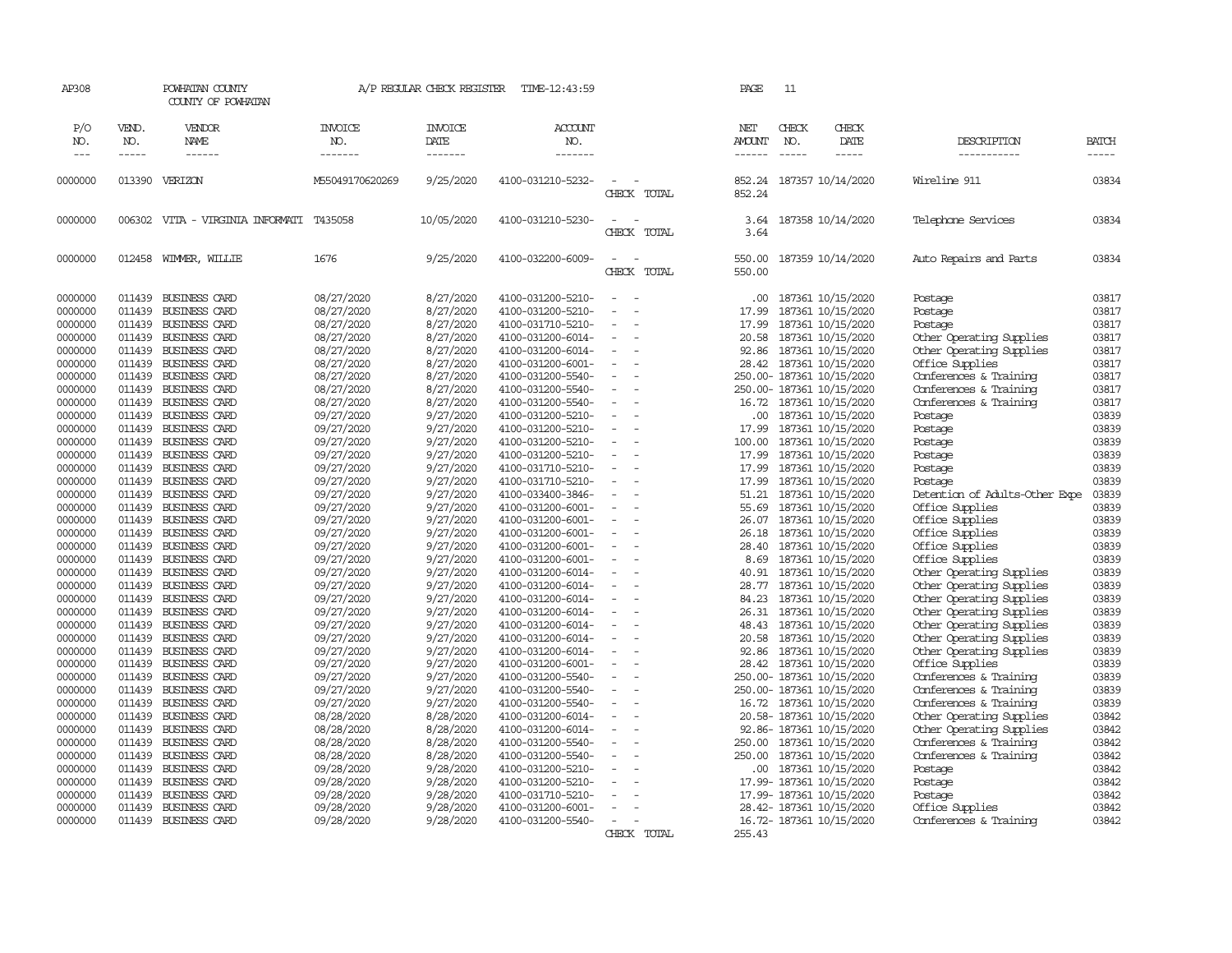| AP308               |                               | POWHATAN COUNTY<br>COUNTY OF POWHATAN    |                                  | A/P REGULAR CHECK REGISTER         | TIME-12:43:59                     |                          |             | PAGE                                  | 11                            |                           |                                |                             |
|---------------------|-------------------------------|------------------------------------------|----------------------------------|------------------------------------|-----------------------------------|--------------------------|-------------|---------------------------------------|-------------------------------|---------------------------|--------------------------------|-----------------------------|
| P/O<br>NO.<br>$---$ | VEND.<br>NO.<br>$\frac{1}{2}$ | VENDOR<br>NAME<br>$- - - - - -$          | <b>INVOICE</b><br>NO.<br>------- | <b>INVOICE</b><br>DATE<br>-------- | ACCOUNT<br>NO.<br>$- - - - - - -$ |                          |             | NET<br><b>AMOUNT</b><br>$- - - - - -$ | CHECK<br>NO.<br>$\frac{1}{2}$ | CHECK<br>DATE<br>-----    | DESCRIPTION<br>-----------     | <b>BATCH</b><br>$- - - - -$ |
|                     |                               |                                          |                                  |                                    |                                   |                          |             |                                       |                               |                           |                                |                             |
| 0000000             |                               | 013390 VERIZON                           | M55049170620269                  | 9/25/2020                          | 4100-031210-5232-                 |                          | CHECK TOTAL | 852.24<br>852.24                      |                               | 187357 10/14/2020         | Wireline 911                   | 03834                       |
| 0000000             |                               | 006302 VITA - VIRGINIA INFORMATI T435058 |                                  | 10/05/2020                         | 4100-031210-5230-                 | $\sim$<br>. —            | CHECK TOTAL | 3.64<br>3.64                          |                               | 187358 10/14/2020         | Telephone Services             | 03834                       |
| 0000000             | 012458                        | WIMMER, WILLIE                           | 1676                             | 9/25/2020                          | 4100-032200-6009-                 | $\sim$<br>$\sim$         | CHECK TOTAL | 550.00<br>550.00                      |                               | 187359 10/14/2020         | Auto Repairs and Parts         | 03834                       |
| 0000000             | 011439                        | BUSINESS CARD                            | 08/27/2020                       | 8/27/2020                          | 4100-031200-5210-                 | $\equiv$                 |             | .00.                                  |                               | 187361 10/15/2020         | Postage                        | 03817                       |
| 0000000             | 011439                        | <b>BUSINESS CARD</b>                     | 08/27/2020                       | 8/27/2020                          | 4100-031200-5210-                 | $\equiv$<br>$\sim$       |             | 17.99                                 |                               | 187361 10/15/2020         | Postage                        | 03817                       |
| 0000000             | 011439                        | BUSINESS CARD                            | 08/27/2020                       | 8/27/2020                          | 4100-031710-5210-                 | $\sim$                   |             | 17.99                                 |                               | 187361 10/15/2020         | Postage                        | 03817                       |
| 0000000             | 011439                        | BUSINESS CARD                            | 08/27/2020                       | 8/27/2020                          | 4100-031200-6014-                 |                          |             | 20.58                                 |                               | 187361 10/15/2020         | Other Operating Supplies       | 03817                       |
| 0000000             | 011439                        | BUSINESS CARD                            | 08/27/2020                       | 8/27/2020                          | 4100-031200-6014-                 | $\overline{\phantom{a}}$ |             | 92.86                                 |                               | 187361 10/15/2020         | Other Operating Supplies       | 03817                       |
| 0000000             | 011439                        | BUSINESS CARD                            | 08/27/2020                       | 8/27/2020                          | 4100-031200-6001-                 | $\equiv$                 |             | 28.42                                 |                               | 187361 10/15/2020         | Office Supplies                | 03817                       |
| 0000000             | 011439                        | BUSINESS CARD                            | 08/27/2020                       | 8/27/2020                          | 4100-031200-5540-                 | $\equiv$                 |             |                                       |                               | 250.00- 187361 10/15/2020 | Conferences & Training         | 03817                       |
| 0000000             | 011439                        | <b>BUSINESS CARD</b>                     | 08/27/2020                       | 8/27/2020                          | 4100-031200-5540-                 |                          |             |                                       |                               | 250.00- 187361 10/15/2020 | Conferences & Training         | 03817                       |
| 0000000             | 011439                        | BUSINESS CARD                            | 08/27/2020                       | 8/27/2020                          | 4100-031200-5540-                 | $\equiv$                 |             | 16.72                                 |                               | 187361 10/15/2020         | Conferences & Training         | 03817                       |
| 0000000             | 011439                        | BUSINESS CARD                            | 09/27/2020                       | 9/27/2020                          | 4100-031200-5210-                 | $\equiv$                 |             | .00                                   |                               | 187361 10/15/2020         | Postage                        | 03839                       |
| 0000000             | 011439                        | BUSINESS CARD                            | 09/27/2020                       | 9/27/2020                          | 4100-031200-5210-                 |                          |             | 17.99                                 |                               | 187361 10/15/2020         | Postage                        | 03839                       |
| 0000000             | 011439                        | BUSINESS CARD                            | 09/27/2020                       | 9/27/2020                          | 4100-031200-5210-                 | $\blacksquare$           |             | 100.00                                |                               | 187361 10/15/2020         | Postage                        | 03839                       |
| 0000000             | 011439                        | BUSINESS CARD                            | 09/27/2020                       | 9/27/2020                          | 4100-031200-5210-                 | $\sim$                   |             | 17.99                                 |                               | 187361 10/15/2020         | Postage                        | 03839                       |
| 0000000             | 011439                        | BUSINESS CARD                            | 09/27/2020                       | 9/27/2020                          | 4100-031710-5210-                 | $\equiv$                 |             | 17.99                                 |                               | 187361 10/15/2020         | Postage                        | 03839                       |
| 0000000             | 011439                        | <b>BUSINESS CARD</b>                     | 09/27/2020                       | 9/27/2020                          | 4100-031710-5210-                 | $\equiv$                 |             | 17.99                                 |                               | 187361 10/15/2020         | Postage                        | 03839                       |
| 0000000             | 011439                        | BUSINESS CARD                            | 09/27/2020                       | 9/27/2020                          | 4100-033400-3846-                 | $\equiv$                 |             | 51.21                                 |                               | 187361 10/15/2020         | Detention of Adults-Other Expe | 03839                       |
| 0000000             | 011439                        | BUSINESS CARD                            | 09/27/2020                       | 9/27/2020                          | 4100-031200-6001-                 | $\sim$                   |             | 55.69                                 |                               | 187361 10/15/2020         | Office Supplies                | 03839                       |
| 0000000             | 011439                        | <b>BUSINESS CARD</b>                     | 09/27/2020                       | 9/27/2020                          | 4100-031200-6001-                 |                          |             | 26.07                                 |                               | 187361 10/15/2020         | Office Supplies                | 03839                       |
| 0000000             | 011439                        | BUSINESS CARD                            | 09/27/2020                       | 9/27/2020                          | 4100-031200-6001-                 | $\blacksquare$           |             | 26.18                                 |                               | 187361 10/15/2020         | Office Supplies                | 03839                       |
| 0000000             | 011439                        | <b>BUSINESS CARD</b>                     | 09/27/2020                       | 9/27/2020                          | 4100-031200-6001-                 | $\sim$                   |             | 28.40                                 |                               | 187361 10/15/2020         | Office Supplies                | 03839                       |
| 0000000             | 011439                        | BUSINESS CARD                            | 09/27/2020                       | 9/27/2020                          | 4100-031200-6001-                 | $\equiv$                 |             | 8.69                                  |                               | 187361 10/15/2020         | Office Supplies                | 03839                       |
| 0000000             | 011439                        | BUSINESS CARD                            | 09/27/2020                       | 9/27/2020                          | 4100-031200-6014-                 | $\blacksquare$           |             | 40.91                                 |                               | 187361 10/15/2020         | Other Operating Supplies       | 03839                       |
| 0000000             | 011439                        | BUSINESS CARD                            | 09/27/2020                       | 9/27/2020                          | 4100-031200-6014-                 | $\equiv$                 |             | 28.77                                 |                               | 187361 10/15/2020         | Other Operating Supplies       | 03839                       |
| 0000000             | 011439                        | <b>BUSINESS CARD</b>                     | 09/27/2020                       | 9/27/2020                          | 4100-031200-6014-                 | $\overline{\phantom{a}}$ |             | 84.23                                 |                               | 187361 10/15/2020         | Other Operating Supplies       | 03839                       |
| 0000000             | 011439                        | <b>BUSINESS CARD</b>                     | 09/27/2020                       | 9/27/2020                          | 4100-031200-6014-                 |                          |             |                                       |                               | 26.31 187361 10/15/2020   | Other Operating Supplies       | 03839                       |
| 0000000             | 011439                        | BUSINESS CARD                            | 09/27/2020                       | 9/27/2020                          | 4100-031200-6014-                 | $\equiv$                 |             | 48.43                                 |                               | 187361 10/15/2020         | Other Operating Supplies       | 03839                       |
| 0000000             | 011439                        | <b>BUSINESS CARD</b>                     | 09/27/2020                       | 9/27/2020                          | 4100-031200-6014-                 | $\equiv$                 |             | 20.58                                 |                               | 187361 10/15/2020         | Other Operating Supplies       | 03839                       |
| 0000000             | 011439                        | <b>BUSINESS CARD</b>                     | 09/27/2020                       | 9/27/2020                          | 4100-031200-6014-                 | $\equiv$                 |             | 92.86                                 |                               | 187361 10/15/2020         | Other Operating Supplies       | 03839                       |
| 0000000             | 011439                        | <b>BUSINESS CARD</b>                     | 09/27/2020                       | 9/27/2020                          | 4100-031200-6001-                 | $\equiv$                 |             | 28.42                                 |                               | 187361 10/15/2020         | Office Supplies                | 03839                       |
| 0000000             | 011439                        | BUSINESS CARD                            | 09/27/2020                       | 9/27/2020                          | 4100-031200-5540-                 | $\equiv$                 |             |                                       |                               | 250.00- 187361 10/15/2020 | Conferences & Training         | 03839                       |
| 0000000             | 011439                        | <b>BUSINESS CARD</b>                     | 09/27/2020                       | 9/27/2020                          | 4100-031200-5540-                 | $\overline{\phantom{a}}$ |             |                                       |                               | 250.00- 187361 10/15/2020 | Conferences & Training         | 03839                       |
| 0000000             | 011439                        | <b>BUSINESS CARD</b>                     | 09/27/2020                       | 9/27/2020                          | 4100-031200-5540-                 | $\equiv$                 |             |                                       |                               | 16.72 187361 10/15/2020   | Conferences & Training         | 03839                       |
| 0000000             | 011439                        | <b>BUSINESS CARD</b>                     | 08/28/2020                       | 8/28/2020                          | 4100-031200-6014-                 | $\equiv$                 |             |                                       |                               | 20.58-187361 10/15/2020   | Other Operating Supplies       | 03842                       |
| 0000000             | 011439                        | BUSINESS CARD                            | 08/28/2020                       | 8/28/2020                          | 4100-031200-6014-                 | $\equiv$                 |             |                                       |                               | 92.86-187361 10/15/2020   | Other Operating Supplies       | 03842                       |
| 0000000             | 011439                        | BUSINESS CARD                            | 08/28/2020                       | 8/28/2020                          | 4100-031200-5540-                 |                          |             | 250.00                                |                               | 187361 10/15/2020         | Conferences & Training         | 03842                       |
| 0000000             | 011439                        | BUSINESS CARD                            | 08/28/2020                       | 8/28/2020                          | 4100-031200-5540-                 | $\equiv$                 |             |                                       |                               | 250.00 187361 10/15/2020  | Conferences & Training         | 03842                       |
| 0000000             | 011439                        | BUSINESS CARD                            | 09/28/2020                       | 9/28/2020                          | 4100-031200-5210-                 | $\sim$                   |             | .00                                   |                               | 187361 10/15/2020         | Postage                        | 03842                       |
| 0000000             | 011439                        | <b>BUSINESS CARD</b>                     | 09/28/2020                       | 9/28/2020                          | 4100-031200-5210-                 | $\overline{\phantom{a}}$ |             |                                       |                               | 17.99- 187361 10/15/2020  | Postage                        | 03842                       |
| 0000000             | 011439                        | BUSINESS CARD                            | 09/28/2020                       | 9/28/2020                          | 4100-031710-5210-                 |                          |             |                                       |                               | 17.99- 187361 10/15/2020  | Postage                        | 03842                       |
| 0000000             | 011439                        | <b>BUSINESS CARD</b>                     | 09/28/2020                       | 9/28/2020                          | 4100-031200-6001-                 | $\sim$                   |             |                                       |                               | 28.42- 187361 10/15/2020  | Office Supplies                | 03842                       |
| 0000000             | 011439                        | BUSINESS CARD                            | 09/28/2020                       | 9/28/2020                          | 4100-031200-5540-                 | $\blacksquare$           |             |                                       |                               | 16.72- 187361 10/15/2020  | Conferences & Training         | 03842                       |
|                     |                               |                                          |                                  |                                    |                                   |                          | CHECK TOTAL | 255.43                                |                               |                           |                                |                             |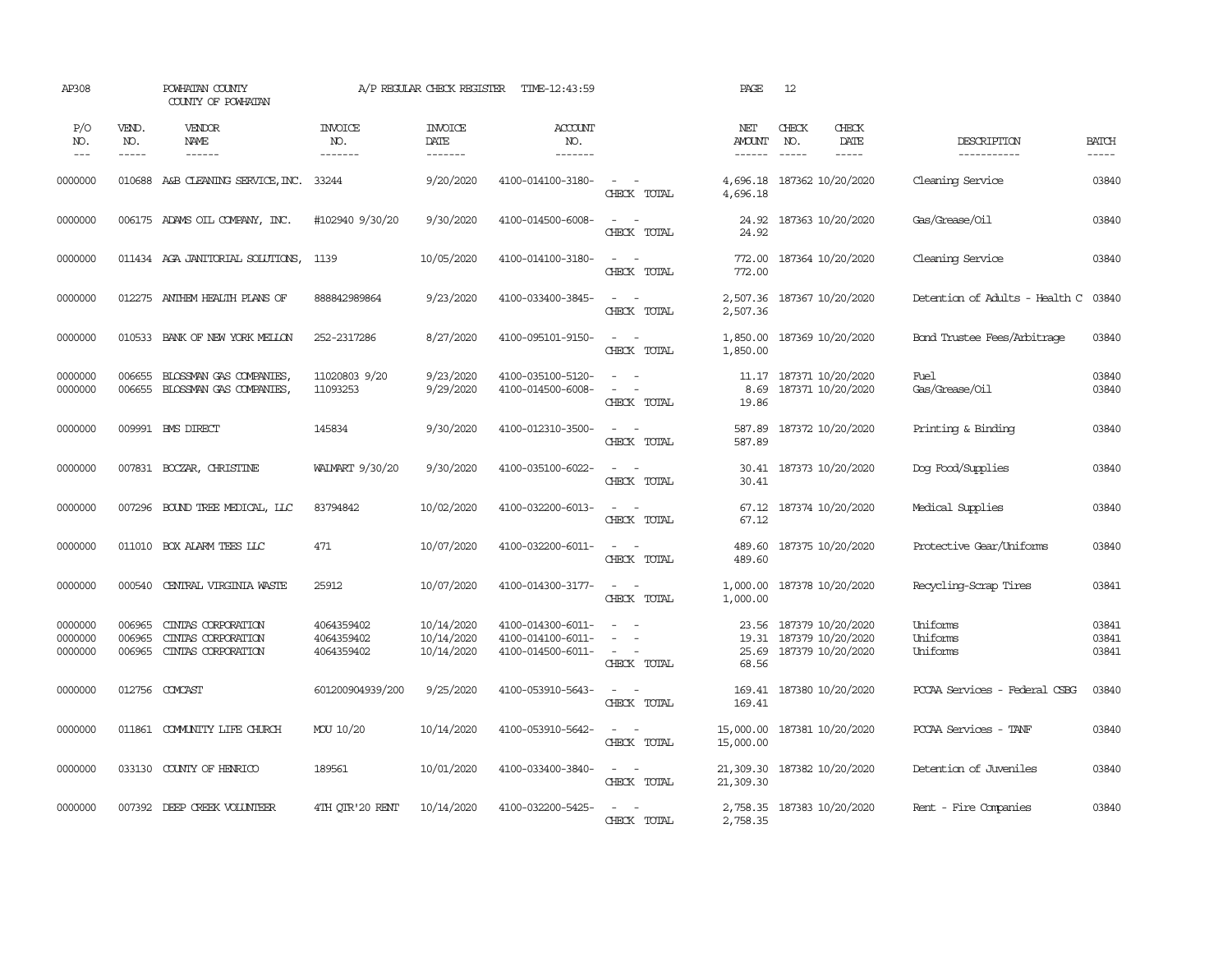| AP308                         |                            | POWHATAN COUNTY<br>COUNTY OF POWHATAN                          |                                        | A/P REGULAR CHECK REGISTER             | TIME-12:43:59                                               |                                                                                                                             | PAGE                                   | 12                            |                                                             |                                      |                         |
|-------------------------------|----------------------------|----------------------------------------------------------------|----------------------------------------|----------------------------------------|-------------------------------------------------------------|-----------------------------------------------------------------------------------------------------------------------------|----------------------------------------|-------------------------------|-------------------------------------------------------------|--------------------------------------|-------------------------|
| P/O<br>NO.<br>$---$           | VEND.<br>NO.<br>-----      | VENDOR<br>NAME<br>------                                       | <b>INVOICE</b><br>NO.<br>-------       | <b>INVOICE</b><br>DATE<br>-------      | <b>ACCOUNT</b><br>NO.<br>-------                            |                                                                                                                             | NET<br>AMOUNT<br>------                | CHECK<br>NO.<br>$\frac{1}{2}$ | CHECK<br>DATE<br>$- - - - -$                                | DESCRIPTION<br>-----------           | <b>BATCH</b><br>-----   |
| 0000000                       |                            | 010688 A&B CLEANING SERVICE, INC.                              | 33244                                  | 9/20/2020                              | 4100-014100-3180-                                           | $\overline{\phantom{a}}$<br>$\sim$ $-$<br>CHECK TOTAL                                                                       | 4,696.18<br>4,696.18                   |                               | 187362 10/20/2020                                           | Cleaning Service                     | 03840                   |
| 0000000                       |                            | 006175 ADAMS OIL COMPANY, INC.                                 | #102940 9/30/20                        | 9/30/2020                              | 4100-014500-6008-                                           | $\sim$<br>$\sim$<br>CHECK TOTAL                                                                                             | 24.92<br>24.92                         |                               | 187363 10/20/2020                                           | Gas/Grease/Oil                       | 03840                   |
| 0000000                       |                            | 011434 AGA JANITORIAL SOLUTIONS, 1139                          |                                        | 10/05/2020                             | 4100-014100-3180-                                           | $\overline{\phantom{a}}$<br>$\sim$<br>CHECK TOTAL                                                                           | 772.00<br>772.00                       |                               | 187364 10/20/2020                                           | Cleaning Service                     | 03840                   |
| 0000000                       |                            | 012275 ANTHEM HEALTH PLANS OF                                  | 888842989864                           | 9/23/2020                              | 4100-033400-3845-                                           | $\sim$ $ \sim$<br>CHECK TOTAL                                                                                               | 2,507.36                               |                               | 2,507.36 187367 10/20/2020                                  | Detention of Adults - Health C 03840 |                         |
| 0000000                       |                            | 010533 BANK OF NEW YORK MELLON                                 | 252-2317286                            | 8/27/2020                              | 4100-095101-9150-                                           | $\sim$<br>$\sim$<br>CHECK TOTAL                                                                                             | 1,850.00 187369 10/20/2020<br>1,850.00 |                               |                                                             | <b>Bond Trustee Fees/Arbitrage</b>   | 03840                   |
| 0000000<br>0000000            | 006655<br>006655           | BLOSSMAN GAS COMPANIES<br>BLOSSMAN GAS COMPANIES,              | 11020803 9/20<br>11093253              | 9/23/2020<br>9/29/2020                 | 4100-035100-5120-<br>4100-014500-6008-                      | $\sim$<br>$\sim$<br>$\overline{a}$<br>$\overline{\phantom{a}}$<br>CHECK TOTAL                                               | 11.17<br>8.69<br>19.86                 |                               | 187371 10/20/2020<br>187371 10/20/2020                      | Fuel<br>Gas/Grease/Oil               | 03840<br>03840          |
| 0000000                       |                            | 009991 BMS DIRECT                                              | 145834                                 | 9/30/2020                              | 4100-012310-3500-                                           | $\frac{1}{2} \left( \frac{1}{2} \right) \left( \frac{1}{2} \right) = \frac{1}{2} \left( \frac{1}{2} \right)$<br>CHECK TOTAL | 587.89<br>587.89                       |                               | 187372 10/20/2020                                           | Printing & Binding                   | 03840                   |
| 0000000                       |                            | 007831 BOCZAR, CHRISTINE                                       | WALMART 9/30/20                        | 9/30/2020                              | 4100-035100-6022-                                           | $\omega_{\rm{max}}$ and $\omega_{\rm{max}}$<br>CHECK TOTAL                                                                  | 30.41                                  |                               | 30.41 187373 10/20/2020                                     | Dog Food/Supplies                    | 03840                   |
| 0000000                       |                            | 007296 BOUND TREE MEDICAL, LLC                                 | 83794842                               | 10/02/2020                             | 4100-032200-6013-                                           | $\sim$<br>$\overline{\phantom{a}}$<br>CHECK TOTAL                                                                           | 67.12<br>67.12                         |                               | 187374 10/20/2020                                           | Medical Supplies                     | 03840                   |
| 0000000                       |                            | 011010 BOX ALARM TEES LLC                                      | 471                                    | 10/07/2020                             | 4100-032200-6011-                                           | $\sim$ 100 $\sim$<br>CHECK TOTAL                                                                                            | 489.60<br>489.60                       |                               | 187375 10/20/2020                                           | Protective Gear/Uniforms             | 03840                   |
| 0000000                       | 000540                     | CENTRAL VIRGINIA WASTE                                         | 25912                                  | 10/07/2020                             | 4100-014300-3177-                                           | $\sim$ $ \sim$<br>CHECK TOTAL                                                                                               | 1,000.00<br>1,000.00                   |                               | 187378 10/20/2020                                           | Recycling-Scrap Tires                | 03841                   |
| 0000000<br>0000000<br>0000000 | 006965<br>006965<br>006965 | CINIAS CORPORATION<br>CINIAS CORPORATION<br>CINIAS CORPORATION | 4064359402<br>4064359402<br>4064359402 | 10/14/2020<br>10/14/2020<br>10/14/2020 | 4100-014300-6011-<br>4100-014100-6011-<br>4100-014500-6011- | $\sim$<br>$\overline{\phantom{a}}$<br>$\sim$<br>$\sim$<br>CHECK TOTAL                                                       | 23.56<br>19.31<br>25.69<br>68.56       |                               | 187379 10/20/2020<br>187379 10/20/2020<br>187379 10/20/2020 | Uniforms<br>Uniforms<br>Uniforms     | 03841<br>03841<br>03841 |
| 0000000                       |                            | 012756 COMCAST                                                 | 601200904939/200                       | 9/25/2020                              | 4100-053910-5643-                                           | $\sim$<br>$\sim$<br>CHECK TOTAL                                                                                             | 169.41<br>169.41                       |                               | 187380 10/20/2020                                           | PCCAA Services - Federal CSBG        | 03840                   |
| 0000000                       |                            | 011861 COMUNITY LIFE CHURCH                                    | MOU 10/20                              | 10/14/2020                             | 4100-053910-5642-                                           | $\frac{1}{2} \left( \frac{1}{2} \right) \left( \frac{1}{2} \right) = \frac{1}{2} \left( \frac{1}{2} \right)$<br>CHECK TOTAL | 15,000.00<br>15,000.00                 |                               | 187381 10/20/2020                                           | PCCAA Services - TANF                | 03840                   |
| 0000000                       |                            | 033130 COUNTY OF HENRICO                                       | 189561                                 | 10/01/2020                             | 4100-033400-3840-                                           | $\omega_{\rm{max}}$ and $\omega_{\rm{max}}$<br>CHECK TOTAL                                                                  | 21,309.30<br>21,309.30                 |                               | 187382 10/20/2020                                           | Detention of Juveniles               | 03840                   |
| 0000000                       |                            | 007392 DEEP CREEK VOLUNTEER                                    | 4TH OTR'20 RENT                        | 10/14/2020                             | 4100-032200-5425-                                           | $\sim$<br>CHECK TOTAL                                                                                                       | 2,758.35                               |                               | 2,758.35 187383 10/20/2020                                  | Rent - Fire Companies                | 03840                   |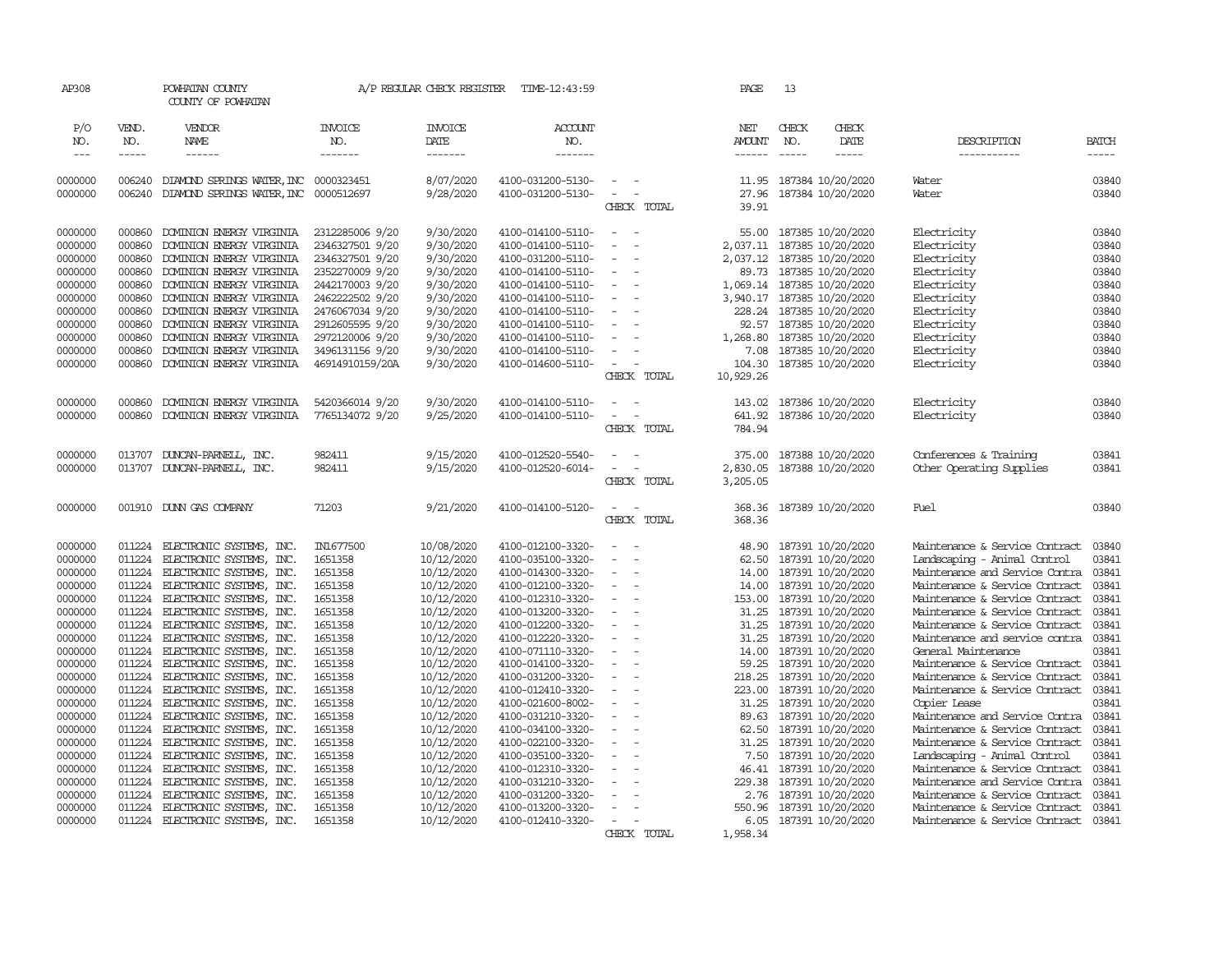| AP308                |                  | POWHATAN COUNTY<br>COUNTY OF POWHATAN                |                    | A/P REGULAR CHECK REGISTER | TIME-12:43:59                          |                          | PAGE                    | 13                   |                                        |                                                                |                             |
|----------------------|------------------|------------------------------------------------------|--------------------|----------------------------|----------------------------------------|--------------------------|-------------------------|----------------------|----------------------------------------|----------------------------------------------------------------|-----------------------------|
| P/O                  | VEND.            | VENDOR                                               | <b>INVOICE</b>     | <b>INVOICE</b>             | ACCOUNT                                |                          | NET                     | CHECK                | <b>CHECK</b>                           |                                                                |                             |
| NO.<br>$\frac{1}{2}$ | NO.<br>-----     | NAME<br>------                                       | NO.<br>-------     | DATE<br>-------            | NO.<br>-------                         |                          | <b>AMOUNT</b><br>------ | NO.<br>$\frac{1}{2}$ | DATE<br>$- - - - -$                    | DESCRIPTION<br>-----------                                     | <b>BATCH</b><br>$- - - - -$ |
|                      |                  |                                                      |                    |                            |                                        |                          |                         |                      |                                        |                                                                |                             |
| 0000000              | 006240           | DIAMOND SPRINGS WATER, INC                           | 0000323451         | 8/07/2020                  | 4100-031200-5130-                      |                          | 11.95                   |                      | 187384 10/20/2020                      | Water                                                          | 03840                       |
| 0000000              | 006240           | DIAMOND SPRINGS WATER, INC                           | 0000512697         | 9/28/2020                  | 4100-031200-5130-                      |                          | 27.96                   |                      | 187384 10/20/2020                      | Water                                                          | 03840                       |
|                      |                  |                                                      |                    |                            |                                        | CHECK TOTAL              | 39.91                   |                      |                                        |                                                                |                             |
| 0000000              | 000860           | DOMINION ENERGY VIRGINIA                             | 2312285006 9/20    | 9/30/2020                  | 4100-014100-5110-                      | $\equiv$                 | 55.00                   |                      | 187385 10/20/2020                      | Electricity                                                    | 03840                       |
| 0000000              | 000860           | DOMINION ENERGY VIRGINIA                             | 2346327501 9/20    | 9/30/2020                  | 4100-014100-5110-                      |                          | 2,037.11                |                      | 187385 10/20/2020                      | Electricity                                                    | 03840                       |
| 0000000              | 000860           | DOMINION ENERGY VIRGINIA                             | 2346327501 9/20    | 9/30/2020                  | 4100-031200-5110-                      |                          | 2,037.12                |                      | 187385 10/20/2020                      | Electricity                                                    | 03840                       |
| 0000000              | 000860           | DOMINION ENERGY VIRGINIA                             | 2352270009 9/20    | 9/30/2020                  | 4100-014100-5110-                      |                          | 89.73                   |                      | 187385 10/20/2020                      | Electricity                                                    | 03840                       |
| 0000000              | 000860           | DOMINION ENERGY VIRGINIA                             | 2442170003 9/20    | 9/30/2020                  | 4100-014100-5110-                      |                          | 1,069.14                |                      | 187385 10/20/2020                      | Electricity                                                    | 03840                       |
| 0000000              | 000860           | DOMINION ENERGY VIRGINIA                             | 2462222502 9/20    | 9/30/2020                  | 4100-014100-5110-                      |                          |                         |                      | 3,940.17 187385 10/20/2020             | Electricity                                                    | 03840                       |
| 0000000              | 000860           | DOMINION ENERGY VIRGINIA                             | 2476067034 9/20    | 9/30/2020                  | 4100-014100-5110-                      | $\equiv$                 | 228.24                  |                      | 187385 10/20/2020                      | Electricity                                                    | 03840                       |
| 0000000              | 000860           | DOMINION ENERGY VIRGINIA                             | 2912605595 9/20    | 9/30/2020                  | 4100-014100-5110-                      |                          | 92.57                   |                      | 187385 10/20/2020                      | Electricity                                                    | 03840                       |
| 0000000              | 000860           | DOMINION ENERGY VIRGINIA                             | 2972120006 9/20    | 9/30/2020                  | 4100-014100-5110-                      |                          | 1,268.80                |                      | 187385 10/20/2020                      | Electricity                                                    | 03840                       |
| 0000000              | 000860           | DOMINION ENERGY VIRGINIA                             | 3496131156 9/20    | 9/30/2020                  | 4100-014100-5110-                      |                          | 7.08                    |                      | 187385 10/20/2020                      | Electricity                                                    | 03840                       |
| 0000000              | 000860           | DOMINION ENERGY VIRGINIA                             | 46914910159/20A    | 9/30/2020                  | 4100-014600-5110-                      |                          | 104.30                  |                      | 187385 10/20/2020                      | Electricity                                                    | 03840                       |
|                      |                  |                                                      |                    |                            |                                        | CHECK TOTAL              | 10,929.26               |                      |                                        |                                                                |                             |
| 0000000              | 000860           | DOMINION ENERGY VIRGINIA                             | 5420366014 9/20    | 9/30/2020                  | 4100-014100-5110-                      | $\equiv$<br>$\sim$       |                         |                      | 143.02 187386 10/20/2020               | Electricity                                                    | 03840                       |
| 0000000              | 000860           | DOMINION ENERGY VIRGINIA                             | 7765134072 9/20    | 9/25/2020                  | 4100-014100-5110-                      | $\equiv$                 | 641.92                  |                      | 187386 10/20/2020                      | Electricity                                                    | 03840                       |
|                      |                  |                                                      |                    |                            |                                        | CHECK TOTAL              | 784.94                  |                      |                                        |                                                                |                             |
| 0000000              | 013707           |                                                      | 982411             | 9/15/2020                  | 4100-012520-5540-                      |                          |                         |                      |                                        |                                                                | 03841                       |
| 0000000              | 013707           | DUNCAN-PARNELL, INC.<br>DUNCAN-PARNELL, INC.         | 982411             | 9/15/2020                  | 4100-012520-6014-                      |                          | 375.00<br>2,830.05      |                      | 187388 10/20/2020<br>187388 10/20/2020 | Conferences & Training<br>Other Operating Supplies             | 03841                       |
|                      |                  |                                                      |                    |                            |                                        | CHECK TOTAL              | 3,205.05                |                      |                                        |                                                                |                             |
|                      |                  |                                                      |                    |                            |                                        |                          |                         |                      |                                        |                                                                |                             |
| 0000000              |                  | 001910 DUNN GAS COMPANY                              | 71203              | 9/21/2020                  | 4100-014100-5120-                      | $\equiv$                 | 368.36                  |                      | 187389 10/20/2020                      | Fuel                                                           | 03840                       |
|                      |                  |                                                      |                    |                            |                                        | CHECK TOTAL              | 368.36                  |                      |                                        |                                                                |                             |
| 0000000              | 011224           | ELECTRONIC SYSTEMS, INC.                             | IN1677500          | 10/08/2020                 | 4100-012100-3320-                      | $\overline{\phantom{a}}$ | 48.90                   |                      | 187391 10/20/2020                      | Maintenance & Service Contract                                 | 03840                       |
| 0000000              | 011224           | ELECTRONIC SYSTEMS, INC.                             | 1651358            | 10/12/2020                 | 4100-035100-3320-                      |                          | 62.50                   |                      | 187391 10/20/2020                      | Landscaping - Animal Control                                   | 03841                       |
| 0000000              | 011224           | ELECTRONIC SYSTEMS, INC.                             | 1651358            | 10/12/2020                 | 4100-014300-3320-                      |                          | 14.00                   |                      | 187391 10/20/2020                      | Maintenance and Service Contra                                 | 03841                       |
| 0000000              | 011224           | ELECTRONIC SYSTEMS, INC.                             | 1651358            | 10/12/2020                 | 4100-012100-3320-                      | $\sim$                   | 14.00                   |                      | 187391 10/20/2020                      | Maintenance & Service Contract                                 | 03841                       |
| 0000000              | 011224           | ELECTRONIC SYSTEMS, INC.                             | 1651358            | 10/12/2020                 | 4100-012310-3320-                      |                          | 153.00                  |                      | 187391 10/20/2020                      | Maintenance & Service Contract                                 | 03841                       |
| 0000000              | 011224           | ELECTRONIC SYSTEMS, INC.                             | 1651358            | 10/12/2020                 | 4100-013200-3320-                      |                          | 31.25                   |                      | 187391 10/20/2020                      | Maintenance & Service Contract                                 | 03841                       |
| 0000000              | 011224           | ELECTRONIC SYSTEMS, INC.                             | 1651358            | 10/12/2020                 | 4100-012200-3320-                      | $\overline{\phantom{a}}$ | 31.25                   |                      | 187391 10/20/2020                      | Maintenance & Service Contract                                 | 03841                       |
| 0000000              | 011224           | ELECTRONIC SYSTEMS, INC.                             | 1651358            | 10/12/2020                 | 4100-012220-3320-                      |                          | 31.25                   |                      | 187391 10/20/2020                      | Maintenance and service contra                                 | 03841                       |
| 0000000              | 011224           | ELECTRONIC SYSTEMS, INC.                             | 1651358            | 10/12/2020                 | 4100-071110-3320-                      | $\overline{\phantom{a}}$ | 14.00                   |                      | 187391 10/20/2020                      | General Maintenance                                            | 03841                       |
| 0000000              | 011224           | ELECTRONIC SYSTEMS, INC.                             | 1651358            | 10/12/2020                 | 4100-014100-3320-                      |                          | 59.25                   |                      | 187391 10/20/2020                      | Maintenance & Service Contract                                 | 03841                       |
| 0000000              | 011224           | ELECTRONIC SYSTEMS, INC.                             | 1651358            | 10/12/2020                 | 4100-031200-3320-                      |                          | 218.25                  |                      | 187391 10/20/2020                      | Maintenance & Service Contract                                 | 03841                       |
| 0000000              | 011224           | ELECTRONIC SYSTEMS,<br>INC.                          | 1651358            | 10/12/2020                 | 4100-012410-3320-                      |                          | 223.00                  |                      | 187391 10/20/2020                      | Maintenance & Service Contract                                 | 03841                       |
| 0000000              | 011224           | ELECTRONIC SYSTEMS, INC.                             | 1651358            | 10/12/2020                 | 4100-021600-8002-                      |                          | 31.25                   |                      | 187391 10/20/2020                      | Copier Lease                                                   | 03841                       |
| 0000000              | 011224           | ELECTRONIC SYSTEMS, INC.                             | 1651358            | 10/12/2020                 | 4100-031210-3320-                      | $\equiv$                 | 89.63                   |                      | 187391 10/20/2020                      | Maintenance and Service Contra                                 | 03841                       |
| 0000000              | 011224           | ELECTRONIC SYSTEMS, INC.                             | 1651358            | 10/12/2020                 | 4100-034100-3320-                      | $\equiv$                 | 62.50                   |                      | 187391 10/20/2020                      | Maintenance & Service Contract                                 | 03841                       |
| 0000000<br>0000000   | 011224<br>011224 | ELECTRONIC SYSTEMS, INC.<br>ELECTRONIC SYSTEMS, INC. | 1651358<br>1651358 | 10/12/2020<br>10/12/2020   | 4100-022100-3320-<br>4100-035100-3320- |                          | 31.25<br>7.50           |                      | 187391 10/20/2020<br>187391 10/20/2020 | Maintenance & Service Contract<br>Landscaping - Animal Control | 03841<br>03841              |
| 0000000              | 011224           | ELECTRONIC SYSTEMS, INC.                             | 1651358            | 10/12/2020                 | 4100-012310-3320-                      |                          | 46.41                   |                      | 187391 10/20/2020                      | Maintenance & Service Contract                                 | 03841                       |
| 0000000              | 011224           | ELECTRONIC SYSTEMS, INC.                             | 1651358            | 10/12/2020                 | 4100-031210-3320-                      |                          | 229.38                  |                      | 187391 10/20/2020                      | Maintenance and Service Contra                                 | 03841                       |
| 0000000              | 011224           | ELECTRONIC SYSTEMS, INC.                             | 1651358            | 10/12/2020                 | 4100-031200-3320-                      |                          | 2.76                    |                      | 187391 10/20/2020                      | Maintenance & Service Contract                                 | 03841                       |
| 0000000              | 011224           | ELECTRONIC SYSTEMS, INC.                             | 1651358            | 10/12/2020                 | 4100-013200-3320-                      | $\overline{\phantom{a}}$ | 550.96                  |                      | 187391 10/20/2020                      | Maintenance & Service Contract                                 | 03841                       |
| 0000000              |                  | 011224 ELECTRONIC SYSTEMS, INC.                      | 1651358            | 10/12/2020                 | 4100-012410-3320-                      | $\overline{\phantom{a}}$ | 6.05                    |                      | 187391 10/20/2020                      | Maintenance & Service Contract                                 | 03841                       |
|                      |                  |                                                      |                    |                            |                                        | CHECK TOTAL              | 1,958.34                |                      |                                        |                                                                |                             |
|                      |                  |                                                      |                    |                            |                                        |                          |                         |                      |                                        |                                                                |                             |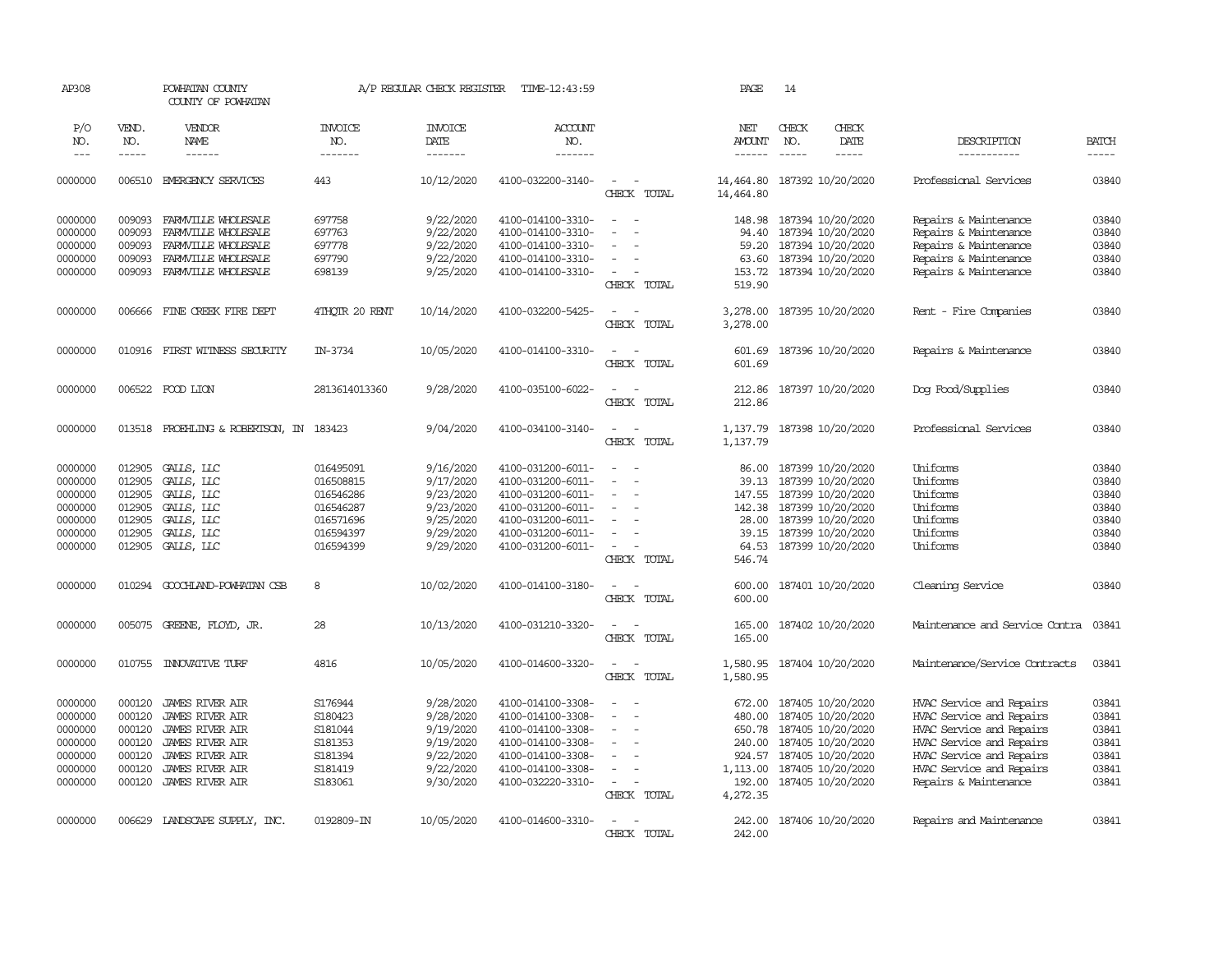| AP308               |                             | POWHATAN COUNTY<br>COUNTY OF POWHATAN |                                  | A/P REGULAR CHECK REGISTER        | TIME-12:43:59             |                                                   | PAGE                                     | 14                            |                               |                                |                             |
|---------------------|-----------------------------|---------------------------------------|----------------------------------|-----------------------------------|---------------------------|---------------------------------------------------|------------------------------------------|-------------------------------|-------------------------------|--------------------------------|-----------------------------|
| P/O<br>NO.<br>$---$ | VEND.<br>NO.<br>$- - - - -$ | VENDOR<br>NAME<br>------              | <b>INVOICE</b><br>NO.<br>------- | <b>INVOICE</b><br>DATE<br>------- | ACCOUNT<br>NO.<br>------- |                                                   | NET<br><b>AMOUNT</b>                     | CHECK<br>NO.<br>$\frac{1}{2}$ | <b>CHECK</b><br>DATE<br>----- | DESCRIPTION<br>-----------     | <b>BATCH</b><br>$- - - - -$ |
| 0000000             |                             | 006510 EMERGENCY SERVICES             | 443                              | 10/12/2020                        | 4100-032200-3140-         | $\sim$<br>$\overline{\phantom{a}}$<br>CHECK TOTAL | 14,464.80 187392 10/20/2020<br>14,464.80 |                               |                               | Professional Services          | 03840                       |
| 0000000             | 009093                      | FARMVILLE WHOLESALE                   | 697758                           | 9/22/2020                         | 4100-014100-3310-         | $\sim$<br>$\sim$                                  | 148.98                                   |                               | 187394 10/20/2020             | Repairs & Maintenance          | 03840                       |
| 0000000             | 009093                      | FARMVILLE WHOLESALE                   | 697763                           | 9/22/2020                         | 4100-014100-3310-         | $\sim$<br>$\overline{\phantom{a}}$                | 94.40                                    |                               | 187394 10/20/2020             | Repairs & Maintenance          | 03840                       |
| 0000000             | 009093                      | FARMVILLE WHOLESALE                   | 697778                           | 9/22/2020                         | 4100-014100-3310-         |                                                   | 59.20                                    |                               | 187394 10/20/2020             | Repairs & Maintenance          | 03840                       |
| 0000000             | 009093                      | FARMVILLE WHOLESALE                   | 697790                           | 9/22/2020                         | 4100-014100-3310-         |                                                   | 63.60                                    |                               | 187394 10/20/2020             | Repairs & Maintenance          | 03840                       |
| 0000000             | 009093                      | FARMVILLE WHOLESALE                   | 698139                           | 9/25/2020                         | 4100-014100-3310-         | $\overline{\phantom{a}}$<br>CHECK TOTAL           | 519.90                                   |                               | 153.72 187394 10/20/2020      | Repairs & Maintenance          | 03840                       |
| 0000000             | 006666                      | FINE CREEK FIRE DEPT                  | 4THQTR 20 RENT                   | 10/14/2020                        | 4100-032200-5425-         | $\sim$<br>CHECK TOTAL                             | 3,278.00                                 |                               | 3,278.00 187395 10/20/2020    | Rent - Fire Companies          | 03840                       |
| 0000000             | 010916                      | FIRST WITNESS SECURITY                | IN-3734                          | 10/05/2020                        | 4100-014100-3310-         | $\sim$<br>$\sim$<br>CHECK TOTAL                   | 601.69<br>601.69                         |                               | 187396 10/20/2020             | Repairs & Maintenance          | 03840                       |
| 0000000             |                             | 006522 FOOD LION                      | 2813614013360                    | 9/28/2020                         | 4100-035100-6022-         | $\sim$<br>CHECK TOTAL                             | 212.86<br>212.86                         |                               | 187397 10/20/2020             | Dog Food/Supplies              | 03840                       |
| 0000000             | 013518                      | FROEHLING & ROBERTSON, IN             | 183423                           | 9/04/2020                         | 4100-034100-3140-         | $\sim$<br>$\sim$<br>CHECK TOTAL                   | 1,137.79<br>1,137.79                     |                               | 187398 10/20/2020             | Professional Services          | 03840                       |
| 0000000             | 012905                      | GALLS, LLC                            | 016495091                        | 9/16/2020                         | 4100-031200-6011-         | $\sim$<br>$\sim$                                  | 86.00                                    |                               | 187399 10/20/2020             | Uniforms                       | 03840                       |
| 0000000             | 012905                      | GALLS, LLC                            | 016508815                        | 9/17/2020                         | 4100-031200-6011-         |                                                   | 39.13                                    |                               | 187399 10/20/2020             | Uniforms                       | 03840                       |
| 0000000             | 012905                      | GALLS, LLC                            | 016546286                        | 9/23/2020                         | 4100-031200-6011-         |                                                   | 147.55                                   |                               | 187399 10/20/2020             | Uniforms                       | 03840                       |
| 0000000             | 012905                      | GALLS, LLC                            | 016546287                        | 9/23/2020                         | 4100-031200-6011-         |                                                   | 142.38                                   |                               | 187399 10/20/2020             | Uniforms                       | 03840                       |
| 0000000             | 012905                      | GALLS, LLC                            | 016571696                        | 9/25/2020                         | 4100-031200-6011-         |                                                   | 28.00                                    |                               | 187399 10/20/2020             | Uniforms                       | 03840                       |
| 0000000             | 012905                      | GALLS, LLC                            | 016594397                        | 9/29/2020                         | 4100-031200-6011-         |                                                   | 39.15                                    |                               | 187399 10/20/2020             | Uniforms                       | 03840                       |
| 0000000             | 012905                      | GALLS, LLC                            | 016594399                        | 9/29/2020                         | 4100-031200-6011-         | $\equiv$<br>CHECK TOTAL                           | 64.53<br>546.74                          |                               | 187399 10/20/2020             | Uniforms                       | 03840                       |
| 0000000             | 010294                      | GOOCHLAND-POWHATAN CSB                | 8                                | 10/02/2020                        | 4100-014100-3180-         | $\sim$<br>$\sim$<br>CHECK TOTAL                   | 600.00<br>600.00                         |                               | 187401 10/20/2020             | Cleaning Service               | 03840                       |
| 0000000             | 005075                      | GREENE, FLOYD, JR.                    | 28                               | 10/13/2020                        | 4100-031210-3320-         | $\sim$<br>$\overline{\phantom{a}}$<br>CHECK TOTAL | 165.00<br>165.00                         |                               | 187402 10/20/2020             | Maintenance and Service Contra | 03841                       |
| 0000000             | 010755                      | INVOVATIVE TURF                       | 4816                             | 10/05/2020                        | 4100-014600-3320-         | $\overline{\phantom{a}}$<br>$\sim$<br>CHECK TOTAL | 1,580.95<br>1,580.95                     |                               | 187404 10/20/2020             | Maintenance/Service Contracts  | 03841                       |
| 0000000             | 000120                      | <b>JAMES RIVER AIR</b>                | S176944                          | 9/28/2020                         | 4100-014100-3308-         | $\equiv$                                          | 672.00                                   |                               | 187405 10/20/2020             | HVAC Service and Repairs       | 03841                       |
| 0000000             | 000120                      | <b>JAMES RIVER AIR</b>                | S180423                          | 9/28/2020                         | 4100-014100-3308-         | $\sim$                                            | 480.00                                   |                               | 187405 10/20/2020             | HVAC Service and Repairs       | 03841                       |
| 0000000             | 000120                      | <b>JAMES RIVER AIR</b>                | S181044                          | 9/19/2020                         | 4100-014100-3308-         |                                                   | 650.78                                   |                               | 187405 10/20/2020             | HVAC Service and Repairs       | 03841                       |
| 0000000             | 000120                      | <b>JAMES RIVER AIR</b>                | S181353                          | 9/19/2020                         | 4100-014100-3308-         |                                                   | 240.00                                   |                               | 187405 10/20/2020             | HVAC Service and Repairs       | 03841                       |
| 0000000             | 000120                      | <b>JAMES RIVER AIR</b>                | S181394                          | 9/22/2020                         | 4100-014100-3308-         | $\sim$                                            |                                          |                               | 924.57 187405 10/20/2020      | HVAC Service and Repairs       | 03841                       |
| 0000000             | 000120                      | <b>JAMES RIVER AIR</b>                | S181419                          | 9/22/2020                         | 4100-014100-3308-         |                                                   | 1,113.00                                 |                               | 187405 10/20/2020             | HVAC Service and Repairs       | 03841                       |
| 0000000             | 000120                      | <b>JAMES RIVER AIR</b>                | S183061                          | 9/30/2020                         | 4100-032220-3310-         | $\sim$<br>CHECK TOTAL                             | 192.00<br>4,272.35                       |                               | 187405 10/20/2020             | Repairs & Maintenance          | 03841                       |
| 0000000             | 006629                      | LANDSCAPE SUPPLY, INC.                | 0192809-IN                       | 10/05/2020                        | 4100-014600-3310-         |                                                   | 242.00                                   |                               | 187406 10/20/2020             | Repairs and Maintenance        | 03841                       |
|                     |                             |                                       |                                  |                                   |                           | CHECK TOTAL                                       | 242.00                                   |                               |                               |                                |                             |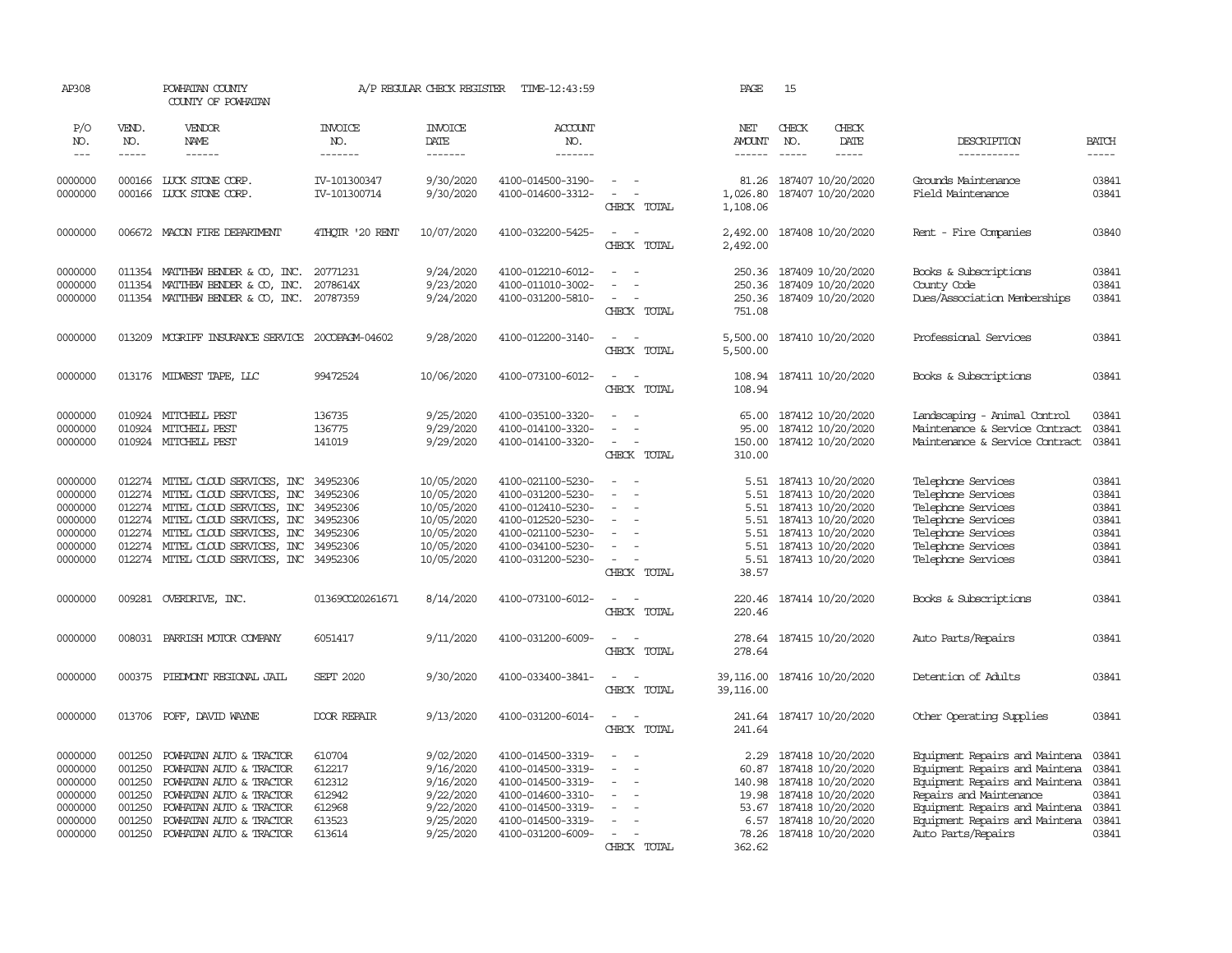| AP308                                                                     |                                                          | POWHATAN COUNTY<br>COUNTY OF POWHATAN                                                                                                                                                                                                        |                                                                      | A/P REGULAR CHECK REGISTER                                                                     | TIME-12:43:59                                                                                                                                   |                                                                                                                                                                                                                                | PAGE                                                  | 15            |                                                                                                                                                      |                                                                                                                                                                                                         |                                                             |
|---------------------------------------------------------------------------|----------------------------------------------------------|----------------------------------------------------------------------------------------------------------------------------------------------------------------------------------------------------------------------------------------------|----------------------------------------------------------------------|------------------------------------------------------------------------------------------------|-------------------------------------------------------------------------------------------------------------------------------------------------|--------------------------------------------------------------------------------------------------------------------------------------------------------------------------------------------------------------------------------|-------------------------------------------------------|---------------|------------------------------------------------------------------------------------------------------------------------------------------------------|---------------------------------------------------------------------------------------------------------------------------------------------------------------------------------------------------------|-------------------------------------------------------------|
| P/O<br>NO.                                                                | VEND.<br>NO.                                             | VENDOR<br>NAME                                                                                                                                                                                                                               | <b>INVOICE</b><br>NO.                                                | <b>INVOICE</b><br>DATE                                                                         | ACCOUNT<br>NO.                                                                                                                                  |                                                                                                                                                                                                                                | NET<br><b>AMOUNT</b>                                  | CHECK<br>NO.  | CHECK<br>DATE                                                                                                                                        | DESCRIPTION                                                                                                                                                                                             | <b>BATCH</b>                                                |
| $\sim$ $\sim$ $\sim$                                                      | $- - - - -$                                              | $- - - - - -$                                                                                                                                                                                                                                | -------                                                              | $- - - - - - -$                                                                                | $- - - - - - -$                                                                                                                                 |                                                                                                                                                                                                                                | $- - - - - -$                                         | $\frac{1}{2}$ | $- - - - -$                                                                                                                                          | -----------                                                                                                                                                                                             | $- - - - -$                                                 |
| 0000000<br>0000000                                                        | 000166                                                   | 000166 LUCK STONE CORP.<br>LUCK STONE CORP.                                                                                                                                                                                                  | IV-101300347<br>IV-101300714                                         | 9/30/2020<br>9/30/2020                                                                         | 4100-014500-3190-<br>4100-014600-3312-                                                                                                          | $\overline{\phantom{a}}$<br>$\overline{\phantom{a}}$<br>CHECK TOTAL                                                                                                                                                            | 81.26<br>1,026.80<br>1,108.06                         |               | 187407 10/20/2020<br>187407 10/20/2020                                                                                                               | Grounds Maintenance<br>Field Maintenance                                                                                                                                                                | 03841<br>03841                                              |
| 0000000                                                                   |                                                          | 006672 MACON FIRE DEPARIMENT                                                                                                                                                                                                                 | 4THQTR '20 RENT                                                      | 10/07/2020                                                                                     | 4100-032200-5425-                                                                                                                               | $\overline{\phantom{a}}$<br>- -<br>CHECK TOTAL                                                                                                                                                                                 | 2,492.00<br>2,492.00                                  |               | 187408 10/20/2020                                                                                                                                    | Rent - Fire Companies                                                                                                                                                                                   | 03840                                                       |
| 0000000<br>0000000<br>0000000                                             |                                                          | 011354 MATTHEW BENDER & CO, INC.<br>011354 MATTHEW BENDER & CO, INC.<br>011354 MATTHEW BENDER & CO, INC.                                                                                                                                     | 20771231<br>2078614X<br>20787359                                     | 9/24/2020<br>9/23/2020<br>9/24/2020                                                            | 4100-012210-6012-<br>4100-011010-3002-<br>4100-031200-5810-                                                                                     | $\overline{\phantom{a}}$<br>$\sim$<br>$\sim$<br>$\sim$<br>$\overline{\phantom{a}}$<br>CHECK TOTAL                                                                                                                              | 250.36<br>250.36<br>250.36<br>751.08                  |               | 187409 10/20/2020<br>187409 10/20/2020<br>187409 10/20/2020                                                                                          | Books & Subscriptions<br>County Code<br>Dues/Association Memberships                                                                                                                                    | 03841<br>03841<br>03841                                     |
| 0000000                                                                   | 013209                                                   | MCCRIFF INSURANCE SERVICE 20COPAGM-04602                                                                                                                                                                                                     |                                                                      | 9/28/2020                                                                                      | 4100-012200-3140-                                                                                                                               | $\overline{\phantom{a}}$<br>$\sim$<br>CHECK TOTAL                                                                                                                                                                              | 5,500.00<br>5,500.00                                  |               | 187410 10/20/2020                                                                                                                                    | Professional Services                                                                                                                                                                                   | 03841                                                       |
| 0000000                                                                   |                                                          | 013176 MIDWEST TAPE, LLC                                                                                                                                                                                                                     | 99472524                                                             | 10/06/2020                                                                                     | 4100-073100-6012-                                                                                                                               | $\overline{\phantom{a}}$<br>$\sim$<br>CHECK TOTAL                                                                                                                                                                              | 108.94<br>108.94                                      |               | 187411 10/20/2020                                                                                                                                    | Books & Subscriptions                                                                                                                                                                                   | 03841                                                       |
| 0000000<br>0000000<br>0000000                                             |                                                          | 010924 MITCHELL PEST<br>010924 MITCHELL PEST<br>010924 MITCHELL PEST                                                                                                                                                                         | 136735<br>136775<br>141019                                           | 9/25/2020<br>9/29/2020<br>9/29/2020                                                            | 4100-035100-3320-<br>4100-014100-3320-<br>4100-014100-3320-                                                                                     | $\sim$<br>$\sim$<br>$\sim$ $ \sim$<br>CHECK TOTAL                                                                                                                                                                              | 65.00<br>95.00<br>150.00<br>310.00                    |               | 187412 10/20/2020<br>187412 10/20/2020<br>187412 10/20/2020                                                                                          | Landscaping - Animal Control<br>Maintenance & Service Contract<br>Maintenance & Service Contract                                                                                                        | 03841<br>03841<br>03841                                     |
| 0000000<br>0000000<br>0000000<br>0000000<br>0000000<br>0000000<br>0000000 | 012274<br>012274<br>012274                               | 012274 MITEL CLOUD SERVICES, INC<br>MITEL CLOUD SERVICES, INC<br>MITEL CLOUD SERVICES, INC<br>012274 MITEL CLOUD SERVICES, INC<br>MITEL CLOUD SERVICES, INC<br>012274 MITEL CLOUD SERVICES, INC<br>012274 MITEL CLOUD SERVICES, INC 34952306 | 34952306<br>34952306<br>34952306<br>34952306<br>34952306<br>34952306 | 10/05/2020<br>10/05/2020<br>10/05/2020<br>10/05/2020<br>10/05/2020<br>10/05/2020<br>10/05/2020 | 4100-021100-5230-<br>4100-031200-5230-<br>4100-012410-5230-<br>4100-012520-5230-<br>4100-021100-5230-<br>4100-034100-5230-<br>4100-031200-5230- | $\sim$<br>$\equiv$<br>$\overline{a}$<br>$\overline{a}$<br>$\sim$<br>CHECK TOTAL                                                                                                                                                | 5.51<br>5.51<br>5.51<br>5.51<br>5.51<br>5.51<br>38.57 |               | 187413 10/20/2020<br>187413 10/20/2020<br>187413 10/20/2020<br>187413 10/20/2020<br>187413 10/20/2020<br>187413 10/20/2020<br>5.51 187413 10/20/2020 | Telephone Services<br>Telephone Services<br>Telephone Services<br>Telephone Services<br>Telephone Services<br>Telephone Services<br>Telephone Services                                                  | 03841<br>03841<br>03841<br>03841<br>03841<br>03841<br>03841 |
| 0000000                                                                   |                                                          | 009281 OVERDRIVE, INC.                                                                                                                                                                                                                       | 013690020261671                                                      | 8/14/2020                                                                                      | 4100-073100-6012-                                                                                                                               | $\sim$ $\sim$<br>CHECK TOTAL                                                                                                                                                                                                   | 220.46<br>220.46                                      |               | 187414 10/20/2020                                                                                                                                    | Books & Subscriptions                                                                                                                                                                                   | 03841                                                       |
| 0000000                                                                   |                                                          | 008031 PARRISH MOTOR COMPANY                                                                                                                                                                                                                 | 6051417                                                              | 9/11/2020                                                                                      | 4100-031200-6009-                                                                                                                               | $\overline{\phantom{a}}$<br>$\sim$<br>CHECK TOTAL                                                                                                                                                                              | 278.64                                                |               | 278.64 187415 10/20/2020                                                                                                                             | Auto Parts/Repairs                                                                                                                                                                                      | 03841                                                       |
| 0000000                                                                   | 000375                                                   | PIEDMONT REGIONAL JAIL                                                                                                                                                                                                                       | <b>SEPT 2020</b>                                                     | 9/30/2020                                                                                      | 4100-033400-3841-                                                                                                                               | $\overline{\phantom{a}}$<br>$\overline{\phantom{a}}$<br>CHECK TOTAL                                                                                                                                                            | 39,116.00<br>39,116.00                                |               | 187416 10/20/2020                                                                                                                                    | Detention of Adults                                                                                                                                                                                     | 03841                                                       |
| 0000000                                                                   |                                                          | 013706 POFF, DAVID WAYNE                                                                                                                                                                                                                     | DOOR REPAIR                                                          | 9/13/2020                                                                                      | 4100-031200-6014-                                                                                                                               | $\sim$<br>$\sim$<br>CHECK TOTAL                                                                                                                                                                                                | 241.64<br>241.64                                      |               | 187417 10/20/2020                                                                                                                                    | Other Operating Supplies                                                                                                                                                                                | 03841                                                       |
| 0000000<br>0000000<br>0000000<br>0000000<br>0000000<br>0000000            | 001250<br>001250<br>001250<br>001250<br>001250<br>001250 | POWHATAN AUTO & TRACTOR<br>POWHATAN AUTO & TRACTOR<br>POWHATAN AUTO & TRACTOR<br>POWHATAN AUTO & TRACTOR<br>POWHATAN AUTO & TRACTOR<br>POWHATAN AUTO & TRACTOR                                                                               | 610704<br>612217<br>612312<br>612942<br>612968<br>613523             | 9/02/2020<br>9/16/2020<br>9/16/2020<br>9/22/2020<br>9/22/2020<br>9/25/2020                     | 4100-014500-3319-<br>4100-014500-3319-<br>4100-014500-3319-<br>4100-014600-3310-<br>4100-014500-3319-<br>4100-014500-3319-                      | $\frac{1}{2} \left( \frac{1}{2} \right) \left( \frac{1}{2} \right) = \frac{1}{2} \left( \frac{1}{2} \right)$<br>$\sim$<br>$\sim$<br>$\sim$<br>$\overline{\phantom{a}}$<br>$\overline{\phantom{a}}$<br>$\overline{\phantom{a}}$ | 2.29<br>60.87<br>140.98<br>19.98<br>6.57              |               | 187418 10/20/2020<br>187418 10/20/2020<br>187418 10/20/2020<br>187418 10/20/2020<br>53.67 187418 10/20/2020<br>187418 10/20/2020                     | Equipment Repairs and Maintena<br>Equipment Repairs and Maintena<br>Equipment Repairs and Maintena 03841<br>Repairs and Maintenance<br>Equipment Repairs and Maintena<br>Equipment Repairs and Maintena | 03841<br>03841<br>03841<br>03841<br>03841                   |
| 0000000                                                                   | 001250                                                   | POWHATAN AUTO & TRACTOR                                                                                                                                                                                                                      | 613614                                                               | 9/25/2020                                                                                      | 4100-031200-6009-                                                                                                                               | $\sim$<br>CHECK TOTAL                                                                                                                                                                                                          | 78.26<br>362.62                                       |               | 187418 10/20/2020                                                                                                                                    | Auto Parts/Repairs                                                                                                                                                                                      | 03841                                                       |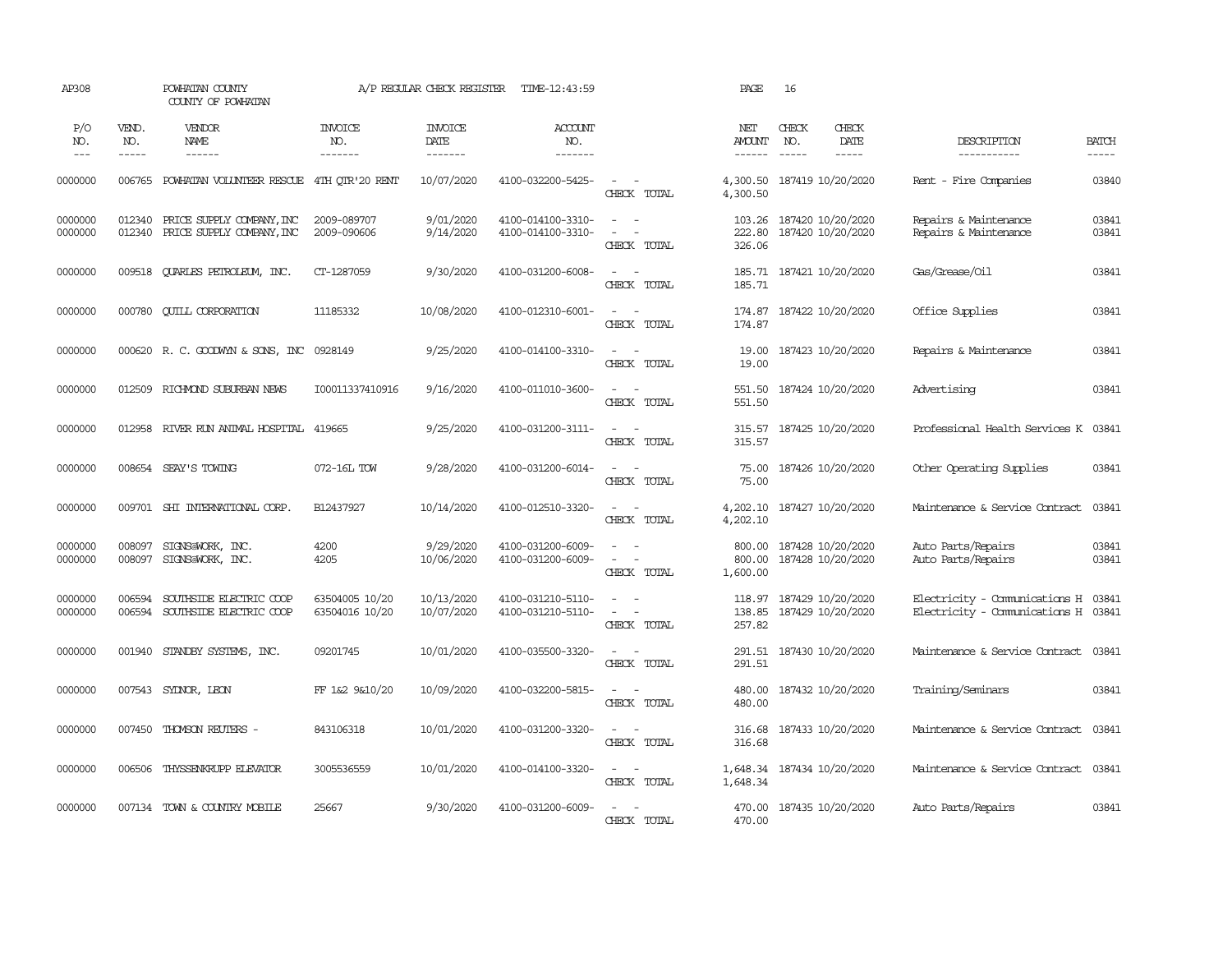| AP308               |                             | POWHATAN COUNTY<br>COUNTY OF POWHATAN                  |                                  | A/P REGULAR CHECK REGISTER        | TIME-12:43:59                          |                                                                             | PAGE                         | 16                                                                                                                                                                                                                                                                                                                                                                                                           |                              |                                                                            |                       |
|---------------------|-----------------------------|--------------------------------------------------------|----------------------------------|-----------------------------------|----------------------------------------|-----------------------------------------------------------------------------|------------------------------|--------------------------------------------------------------------------------------------------------------------------------------------------------------------------------------------------------------------------------------------------------------------------------------------------------------------------------------------------------------------------------------------------------------|------------------------------|----------------------------------------------------------------------------|-----------------------|
| P/O<br>NO.<br>$---$ | VEND.<br>NO.<br>$- - - - -$ | VENDOR<br>NAME<br>------                               | <b>INVOICE</b><br>NO.<br>------- | <b>INVOICE</b><br>DATE<br>------- | <b>ACCOUNT</b><br>NO.<br>-------       |                                                                             | NET<br>AMOUNT<br>------      | CHECK<br>NO.<br>$\frac{1}{2} \frac{1}{2} \frac{1}{2} \frac{1}{2} \frac{1}{2} \frac{1}{2} \frac{1}{2} \frac{1}{2} \frac{1}{2} \frac{1}{2} \frac{1}{2} \frac{1}{2} \frac{1}{2} \frac{1}{2} \frac{1}{2} \frac{1}{2} \frac{1}{2} \frac{1}{2} \frac{1}{2} \frac{1}{2} \frac{1}{2} \frac{1}{2} \frac{1}{2} \frac{1}{2} \frac{1}{2} \frac{1}{2} \frac{1}{2} \frac{1}{2} \frac{1}{2} \frac{1}{2} \frac{1}{2} \frac{$ | CHECK<br>DATE<br>$- - - - -$ | DESCRIPTION<br>-----------                                                 | <b>BATCH</b><br>----- |
| 0000000             | 006765                      | POWHATAN VOLUNTEER RESCUE                              | 4TH QTR'20 RENT                  | 10/07/2020                        | 4100-032200-5425-                      | $\sim$<br>$\sim$ $-$<br>CHECK TOTAL                                         | 4,300.50<br>4,300.50         | 187419 10/20/2020                                                                                                                                                                                                                                                                                                                                                                                            |                              | Rent - Fire Companies                                                      | 03840                 |
| 0000000<br>0000000  | 012340<br>012340            | PRICE SUPPLY COMPANY, INC<br>PRICE SUPPLY COMPANY, INC | 2009-089707<br>2009-090606       | 9/01/2020<br>9/14/2020            | 4100-014100-3310-<br>4100-014100-3310- | $\sim$ $ -$<br>$\frac{1}{2}$ , $\frac{1}{2}$ , $\frac{1}{2}$<br>CHECK TOTAL | 103.26<br>222.80<br>326.06   | 187420 10/20/2020<br>187420 10/20/2020                                                                                                                                                                                                                                                                                                                                                                       |                              | Repairs & Maintenance<br>Repairs & Maintenance                             | 03841<br>03841        |
| 0000000             | 009518                      | <b>OUARLES PETROLEUM, INC.</b>                         | CT-1287059                       | 9/30/2020                         | 4100-031200-6008-                      | $\sim$<br>$\sim$<br>CHECK TOTAL                                             | 185.71<br>185.71             | 187421 10/20/2020                                                                                                                                                                                                                                                                                                                                                                                            |                              | Gas/Grease/Oil                                                             | 03841                 |
| 0000000             | 000780                      | <b>CUILL CORPORATION</b>                               | 11185332                         | 10/08/2020                        | 4100-012310-6001-                      | $\sim$ $ \sim$<br>CHECK TOTAL                                               | 174.87<br>174.87             | 187422 10/20/2020                                                                                                                                                                                                                                                                                                                                                                                            |                              | Office Supplies                                                            | 03841                 |
| 0000000             |                             | 000620 R.C. GOODWYN & SONS, INC 0928149                |                                  | 9/25/2020                         | 4100-014100-3310-                      | $\sim 100$ km s $^{-1}$<br>CHECK TOTAL                                      | 19.00<br>19.00               | 187423 10/20/2020                                                                                                                                                                                                                                                                                                                                                                                            |                              | Repairs & Maintenance                                                      | 03841                 |
| 0000000             | 012509                      | RICHMOND SUBURBAN NEWS                                 | 100011337410916                  | 9/16/2020                         | 4100-011010-3600-                      | $\overline{\phantom{a}}$<br>$\sim$<br>CHECK TOTAL                           | 551.50<br>551.50             | 187424 10/20/2020                                                                                                                                                                                                                                                                                                                                                                                            |                              | Advertising                                                                | 03841                 |
| 0000000             | 012958                      | RIVER RUN ANIMAL HOSPITAL 419665                       |                                  | 9/25/2020                         | 4100-031200-3111-                      | $\sim$ $ -$<br>CHECK TOTAL                                                  | 315.57<br>315.57             | 187425 10/20/2020                                                                                                                                                                                                                                                                                                                                                                                            |                              | Professional Health Services K 03841                                       |                       |
| 0000000             |                             | 008654 SEAY'S TOWING                                   | 072-16L TOW                      | 9/28/2020                         | 4100-031200-6014-                      | $\omega_{\rm{max}}$ and $\omega_{\rm{max}}$<br>CHECK TOTAL                  | 75.00<br>75.00               | 187426 10/20/2020                                                                                                                                                                                                                                                                                                                                                                                            |                              | Other Operating Supplies                                                   | 03841                 |
| 0000000             |                             | 009701 SHI INTERNATIONAL CORP.                         | B12437927                        | 10/14/2020                        | 4100-012510-3320-                      | $\sim$ $ -$<br>CHECK TOTAL                                                  | 4,202.10<br>4,202.10         | 187427 10/20/2020                                                                                                                                                                                                                                                                                                                                                                                            |                              | Maintenance & Service Contract                                             | 03841                 |
| 0000000<br>0000000  | 008097<br>008097            | SIGNS@WORK, INC.<br>SIGNS@WORK, INC.                   | 4200<br>4205                     | 9/29/2020<br>10/06/2020           | 4100-031200-6009-<br>4100-031200-6009- | $\sim$<br>$\equiv$<br>$\sim$<br>$\sim$ $-$<br>CHECK TOTAL                   | 800.00<br>800.00<br>1,600.00 | 187428 10/20/2020<br>187428 10/20/2020                                                                                                                                                                                                                                                                                                                                                                       |                              | Auto Parts/Repairs<br>Auto Parts/Repairs                                   | 03841<br>03841        |
| 0000000<br>0000000  | 006594<br>006594            | SOUTHSIDE ELECTRIC COOP<br>SOUTHSIDE ELECTRIC COOP     | 63504005 10/20<br>63504016 10/20 | 10/13/2020<br>10/07/2020          | 4100-031210-5110-<br>4100-031210-5110- | $\sim$ 100 $\sim$<br>$\sim$<br>$\sim$<br>CHECK TOTAL                        | 138.85<br>257.82             | 118.97 187429 10/20/2020<br>187429 10/20/2020                                                                                                                                                                                                                                                                                                                                                                |                              | Electricity - Comunications H 03841<br>Electricity - Comunications H 03841 |                       |
| 0000000             | 001940                      | STANDBY SYSTEMS, INC.                                  | 09201745                         | 10/01/2020                        | 4100-035500-3320-                      | $\sim$ $ -$<br>CHECK TOTAL                                                  | 291.51<br>291.51             | 187430 10/20/2020                                                                                                                                                                                                                                                                                                                                                                                            |                              | Maintenance & Service Contract                                             | 03841                 |
| 0000000             | 007543                      | SYDNOR, LEON                                           | FF 1&2 9&10/20                   | 10/09/2020                        | 4100-032200-5815-                      | $\omega_{\rm{max}}$ and $\omega_{\rm{max}}$<br>CHECK TOTAL                  | 480.00<br>480.00             | 187432 10/20/2020                                                                                                                                                                                                                                                                                                                                                                                            |                              | Training/Seminars                                                          | 03841                 |
| 0000000             | 007450                      | THOMSON REUTERS -                                      | 843106318                        | 10/01/2020                        | 4100-031200-3320-                      | $\sim$ $ \sim$<br>CHECK TOTAL                                               | 316.68<br>316.68             | 187433 10/20/2020                                                                                                                                                                                                                                                                                                                                                                                            |                              | Maintenance & Service Contract                                             | 03841                 |
| 0000000             |                             | 006506 THYSSENKRUPP ELEVATOR                           | 3005536559                       | 10/01/2020                        | 4100-014100-3320-                      | $\sim$ $ -$<br>CHECK TOTAL                                                  | 1,648.34                     | 1,648.34 187434 10/20/2020                                                                                                                                                                                                                                                                                                                                                                                   |                              | Maintenance & Service Contract 03841                                       |                       |
| 0000000             |                             | 007134 TOWN & COUNTRY MOBILE                           | 25667                            | 9/30/2020                         | 4100-031200-6009-                      | $\overline{\phantom{a}}$<br>$\sim$<br>CHECK TOTAL                           | 470.00<br>470.00             | 187435 10/20/2020                                                                                                                                                                                                                                                                                                                                                                                            |                              | Auto Parts/Repairs                                                         | 03841                 |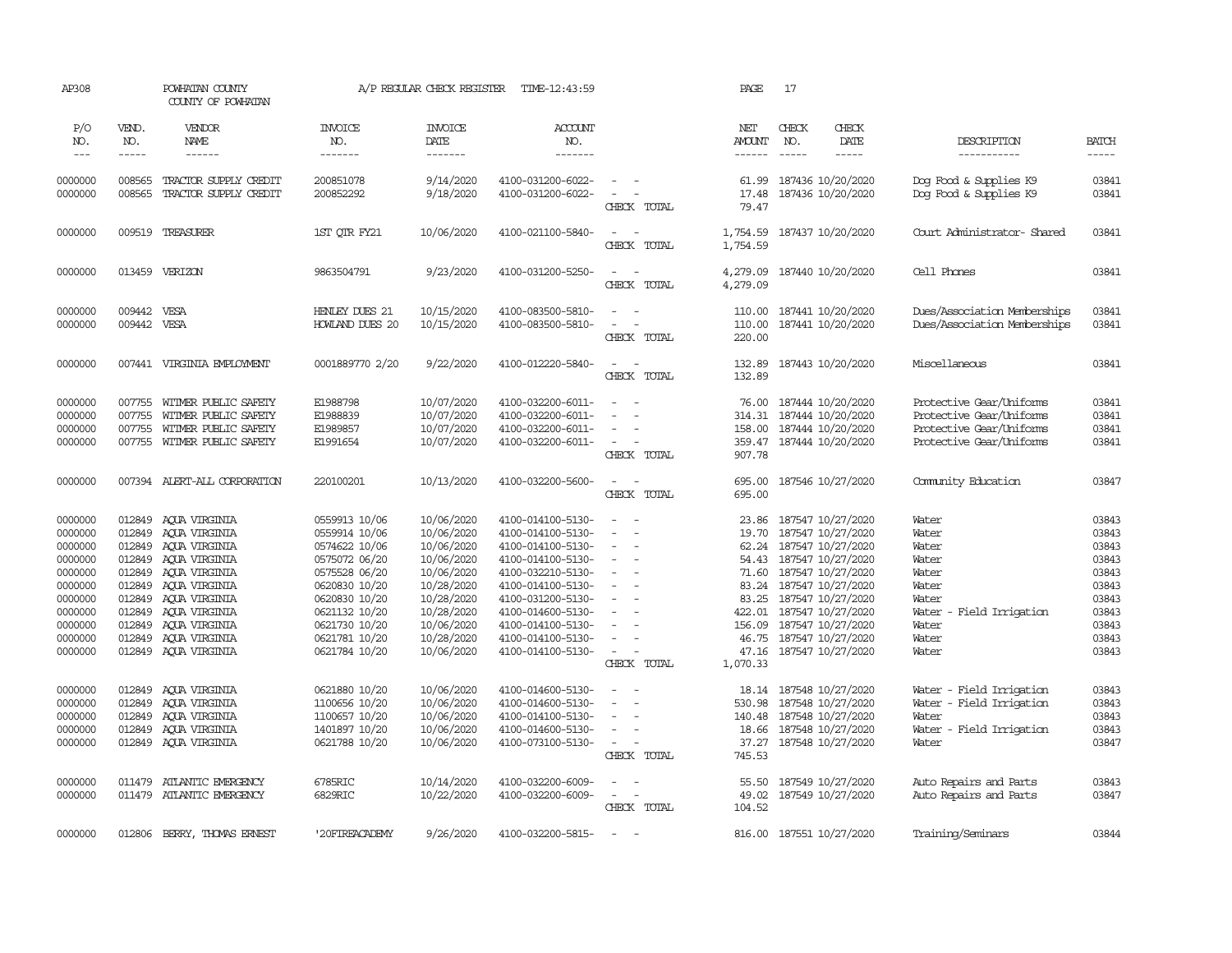| AP308                                                                                                                 |                                                                                                  | POWHATAN COUNTY<br>COUNTY OF POWHATAN                                                                                                                                                          |                                                                                                                                                                                         | A/P REGULAR CHECK REGISTER                                                                                                                             | TIME-12:43:59                                                                                                                                                                                                                       |                                                                                                                                                                                                                                           | PAGE                                                                      | 17                                                                                                                                                                                                                                                          |                                                                                                                    |                                                                                                 |
|-----------------------------------------------------------------------------------------------------------------------|--------------------------------------------------------------------------------------------------|------------------------------------------------------------------------------------------------------------------------------------------------------------------------------------------------|-----------------------------------------------------------------------------------------------------------------------------------------------------------------------------------------|--------------------------------------------------------------------------------------------------------------------------------------------------------|-------------------------------------------------------------------------------------------------------------------------------------------------------------------------------------------------------------------------------------|-------------------------------------------------------------------------------------------------------------------------------------------------------------------------------------------------------------------------------------------|---------------------------------------------------------------------------|-------------------------------------------------------------------------------------------------------------------------------------------------------------------------------------------------------------------------------------------------------------|--------------------------------------------------------------------------------------------------------------------|-------------------------------------------------------------------------------------------------|
| P/O<br>NO.<br>$---$                                                                                                   | VEND.<br>NO.<br>$- - - - -$                                                                      | VENDOR<br>NAME<br>------                                                                                                                                                                       | <b>INVOICE</b><br>NO.<br>-------                                                                                                                                                        | <b>INVOICE</b><br>DATE<br>-------                                                                                                                      | ACCOUNT<br>NO.<br>-------                                                                                                                                                                                                           |                                                                                                                                                                                                                                           | NET<br><b>AMOUNT</b><br>$- - - - - -$                                     | CHECK<br>CHECK<br>NO.<br>DATE<br>$\frac{1}{2}$<br>-----                                                                                                                                                                                                     | DESCRIPTION<br>-----------                                                                                         | <b>BATCH</b><br>-----                                                                           |
| 0000000<br>0000000                                                                                                    | 008565<br>008565                                                                                 | TRACTOR SUPPLY CREDIT<br>TRACTOR SUPPLY CREDIT                                                                                                                                                 | 200851078<br>200852292                                                                                                                                                                  | 9/14/2020<br>9/18/2020                                                                                                                                 | 4100-031200-6022-<br>4100-031200-6022-                                                                                                                                                                                              | $\overline{\phantom{a}}$<br>$\sim$<br>$\overline{\phantom{a}}$<br>CHECK TOTAL                                                                                                                                                             | 61.99<br>17.48<br>79.47                                                   | 187436 10/20/2020<br>187436 10/20/2020                                                                                                                                                                                                                      | Dog Food & Supplies K9<br>Dog Food & Supplies K9                                                                   | 03841<br>03841                                                                                  |
| 0000000                                                                                                               | 009519                                                                                           | TREASURER                                                                                                                                                                                      | 1ST OIR FY21                                                                                                                                                                            | 10/06/2020                                                                                                                                             | 4100-021100-5840-                                                                                                                                                                                                                   | $\sim$<br>$\sim$<br>CHECK TOTAL                                                                                                                                                                                                           | 1,754.59<br>1,754.59                                                      | 187437 10/20/2020                                                                                                                                                                                                                                           | Court Administrator- Shared                                                                                        | 03841                                                                                           |
| 0000000                                                                                                               |                                                                                                  | 013459 VERIZON                                                                                                                                                                                 | 9863504791                                                                                                                                                                              | 9/23/2020                                                                                                                                              | 4100-031200-5250-                                                                                                                                                                                                                   | $\sim$<br>$\sim$<br>CHECK TOTAL                                                                                                                                                                                                           | 4,279.09<br>4,279.09                                                      | 187440 10/20/2020                                                                                                                                                                                                                                           | Cell Phones                                                                                                        | 03841                                                                                           |
| 0000000<br>0000000                                                                                                    | 009442<br>009442                                                                                 | VESA<br><b>VESA</b>                                                                                                                                                                            | HENLEY DUES 21<br>HOWLAND DUES 20                                                                                                                                                       | 10/15/2020<br>10/15/2020                                                                                                                               | 4100-083500-5810-<br>4100-083500-5810-                                                                                                                                                                                              | $\equiv$<br>$\overline{\phantom{a}}$<br>CHECK TOTAL                                                                                                                                                                                       | 110.00<br>110.00<br>220.00                                                | 187441 10/20/2020<br>187441 10/20/2020                                                                                                                                                                                                                      | Dues/Association Memberships<br>Dues/Association Memberships                                                       | 03841<br>03841                                                                                  |
| 0000000                                                                                                               |                                                                                                  | 007441 VIRGINIA EMPLOYMENT                                                                                                                                                                     | 0001889770 2/20                                                                                                                                                                         | 9/22/2020                                                                                                                                              | 4100-012220-5840-                                                                                                                                                                                                                   | $\sim$<br>$\sim$<br>CHECK TOTAL                                                                                                                                                                                                           | 132.89<br>132.89                                                          | 187443 10/20/2020                                                                                                                                                                                                                                           | Miscellaneous                                                                                                      | 03841                                                                                           |
| 0000000<br>0000000<br>0000000<br>0000000                                                                              | 007755<br>007755<br>007755                                                                       | WITMER PUBLIC SAFETY<br>WITMER PUBLIC SAFETY<br>WITMER PUBLIC SAFETY<br>007755 WITMER PUBLIC SAFETY                                                                                            | E1988798<br>E1988839<br>E1989857<br>E1991654                                                                                                                                            | 10/07/2020<br>10/07/2020<br>10/07/2020<br>10/07/2020                                                                                                   | 4100-032200-6011-<br>4100-032200-6011-<br>4100-032200-6011-<br>4100-032200-6011-                                                                                                                                                    | $\sim$<br>$\overline{\phantom{a}}$<br>$\sim$<br>CHECK TOTAL                                                                                                                                                                               | 76.00<br>907.78                                                           | 187444 10/20/2020<br>314.31 187444 10/20/2020<br>158.00 187444 10/20/2020<br>359.47 187444 10/20/2020                                                                                                                                                       | Protective Gear/Uniforms<br>Protective Gear/Uniforms<br>Protective Gear/Uniforms<br>Protective Gear/Uniforms       | 03841<br>03841<br>03841<br>03841                                                                |
| 0000000                                                                                                               |                                                                                                  | 007394 ALERT-ALL CORPORATION                                                                                                                                                                   | 220100201                                                                                                                                                                               | 10/13/2020                                                                                                                                             | 4100-032200-5600-                                                                                                                                                                                                                   | $\sim$<br>$\sim$<br>CHECK TOTAL                                                                                                                                                                                                           | 695.00                                                                    | 695.00 187546 10/27/2020                                                                                                                                                                                                                                    | Community Education                                                                                                | 03847                                                                                           |
| 0000000<br>0000000<br>0000000<br>0000000<br>0000000<br>0000000<br>0000000<br>0000000<br>0000000<br>0000000<br>0000000 | 012849<br>012849<br>012849<br>012849<br>012849<br>012849<br>012849<br>012849<br>012849<br>012849 | AQUA VIRGINIA<br>AQUA VIRGINIA<br>AQUA VIRGINIA<br>AQUA VIRGINIA<br>AQUA VIRGINIA<br>AQUA VIRGINIA<br>ACUA VIRGINIA<br>AQUA VIRGINIA<br>AQUA VIRGINIA<br>AOUA VIRGINIA<br>012849 AQUA VIRGINIA | 0559913 10/06<br>0559914 10/06<br>0574622 10/06<br>0575072 06/20<br>0575528 06/20<br>0620830 10/20<br>0620830 10/20<br>0621132 10/20<br>0621730 10/20<br>0621781 10/20<br>0621784 10/20 | 10/06/2020<br>10/06/2020<br>10/06/2020<br>10/06/2020<br>10/06/2020<br>10/28/2020<br>10/28/2020<br>10/28/2020<br>10/06/2020<br>10/28/2020<br>10/06/2020 | 4100-014100-5130-<br>4100-014100-5130-<br>4100-014100-5130-<br>4100-014100-5130-<br>4100-032210-5130-<br>4100-014100-5130-<br>4100-031200-5130-<br>4100-014600-5130-<br>4100-014100-5130-<br>4100-014100-5130-<br>4100-014100-5130- | $\sim$<br>$\sim$<br>$\overline{\phantom{a}}$<br>$\sim$<br>$\blacksquare$<br>$\equiv$<br>$\overline{\phantom{a}}$<br>$\overline{\phantom{a}}$<br>$\sim$<br>$\sim$<br>$\sim$<br>$\overline{\phantom{a}}$<br>$\sim$<br>$\sim$<br>CHECK TOTAL | 19.70<br>62.24<br>54.43<br>83.25<br>422.01<br>156.09<br>46.75<br>1,070.33 | 23.86 187547 10/27/2020<br>187547 10/27/2020<br>187547 10/27/2020<br>187547 10/27/2020<br>71.60 187547 10/27/2020<br>83.24 187547 10/27/2020<br>187547 10/27/2020<br>187547 10/27/2020<br>187547 10/27/2020<br>187547 10/27/2020<br>47.16 187547 10/27/2020 | Water<br>Water<br>Water<br>Water<br>Water<br>Water<br>Water<br>Water - Field Irrigation<br>Water<br>Water<br>Water | 03843<br>03843<br>03843<br>03843<br>03843<br>03843<br>03843<br>03843<br>03843<br>03843<br>03843 |
| 0000000<br>0000000<br>0000000<br>0000000<br>0000000                                                                   | 012849<br>012849<br>012849<br>012849                                                             | AOUA VIRGINIA<br>AOUA VIRGINIA<br>AQUA VIRGINIA<br>AQUA VIRGINIA<br>012849 AQUA VIRGINIA                                                                                                       | 0621880 10/20<br>1100656 10/20<br>1100657 10/20<br>1401897 10/20<br>0621788 10/20                                                                                                       | 10/06/2020<br>10/06/2020<br>10/06/2020<br>10/06/2020<br>10/06/2020                                                                                     | 4100-014600-5130-<br>4100-014600-5130-<br>4100-014100-5130-<br>4100-014600-5130-<br>4100-073100-5130-                                                                                                                               | $\sim$<br>$\blacksquare$<br>$\overline{\phantom{a}}$<br>$\sim$<br>$\sim$<br>CHECK TOTAL                                                                                                                                                   | 18.14<br>530.98<br>140.48<br>745.53                                       | 187548 10/27/2020<br>187548 10/27/2020<br>187548 10/27/2020<br>18.66 187548 10/27/2020<br>37.27 187548 10/27/2020                                                                                                                                           | Water - Field Irrigation<br>Water - Field Irrigation<br>Water<br>Water - Field Irrigation<br>Water                 | 03843<br>03843<br>03843<br>03843<br>03847                                                       |
| 0000000<br>0000000                                                                                                    |                                                                                                  | 011479 ATLANTIC EMERGENCY<br>011479 ATLANTIC EMERGENCY                                                                                                                                         | 6785RIC<br>6829RIC                                                                                                                                                                      | 10/14/2020<br>10/22/2020                                                                                                                               | 4100-032200-6009-<br>4100-032200-6009-                                                                                                                                                                                              | $\sim$<br>- 11<br>$\sim$<br>$\overline{\phantom{a}}$<br>CHECK TOTAL                                                                                                                                                                       | 55.50<br>49.02<br>104.52                                                  | 187549 10/27/2020<br>187549 10/27/2020                                                                                                                                                                                                                      | Auto Repairs and Parts<br>Auto Repairs and Parts                                                                   | 03843<br>03847                                                                                  |
| 0000000                                                                                                               |                                                                                                  | 012806 BERRY, THOMAS ERNEST                                                                                                                                                                    | '20FIREACADEMY                                                                                                                                                                          | 9/26/2020                                                                                                                                              | 4100-032200-5815-                                                                                                                                                                                                                   | $\sim$                                                                                                                                                                                                                                    |                                                                           | 816.00 187551 10/27/2020                                                                                                                                                                                                                                    | Training/Seminars                                                                                                  | 03844                                                                                           |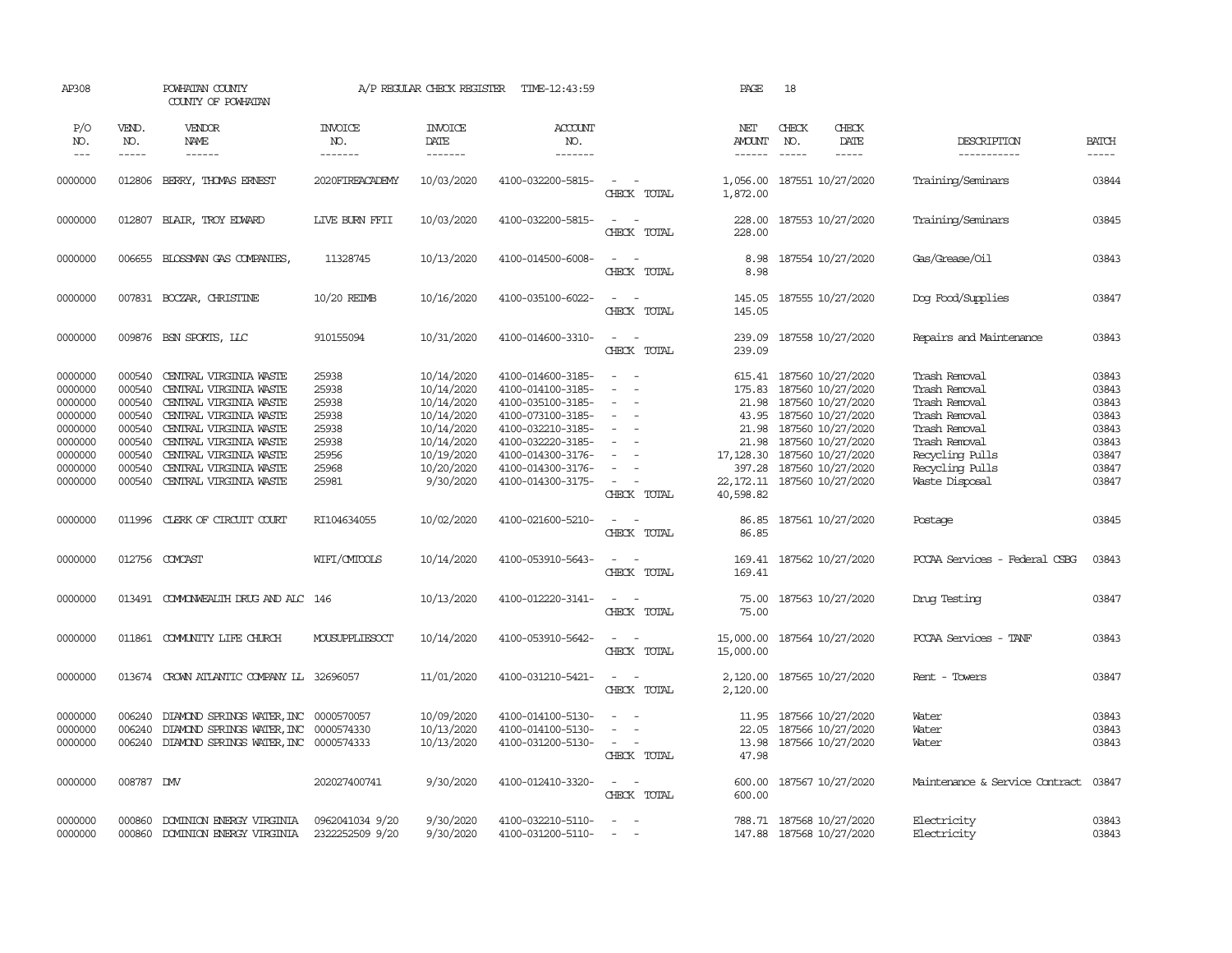| AP308               |                       | POWHATAN COUNTY<br>COUNTY OF POWHATAN            |                                  | A/P REGULAR CHECK REGISTER        | TIME-12:43:59                          |                                                                | PAGE                               | 18           |                                        |                                   |                       |
|---------------------|-----------------------|--------------------------------------------------|----------------------------------|-----------------------------------|----------------------------------------|----------------------------------------------------------------|------------------------------------|--------------|----------------------------------------|-----------------------------------|-----------------------|
| P/O<br>NO.<br>$---$ | VEND.<br>NO.<br>----- | VENDOR<br>NAME<br>$- - - - - -$                  | <b>INVOICE</b><br>NO.<br>------- | <b>INVOICE</b><br>DATE<br>------- | ACCOUNT<br>NO.<br>-------              |                                                                | NET<br><b>AMOUNT</b><br>------     | CHECK<br>NO. | CHECK<br>DATE<br>$- - - - -$           | DESCRIPTION<br>-----------        | <b>BATCH</b><br>----- |
|                     |                       |                                                  |                                  |                                   |                                        |                                                                |                                    |              |                                        |                                   |                       |
| 0000000             | 012806                | BERRY, THOMAS ERNEST                             | 2020FIREACADEMY                  | 10/03/2020                        | 4100-032200-5815-                      | $\mathcal{L}_{\mathcal{A}}$<br>$\sim$<br>CHECK TOTAL           | 1,872.00                           |              | 1,056.00 187551 10/27/2020             | Training/Seminars                 | 03844                 |
| 0000000             | 012807                | BIAIR, TROY EDWARD                               | LIVE BURN FFII                   | 10/03/2020                        | 4100-032200-5815-                      | $\sim$<br>$\sim$<br>CHECK TOTAL                                | 228.00<br>228.00                   |              | 187553 10/27/2020                      | Training/Seminars                 | 03845                 |
| 0000000             | 006655                | BLOSSMAN GAS COMPANIES,                          | 11328745                         | 10/13/2020                        | 4100-014500-6008-                      | $\overline{\phantom{a}}$<br>$\sim$<br>CHECK TOTAL              | 8.98<br>8.98                       |              | 187554 10/27/2020                      | Gas/Grease/Oil                    | 03843                 |
| 0000000             |                       | 007831 BOCZAR, CHRISTINE                         | 10/20 REIMB                      | 10/16/2020                        | 4100-035100-6022-                      | $\sim$<br>$\sim$<br>CHECK TOTAL                                | 145.05<br>145.05                   |              | 187555 10/27/2020                      | Dog Food/Supplies                 | 03847                 |
| 0000000             | 009876                | BSN SPORTS, LLC                                  | 910155094                        | 10/31/2020                        | 4100-014600-3310-                      | $\overline{\phantom{a}}$<br>$\sim$<br>CHECK TOTAL              | 239.09<br>239.09                   |              | 187558 10/27/2020                      | Repairs and Maintenance           | 03843                 |
| 0000000<br>0000000  | 000540<br>000540      | CENTRAL VIRGINIA WASTE<br>CENTRAL VIRGINIA WASTE | 25938<br>25938                   | 10/14/2020<br>10/14/2020          | 4100-014600-3185-<br>4100-014100-3185- | $\overline{\phantom{a}}$<br>$\sim$<br>$\overline{\phantom{a}}$ | 615.41<br>175.83                   |              | 187560 10/27/2020<br>187560 10/27/2020 | Trash Removal<br>Trash Removal    | 03843<br>03843        |
| 0000000             | 000540                | CENTRAL VIRGINIA WASTE                           | 25938                            | 10/14/2020                        | 4100-035100-3185-                      |                                                                | 21.98                              |              | 187560 10/27/2020                      | Trash Removal                     | 03843                 |
| 0000000             | 000540                | CENTRAL VIRGINIA WASTE                           | 25938                            | 10/14/2020                        | 4100-073100-3185-                      | $\overline{\phantom{a}}$                                       | 43.95                              |              | 187560 10/27/2020                      | Trash Removal                     | 03843                 |
| 0000000             | 000540                | CENTRAL VIRGINIA WASTE                           | 25938                            | 10/14/2020                        | 4100-032210-3185-                      |                                                                | 21.98                              |              | 187560 10/27/2020                      | Trash Removal                     | 03843                 |
| 0000000             | 000540                | CENTRAL VIRGINIA WASTE                           | 25938                            | 10/14/2020                        | 4100-032220-3185-                      |                                                                | 21.98                              |              | 187560 10/27/2020                      | Trash Removal                     | 03843                 |
| 0000000             | 000540                | CENTRAL VIRGINIA WASTE                           | 25956                            | 10/19/2020                        | 4100-014300-3176-                      |                                                                | 17,128.30                          |              | 187560 10/27/2020                      | Recycling Pulls                   | 03847                 |
| 0000000<br>0000000  | 000540<br>000540      | CENTRAL VIRGINIA WASTE<br>CENTRAL VIRGINIA WASTE | 25968<br>25981                   | 10/20/2020<br>9/30/2020           | 4100-014300-3176-<br>4100-014300-3175- | $\equiv$<br>$\overline{\phantom{a}}$<br>CHECK TOTAL            | 397.28<br>22, 172. 11<br>40,598.82 |              | 187560 10/27/2020<br>187560 10/27/2020 | Recycling Pulls<br>Waste Disposal | 03847<br>03847        |
| 0000000             | 011996                | CLERK OF CIRCUIT COURT                           | RI104634055                      | 10/02/2020                        | 4100-021600-5210-                      | $\overline{\phantom{a}}$<br>$\sim$<br>CHECK TOTAL              | 86.85<br>86.85                     |              | 187561 10/27/2020                      | Postage                           | 03845                 |
| 0000000             |                       | 012756 COMCAST                                   | WIFI/CMTOOLS                     | 10/14/2020                        | 4100-053910-5643-                      | $\overline{\phantom{a}}$<br>$\sim$<br>CHECK TOTAL              | 169.41<br>169.41                   |              | 187562 10/27/2020                      | PCCAA Services - Federal CSBG     | 03843                 |
| 0000000             | 013491                | COMONWEALTH DRUG AND ALC 146                     |                                  | 10/13/2020                        | 4100-012220-3141-                      | $\sim$<br>$\sim$<br>CHECK TOTAL                                | 75.00<br>75.00                     |              | 187563 10/27/2020                      | Druq Testinq                      | 03847                 |
| 0000000             | 011861                | COMMUNITY LIFE CHURCH                            | MOUSUPPLIESOCT                   | 10/14/2020                        | 4100-053910-5642-                      | $\sim$<br>CHECK TOTAL                                          | 15,000.00<br>15,000.00             |              | 187564 10/27/2020                      | PCCAA Services - TANF             | 03843                 |
| 0000000             | 013674                | CROWN ATLANTIC COMPANY LL                        | 32696057                         | 11/01/2020                        | 4100-031210-5421-                      | $\equiv$<br>$\sim$<br>CHECK TOTAL                              | 2,120.00<br>2,120.00               |              | 187565 10/27/2020                      | Rent - Towers                     | 03847                 |
| 0000000             | 006240                | DIAMOND SPRINGS WATER, INC                       | 0000570057                       | 10/09/2020                        | 4100-014100-5130-                      | $\sim$                                                         | 11.95                              |              | 187566 10/27/2020                      | Water                             | 03843                 |
| 0000000             | 006240                | DIAMOND SPRINGS WATER, INC                       | 0000574330                       | 10/13/2020                        | 4100-014100-5130-                      |                                                                | 22.05                              |              | 187566 10/27/2020                      | Water                             | 03843                 |
| 0000000             | 006240                | DIAMOND SPRINGS WATER, INC 0000574333            |                                  | 10/13/2020                        | 4100-031200-5130-                      | $\sim$<br>$\overline{\phantom{a}}$<br>CHECK TOTAL              | 13.98<br>47.98                     |              | 187566 10/27/2020                      | Water                             | 03843                 |
| 0000000             | 008787 DMV            |                                                  | 202027400741                     | 9/30/2020                         | 4100-012410-3320-                      | $\sim$<br>CHECK TOTAL                                          | 600.00<br>600.00                   |              | 187567 10/27/2020                      | Maintenance & Service Contract    | 03847                 |
| 0000000             | 000860                | DOMINION ENERGY VIRGINIA                         | 0962041034 9/20                  | 9/30/2020                         | 4100-032210-5110-                      |                                                                | 788.71                             |              | 187568 10/27/2020                      | Electricity                       | 03843                 |
| 0000000             | 000860                | DOMINION ENERGY VIRGINIA                         | 2322252509 9/20                  | 9/30/2020                         | 4100-031200-5110-                      | $\sim$<br>$\sim$                                               |                                    |              | 147.88 187568 10/27/2020               | Electricity                       | 03843                 |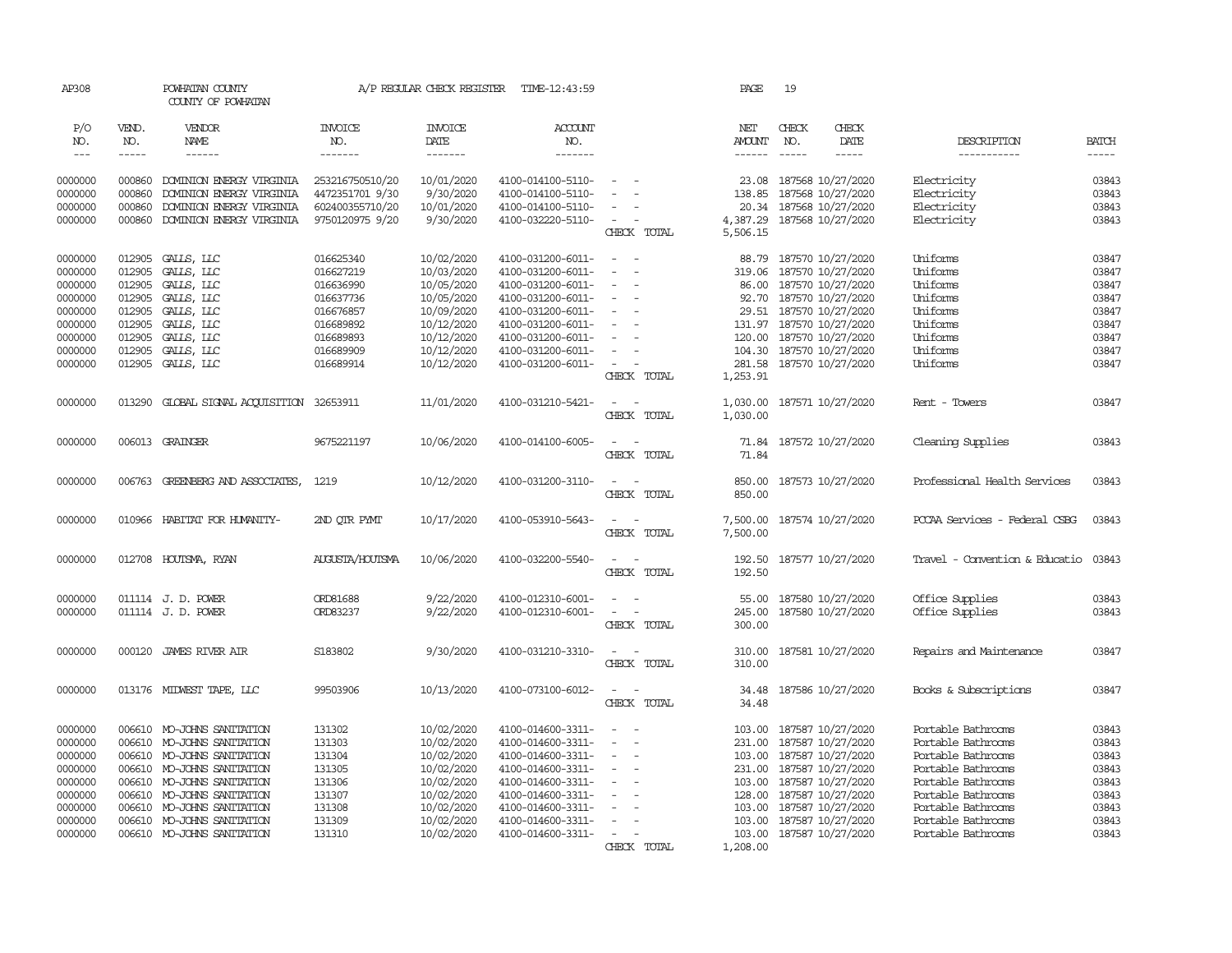| AP308              |                  | POWHATAN COUNTY<br>COUNTY OF POWHATAN |                        | A/P REGULAR CHECK REGISTER | TIME-12:43:59                          |                                    |             | PAGE                 | 19           |                                               |                                |                |
|--------------------|------------------|---------------------------------------|------------------------|----------------------------|----------------------------------------|------------------------------------|-------------|----------------------|--------------|-----------------------------------------------|--------------------------------|----------------|
| P/O<br>NO.         | VEND.<br>NO.     | <b>VENDOR</b><br>NAME                 | <b>INVOICE</b><br>NO.  | <b>INVOICE</b><br>DATE     | <b>ACCOUNT</b><br>NO.                  |                                    |             | NET<br><b>AMOUNT</b> | CHECK<br>NO. | CHECK<br>DATE                                 | DESCRIPTION                    | <b>BATCH</b>   |
| $\frac{1}{2}$      | $- - - - -$      | ------                                | -------                | -------                    | -------                                |                                    |             | ------               | $- - - - -$  | -----                                         | -----------                    | $\frac{1}{2}$  |
| 0000000            | 000860           | DOMINION ENERGY VIRGINIA              | 253216750510/20        | 10/01/2020                 | 4100-014100-5110-                      | $\sim$                             |             | 23.08                |              | 187568 10/27/2020                             | Electricity                    | 03843          |
| 0000000            | 000860           | DOMINION ENERGY VIRGINIA              | 4472351701 9/30        | 9/30/2020                  | 4100-014100-5110-                      |                                    |             | 138.85               |              | 187568 10/27/2020                             | Electricity                    | 03843          |
| 0000000            | 000860           | DOMINION ENERGY VIRGINIA              | 602400355710/20        | 10/01/2020                 | 4100-014100-5110-                      | $\equiv$                           |             | 20.34                |              | 187568 10/27/2020                             | Electricity                    | 03843          |
| 0000000            | 000860           | DOMINION ENERGY VIRGINIA              | 9750120975 9/20        | 9/30/2020                  | 4100-032220-5110-                      |                                    |             | 4,387.29             |              | 187568 10/27/2020                             | Electricity                    | 03843          |
|                    |                  |                                       |                        |                            |                                        |                                    | CHECK TOTAL | 5,506.15             |              |                                               |                                |                |
|                    |                  |                                       |                        |                            |                                        |                                    |             |                      |              |                                               |                                |                |
| 0000000            |                  | 012905 GALLS, LLC                     | 016625340              | 10/02/2020                 | 4100-031200-6011-                      | $\equiv$                           |             | 88.79                |              | 187570 10/27/2020                             | Uniforms                       | 03847          |
| 0000000            | 012905           | GALLS, LLC                            | 016627219              | 10/03/2020                 | 4100-031200-6011-                      |                                    |             | 319.06               |              | 187570 10/27/2020                             | Uniforms                       | 03847          |
| 0000000            | 012905           | GALLS, LLC                            | 016636990              | 10/05/2020                 | 4100-031200-6011-                      | $\equiv$                           |             | 86.00                |              | 187570 10/27/2020                             | Uniforms                       | 03847          |
| 0000000            | 012905           | GALLS, LLC                            | 016637736              | 10/05/2020                 | 4100-031200-6011-                      | $\sim$                             |             |                      |              | 92.70 187570 10/27/2020                       | Uniforms                       | 03847          |
| 0000000            | 012905           | GALLS, LLC                            | 016676857              | 10/09/2020                 | 4100-031200-6011-                      |                                    |             | 29.51                |              | 187570 10/27/2020                             | Uniforms                       | 03847          |
| 0000000            | 012905           | GALLS, LLC                            | 016689892              | 10/12/2020                 | 4100-031200-6011-                      | $\sim$                             |             |                      |              | 131.97 187570 10/27/2020                      | Uniforms<br>Uniforms           | 03847          |
| 0000000            | 012905           | GALLS, LLC                            | 016689893              | 10/12/2020                 | 4100-031200-6011-                      | $\overline{\phantom{a}}$           |             |                      |              | 120.00 187570 10/27/2020                      | Uniforms                       | 03847<br>03847 |
| 0000000<br>0000000 | 012905<br>012905 | GALLS, LLC<br>GALLS, LLC              | 016689909<br>016689914 | 10/12/2020<br>10/12/2020   | 4100-031200-6011-<br>4100-031200-6011- | $\overline{\phantom{a}}$           |             | 104.30               |              | 187570 10/27/2020<br>281.58 187570 10/27/2020 | Uniforms                       | 03847          |
|                    |                  |                                       |                        |                            |                                        |                                    | CHECK TOTAL | 1,253.91             |              |                                               |                                |                |
|                    |                  |                                       |                        |                            |                                        |                                    |             |                      |              |                                               |                                |                |
| 0000000            | 013290           | GLOBAL SIGNAL ACQUISITION             | 32653911               | 11/01/2020                 | 4100-031210-5421-                      | $\overline{\phantom{a}}$<br>- -    |             | 1,030.00             |              | 187571 10/27/2020                             | Rent - Towers                  | 03847          |
|                    |                  |                                       |                        |                            |                                        |                                    | CHECK TOTAL | 1,030.00             |              |                                               |                                |                |
| 0000000            |                  | 006013 GRAINGER                       | 9675221197             | 10/06/2020                 | 4100-014100-6005-                      | $\sim$<br>$\sim$                   |             | 71.84                |              | 187572 10/27/2020                             | Cleaning Supplies              | 03843          |
|                    |                  |                                       |                        |                            |                                        |                                    | CHECK TOTAL | 71.84                |              |                                               |                                |                |
|                    |                  |                                       |                        |                            |                                        |                                    |             |                      |              |                                               |                                |                |
| 0000000            |                  | 006763 GREENBERG AND ASSOCIATES,      | 1219                   | 10/12/2020                 | 4100-031200-3110-                      | $\sim$ $ \sim$                     | CHECK TOTAL | 850.00               |              | 850.00 187573 10/27/2020                      | Professional Health Services   | 03843          |
|                    |                  |                                       |                        |                            |                                        |                                    |             |                      |              |                                               |                                |                |
| 0000000            |                  | 010966 HABITAT FOR HUMANITY-          | 2ND QTR PYMT           | 10/17/2020                 | 4100-053910-5643-                      | $\sim$<br>$\sim$                   |             | 7,500.00             |              | 187574 10/27/2020                             | PCCAA Services - Federal CSBG  | 03843          |
|                    |                  |                                       |                        |                            |                                        |                                    | CHECK TOTAL | 7,500.00             |              |                                               |                                |                |
| 0000000            |                  | 012708 HOUTSMA, RYAN                  | AUGUSTA/HOUTSMA        | 10/06/2020                 | 4100-032200-5540-                      | $\sim$<br>$\sim$                   |             | 192.50               |              | 187577 10/27/2020                             | Travel - Convention & Educatio | 03843          |
|                    |                  |                                       |                        |                            |                                        |                                    | CHECK TOTAL | 192.50               |              |                                               |                                |                |
|                    |                  |                                       |                        |                            |                                        |                                    |             |                      |              |                                               |                                |                |
| 0000000            |                  | 011114 J.D. POWER                     | ORD81688               | 9/22/2020                  | 4100-012310-6001-                      | $\overline{\phantom{a}}$<br>$\sim$ |             | 55.00                |              | 187580 10/27/2020                             | Office Supplies                | 03843          |
| 0000000            |                  | 011114 J.D. POWER                     | ORD83237               | 9/22/2020                  | 4100-012310-6001-                      | $\overline{\phantom{a}}$<br>$\sim$ |             | 245.00               |              | 187580 10/27/2020                             | Office Supplies                | 03843          |
|                    |                  |                                       |                        |                            |                                        |                                    | CHECK TOTAL | 300.00               |              |                                               |                                |                |
| 0000000            |                  | 000120 JAMES RIVER AIR                | S183802                | 9/30/2020                  | 4100-031210-3310-                      | $\sim$ $ -$                        |             | 310.00               |              | 187581 10/27/2020                             | Repairs and Maintenance        | 03847          |
|                    |                  |                                       |                        |                            |                                        |                                    | CHECK TOTAL | 310.00               |              |                                               |                                |                |
|                    |                  |                                       |                        |                            |                                        |                                    |             |                      |              |                                               |                                |                |
| 0000000            |                  | 013176 MIDWEST TAPE, LLC              | 99503906               | 10/13/2020                 | 4100-073100-6012-                      | $\sim$<br>$\sim$                   | CHECK TOTAL | 34.48<br>34.48       |              | 187586 10/27/2020                             | Books & Subscriptions          | 03847          |
|                    |                  |                                       |                        |                            |                                        |                                    |             |                      |              |                                               |                                |                |
| 0000000            |                  | 006610 MO-JOHNS SANITATION            | 131302                 | 10/02/2020                 | 4100-014600-3311-                      |                                    |             | 103.00               |              | 187587 10/27/2020                             | Portable Bathrooms             | 03843          |
| 0000000            |                  | 006610 MO-JOHNS SANITATION            | 131303                 | 10/02/2020                 | 4100-014600-3311-                      | $\equiv$                           |             | 231.00               |              | 187587 10/27/2020                             | Portable Bathrooms             | 03843          |
| 0000000            |                  | 006610 MO-JOHNS SANITATION            | 131304                 | 10/02/2020                 | 4100-014600-3311-                      | $\equiv$                           |             | 103.00               |              | 187587 10/27/2020                             | Portable Bathrooms             | 03843          |
| 0000000            | 006610           | MO-JOHNS SANITATION                   | 131305                 | 10/02/2020                 | 4100-014600-3311-                      | $\equiv$                           |             | 231.00               |              | 187587 10/27/2020                             | Portable Bathrooms             | 03843          |
| 0000000            |                  | 006610 MO-JOHNS SANITATION            | 131306                 | 10/02/2020                 | 4100-014600-3311-                      |                                    |             | 103.00               |              | 187587 10/27/2020                             | Portable Bathrooms             | 03843          |
| 0000000            |                  | 006610 MO-JOHNS SANITATION            | 131307                 | 10/02/2020                 | 4100-014600-3311-                      |                                    |             |                      |              | 128.00 187587 10/27/2020                      | Portable Bathrooms             | 03843          |
| 0000000            |                  | 006610 MO-JOHNS SANITATION            | 131308                 | 10/02/2020                 | 4100-014600-3311-                      |                                    |             |                      |              | 103.00 187587 10/27/2020                      | Portable Bathrooms             | 03843          |
| 0000000            |                  | 006610 MO-JOHNS SANITATION            | 131309                 | 10/02/2020                 | 4100-014600-3311-                      |                                    |             | 103.00               |              | 187587 10/27/2020                             | Portable Bathrooms             | 03843          |
| 0000000            |                  | 006610 MO-JOHNS SANITATION            | 131310                 | 10/02/2020                 | 4100-014600-3311-                      |                                    |             |                      |              | 103.00 187587 10/27/2020                      | Portable Bathrooms             | 03843          |
|                    |                  |                                       |                        |                            |                                        |                                    | CHECK TOTAL | 1,208.00             |              |                                               |                                |                |
|                    |                  |                                       |                        |                            |                                        |                                    |             |                      |              |                                               |                                |                |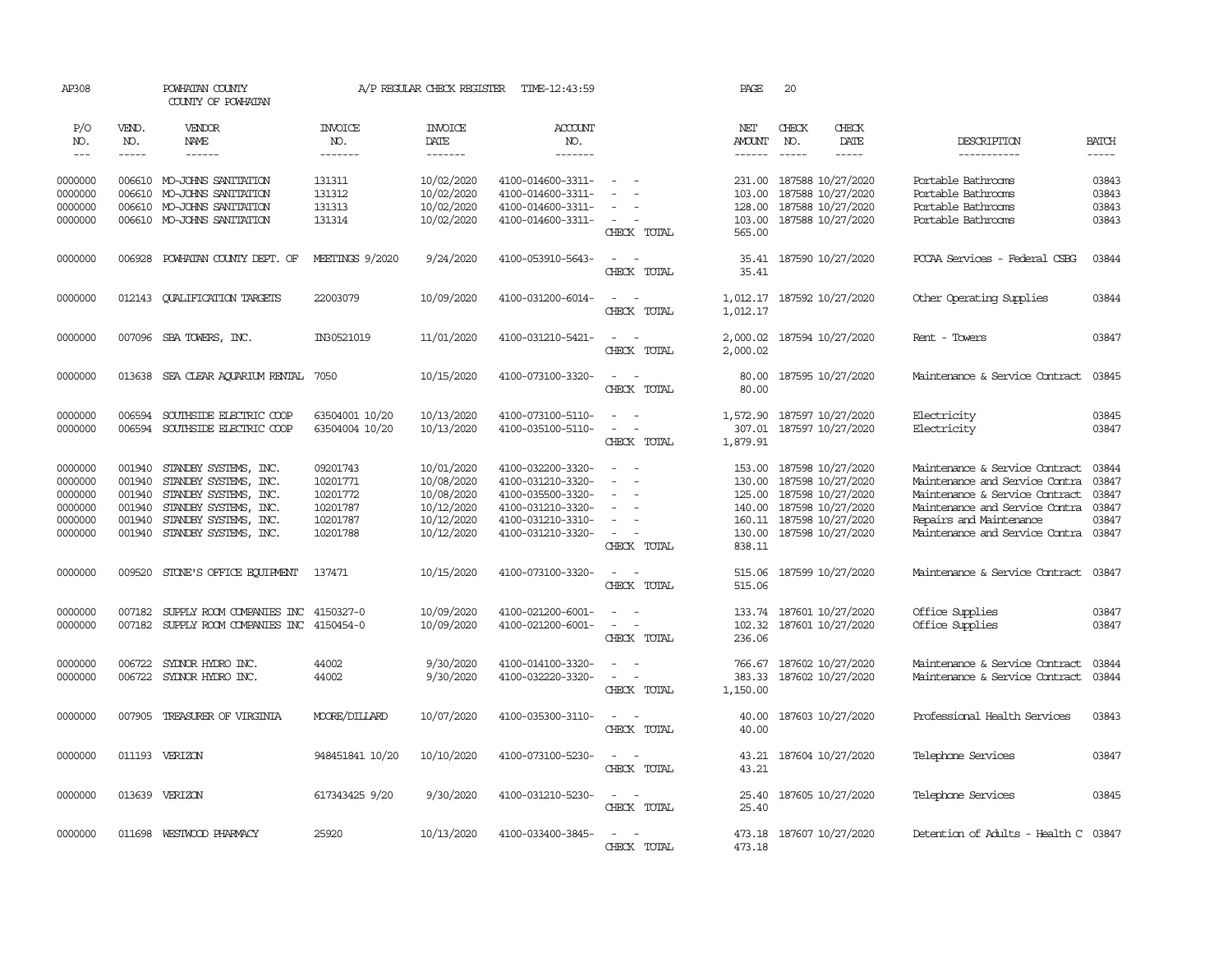| AP308      |              | POWHATAN COUNTY<br>COUNTY OF POWHATAN |                       | A/P REGULAR CHECK REGISTER | TIME-12:43:59     |                                                                                                | PAGE                 | 20            |                            |                                      |              |
|------------|--------------|---------------------------------------|-----------------------|----------------------------|-------------------|------------------------------------------------------------------------------------------------|----------------------|---------------|----------------------------|--------------------------------------|--------------|
| P/O<br>NO. | VEND.<br>NO. | VENDOR<br>NAME                        | <b>INVOICE</b><br>NO. | <b>INVOICE</b><br>DATE     | ACCOUNT<br>NO.    |                                                                                                | NET<br><b>AMOUNT</b> | CHECK<br>NO.  | CHECK<br>DATE              | DESCRIPTION                          | <b>BATCH</b> |
| $---$      | $- - - - -$  | $- - - - - -$                         | -------               | $- - - - - - -$            | $- - - - - - -$   |                                                                                                | $- - - - - -$        | $\frac{1}{2}$ | $- - - - -$                | -----------                          | -----        |
|            |              |                                       |                       |                            |                   |                                                                                                |                      |               |                            |                                      |              |
| 0000000    |              | 006610 MO-JOHNS SANITATION            | 131311                | 10/02/2020                 | 4100-014600-3311- | $\sim$ $\sim$                                                                                  |                      |               | 231.00 187588 10/27/2020   | Portable Bathrooms                   | 03843        |
| 0000000    | 006610       | MO-JOHNS SANITATION                   | 131312                | 10/02/2020                 | 4100-014600-3311- |                                                                                                | 103.00               |               | 187588 10/27/2020          | Portable Bathrooms                   | 03843        |
| 0000000    | 006610       | MO-JOHNS SANITATION                   | 131313                | 10/02/2020                 | 4100-014600-3311- | $\overline{\phantom{a}}$                                                                       | 128.00               |               | 187588 10/27/2020          | Portable Bathrooms                   | 03843        |
| 0000000    |              | 006610 MO-JOHNS SANITATION            | 131314                | 10/02/2020                 | 4100-014600-3311- | $\sim$<br>$\sim$                                                                               | 103.00               |               | 187588 10/27/2020          | Portable Bathrooms                   | 03843        |
|            |              |                                       |                       |                            |                   | CHECK TOTAL                                                                                    | 565.00               |               |                            |                                      |              |
| 0000000    | 006928       | POWHATAN COUNTY DEPT. OF              | MEETINGS 9/2020       | 9/24/2020                  | 4100-053910-5643- | $\sim$ $ \sim$                                                                                 |                      |               | 35.41 187590 10/27/2020    | PCCAA Services - Federal CSBG        | 03844        |
|            |              |                                       |                       |                            |                   | CHECK TOTAL                                                                                    | 35.41                |               |                            |                                      |              |
| 0000000    | 012143       | <b>QUALIFICATION TARGETS</b>          | 22003079              | 10/09/2020                 | 4100-031200-6014- | $\sim$ $ \sim$                                                                                 |                      |               | 1,012.17 187592 10/27/2020 | Other Operating Supplies             | 03844        |
|            |              |                                       |                       |                            |                   | CHECK TOTAL                                                                                    | 1,012.17             |               |                            |                                      |              |
| 0000000    | 007096       | SBA TOWERS, INC.                      | IN30521019            | 11/01/2020                 | 4100-031210-5421- | $\overline{\phantom{a}}$<br>$\sim$                                                             | 2,000.02             |               | 187594 10/27/2020          | Rent - Towers                        | 03847        |
|            |              |                                       |                       |                            |                   | CHECK TOTAL                                                                                    | 2,000.02             |               |                            |                                      |              |
| 0000000    | 013638       | SEA CLEAR AOUARIUM RENTAL             | 7050                  | 10/15/2020                 | 4100-073100-3320- | $\overline{\phantom{a}}$<br>$\sim$                                                             | 80.00                |               | 187595 10/27/2020          | Maintenance & Service Contract       | 03845        |
|            |              |                                       |                       |                            |                   | CHECK TOTAL                                                                                    | 80.00                |               |                            |                                      |              |
| 0000000    | 006594       | SOUTHSIDE ELECTRIC COOP               | 63504001 10/20        | 10/13/2020                 | 4100-073100-5110- | $\sim$<br>$\sim$                                                                               | 1,572.90             |               | 187597 10/27/2020          | Electricity                          | 03845        |
| 0000000    | 006594       | SOUTHSIDE ELECTRIC COOP               | 63504004 10/20        | 10/13/2020                 | 4100-035100-5110- | $\sim$<br>$\sim$                                                                               | 307.01               |               | 187597 10/27/2020          | Electricity                          | 03847        |
|            |              |                                       |                       |                            |                   | CHECK TOTAL                                                                                    | 1,879.91             |               |                            |                                      |              |
| 0000000    | 001940       | STANDBY SYSTEMS, INC.                 | 09201743              | 10/01/2020                 | 4100-032200-3320- | $\sim$ $ \sim$                                                                                 |                      |               | 153.00 187598 10/27/2020   | Maintenance & Service Contract       | 03844        |
| 0000000    | 001940       | STANDBY SYSTEMS, INC.                 | 10201771              | 10/08/2020                 | 4100-031210-3320- | $\sim$<br>$\sim$                                                                               | 130.00               |               | 187598 10/27/2020          | Maintenance and Service Contra       | 03847        |
| 0000000    | 001940       | STANDBY SYSTEMS, INC.                 | 10201772              | 10/08/2020                 | 4100-035500-3320- | $\sim$                                                                                         |                      |               | 125.00 187598 10/27/2020   | Maintenance & Service Contract       | 03847        |
| 0000000    | 001940       | STANDBY SYSTEMS, INC.                 | 10201787              | 10/12/2020                 | 4100-031210-3320- | $\overline{\phantom{a}}$                                                                       |                      |               | 140.00 187598 10/27/2020   | Maintenance and Service Contra       | 03847        |
| 0000000    | 001940       | STANDBY SYSTEMS, INC.                 | 10201787              | 10/12/2020                 | 4100-031210-3310- | $\overline{a}$                                                                                 |                      |               | 160.11 187598 10/27/2020   | Repairs and Maintenance              | 03847        |
| 0000000    | 001940       | STANDBY SYSTEMS, INC.                 | 10201788              | 10/12/2020                 | 4100-031210-3320- | $\sim$                                                                                         | 130.00               |               | 187598 10/27/2020          | Maintenance and Service Contra 03847 |              |
|            |              |                                       |                       |                            |                   | CHECK TOTAL                                                                                    | 838.11               |               |                            |                                      |              |
| 0000000    | 009520       | STONE'S OFFICE EQUIPMENT              | 137471                | 10/15/2020                 | 4100-073100-3320- | $\sim$<br>$\sim$                                                                               | 515.06               |               | 187599 10/27/2020          | Maintenance & Service Contract       | 03847        |
|            |              |                                       |                       |                            |                   | CHECK TOTAL                                                                                    | 515.06               |               |                            |                                      |              |
| 0000000    | 007182       | SUPPLY ROOM COMPANIES INC 4150327-0   |                       | 10/09/2020                 | 4100-021200-6001- | $\frac{1}{2} \left( \frac{1}{2} \right) \left( \frac{1}{2} \right) \left( \frac{1}{2} \right)$ |                      |               | 133.74 187601 10/27/2020   | Office Supplies                      | 03847        |
| 0000000    | 007182       | SUPPLY ROOM COMPANIES INC 4150454-0   |                       | 10/09/2020                 | 4100-021200-6001- | $\sim$<br>$\sim$                                                                               | 102.32               |               | 187601 10/27/2020          | Office Supplies                      | 03847        |
|            |              |                                       |                       |                            |                   | CHECK TOTAL                                                                                    | 236.06               |               |                            |                                      |              |
| 0000000    | 006722       | SYDNOR HYDRO INC.                     | 44002                 | 9/30/2020                  | 4100-014100-3320- | $\overline{\phantom{a}}$<br>- 14                                                               |                      |               | 766.67 187602 10/27/2020   | Maintenance & Service Contract       | 03844        |
| 0000000    | 006722       | SYLNOR HYDRO INC.                     | 44002                 | 9/30/2020                  | 4100-032220-3320- | $\overline{\phantom{a}}$<br>$\overline{\phantom{a}}$                                           | 383.33               |               | 187602 10/27/2020          | Maintenance & Service Contract       | 03844        |
|            |              |                                       |                       |                            |                   | CHECK TOTAL                                                                                    | 1,150.00             |               |                            |                                      |              |
| 0000000    | 007905       | TREASURER OF VIRGINIA                 | MOORE/DILLARD         | 10/07/2020                 | 4100-035300-3110- | $\sim$<br>$\sim$                                                                               | 40.00                |               | 187603 10/27/2020          | Professional Health Services         | 03843        |
|            |              |                                       |                       |                            |                   | CHECK TOTAL                                                                                    | 40.00                |               |                            |                                      |              |
| 0000000    |              | 011193 VERIZON                        | 948451841 10/20       | 10/10/2020                 | 4100-073100-5230- | $\sim$ $ \sim$                                                                                 |                      |               | 43.21 187604 10/27/2020    | Telephone Services                   | 03847        |
|            |              |                                       |                       |                            |                   | CHECK TOTAL                                                                                    | 43.21                |               |                            |                                      |              |
| 0000000    |              | 013639 VERIZON                        | 617343425 9/20        | 9/30/2020                  | 4100-031210-5230- | $\sim$<br>$\sim$                                                                               | 25.40                |               | 187605 10/27/2020          | Telephone Services                   | 03845        |
|            |              |                                       |                       |                            |                   | CHECK TOTAL                                                                                    | 25.40                |               |                            |                                      |              |
| 0000000    |              | 011698 WESTWOOD PHARMACY              | 25920                 | 10/13/2020                 | 4100-033400-3845- | $\sim$<br>$\sim$                                                                               |                      |               | 473.18 187607 10/27/2020   | Detention of Adults - Health C 03847 |              |
|            |              |                                       |                       |                            |                   | CHECK TOTAL                                                                                    | 473.18               |               |                            |                                      |              |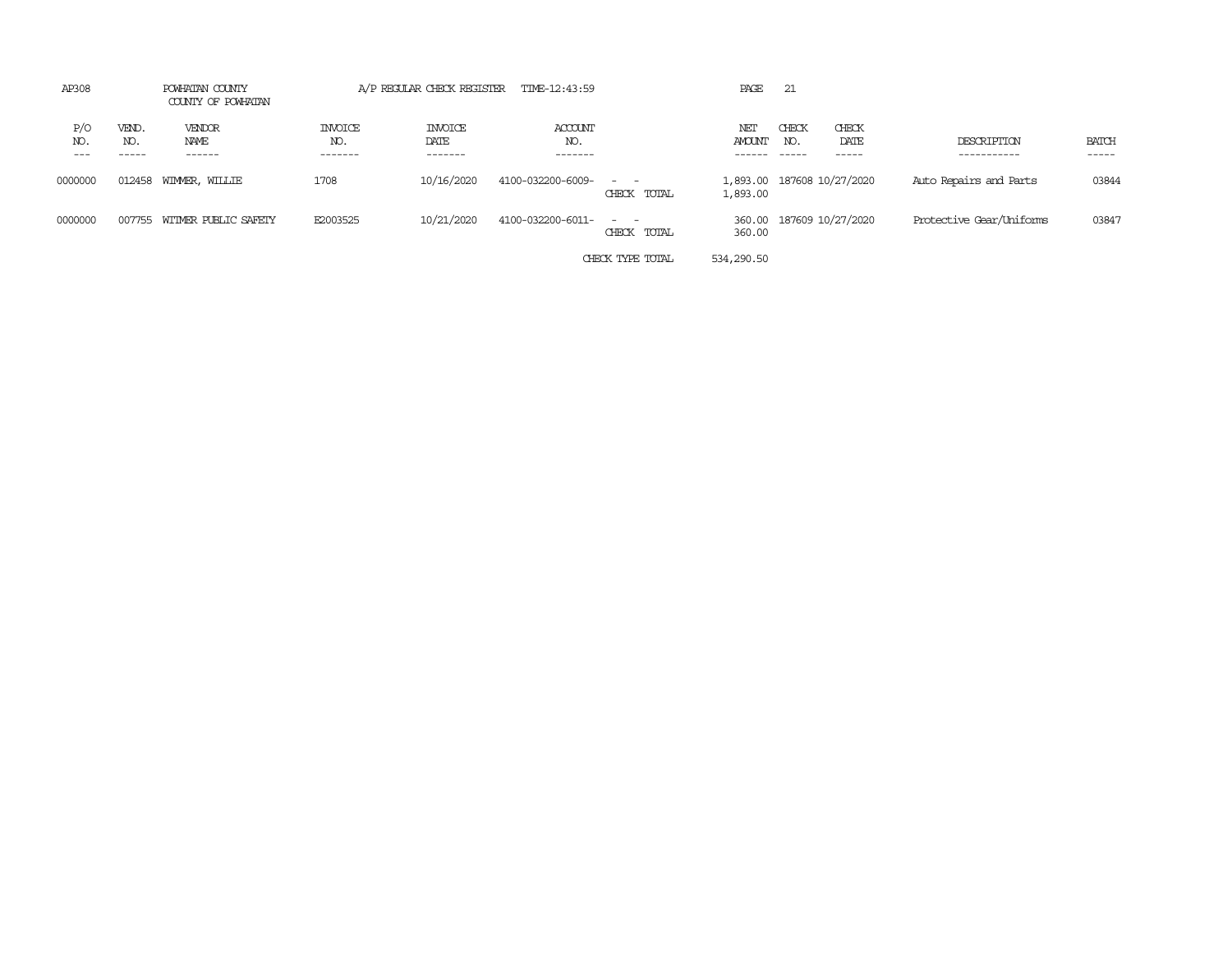| AP308               |                       | POWHATAN COUNTY<br>COUNTY OF POWHATAN |                                  |                                   | A/P REGULAR CHECK REGISTER TIME-12:43:59 |                                                                                                                                          | PAGE          | -21                         |                            |                            |                       |
|---------------------|-----------------------|---------------------------------------|----------------------------------|-----------------------------------|------------------------------------------|------------------------------------------------------------------------------------------------------------------------------------------|---------------|-----------------------------|----------------------------|----------------------------|-----------------------|
| P/O<br>NO.<br>$---$ | VEND.<br>NO.<br>----- | VENDOR<br>NAME<br>------              | <b>INVOICE</b><br>NO.<br>------- | <b>INVOICE</b><br>DATE<br>------- | ACCOUNT<br>NO.<br>-------                |                                                                                                                                          | NET<br>AMOUNT | CHECK<br>NO.<br>$- - - - -$ | CHECK<br>DATE<br>-----     | DESCRIPTION<br>----------- | <b>BATCH</b><br>----- |
| 0000000             | 012458                | WIMMER, WILLIE                        | 1708                             | 10/16/2020                        | 4100-032200-6009-                        | $\frac{1}{2} \left( \frac{1}{2} \right) \left( \frac{1}{2} \right) \left( \frac{1}{2} \right) \left( \frac{1}{2} \right)$<br>CHECK TOTAL | 1,893.00      |                             | 1,893.00 187608 10/27/2020 | Auto Repairs and Parts     | 03844                 |
| 0000000             | 007755                | WITMER PUBLIC SAFETY                  | E2003525                         | 10/21/2020                        | 4100-032200-6011-                        | $\frac{1}{2} \left( \frac{1}{2} \right) \left( \frac{1}{2} \right) = \frac{1}{2} \left( \frac{1}{2} \right)$<br>CHECK TOTAL              | 360.00        |                             | 360.00 187609 10/27/2020   | Protective Gear/Uniforms   | 03847                 |
|                     |                       |                                       |                                  |                                   |                                          | CHECK TYPE TOTAL                                                                                                                         | 534,290.50    |                             |                            |                            |                       |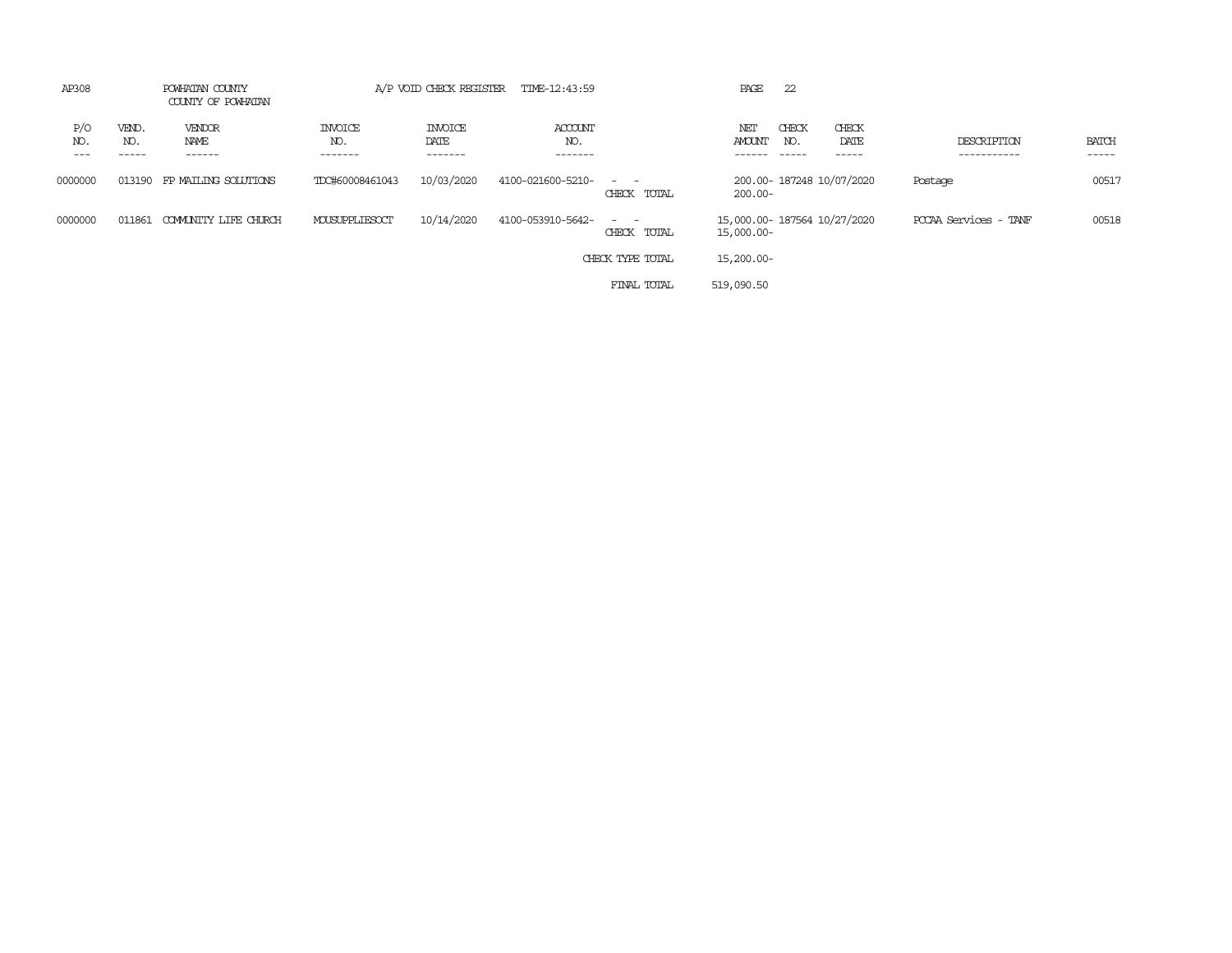| AP308               |                       | POWHATAN COUNTY<br>COUNTY OF POWHATAN |                                  |                                   | A/P VOID CHECK REGISTER TIME-12:43:59 |                                                                                                                             | PAGE<br>-22                                             |                        |                            |                       |
|---------------------|-----------------------|---------------------------------------|----------------------------------|-----------------------------------|---------------------------------------|-----------------------------------------------------------------------------------------------------------------------------|---------------------------------------------------------|------------------------|----------------------------|-----------------------|
| P/O<br>NO.<br>$---$ | VEND.<br>NO.<br>----- | VENDOR<br>NAME<br>------              | <b>INVOICE</b><br>NO.<br>------- | <b>INVOICE</b><br>DATE<br>------- | ACCOUNT<br>NO.<br>-------             |                                                                                                                             | CHECK<br>NET<br>AMOUNT<br>NO.<br>$- - - - -$<br>------- | CHECK<br>DATE<br>----- | DESCRIPTION<br>----------- | <b>BATCH</b><br>----- |
| 0000000             | 013190                | FP MAILING SOLUTIONS                  | TDC#60008461043                  | 10/03/2020                        | 4100-021600-5210-                     | $\frac{1}{2} \left( \frac{1}{2} \right) \left( \frac{1}{2} \right) = \frac{1}{2} \left( \frac{1}{2} \right)$<br>CHECK TOTAL | 200.00-187248 10/07/2020<br>$200.00 -$                  |                        | Postage                    | 00517                 |
| 0000000             | 011861                | COMUNITY LIFE CHURCH                  | MOUSUPPLIESOCT                   | 10/14/2020                        | 4100-053910-5642-                     | $\sim$ $\sim$<br>CHECK TOTAL                                                                                                | 15,000.00-187564 10/27/2020<br>15,000.00-               |                        | PCCAA Services - TANF      | 00518                 |
|                     |                       |                                       |                                  |                                   |                                       | CHECK TYPE TOTAL                                                                                                            | 15,200.00-                                              |                        |                            |                       |
|                     |                       |                                       |                                  |                                   |                                       | FINAL TOTAL                                                                                                                 | 519,090.50                                              |                        |                            |                       |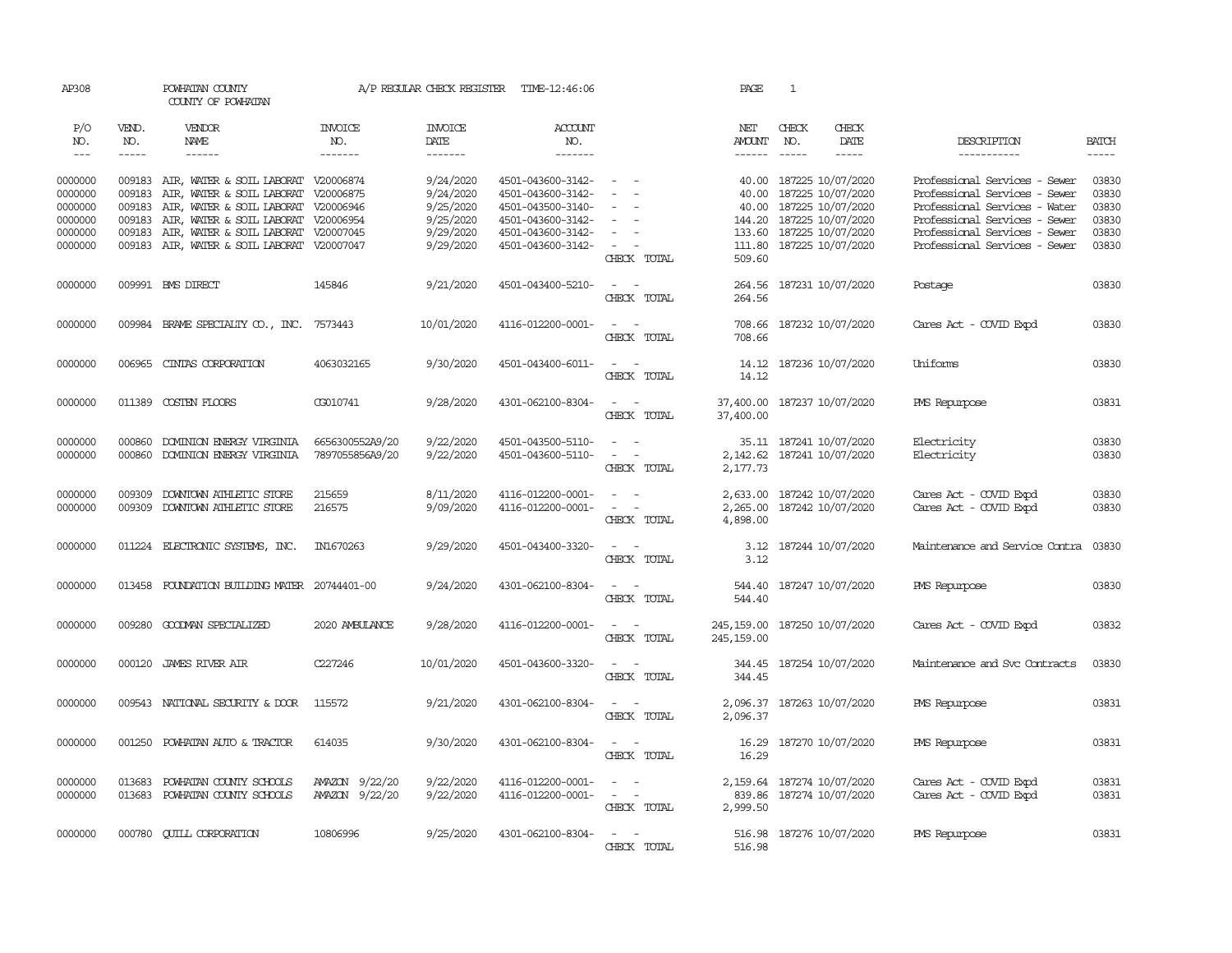| AP308              |                  | POWHATAN COUNTY<br>COUNTY OF POWHATAN                                             |                                  |                        | A/P REGULAR CHECK REGISTER TIME-12:46:06 |                                                                                                                                | PAGE                        | 1                                            |                   |                                                                |                |
|--------------------|------------------|-----------------------------------------------------------------------------------|----------------------------------|------------------------|------------------------------------------|--------------------------------------------------------------------------------------------------------------------------------|-----------------------------|----------------------------------------------|-------------------|----------------------------------------------------------------|----------------|
| P/O<br>NO.         | VEND.<br>NO.     | VENDOR<br>NAME                                                                    | <b>INVOICE</b><br>NO.            | <b>INVOICE</b><br>DATE | <b>ACCOUNT</b><br>NO.                    |                                                                                                                                | NET<br>AMOUNT               | CHECK<br>NO.                                 | CHECK<br>DATE     | DESCRIPTION                                                    | <b>BATCH</b>   |
| $  -$              | -----            | ------                                                                            | -------                          | -------                | -------                                  |                                                                                                                                | ------                      | $\cdots$                                     | $- - - - -$       | -----------                                                    | $- - - - -$    |
| 0000000<br>0000000 | 009183           | 009183 AIR, WATER & SOIL LABORAT V20006874<br>AIR, WATER & SOIL LABORAT V20006875 |                                  | 9/24/2020<br>9/24/2020 | 4501-043600-3142-<br>4501-043600-3142-   | $\omega_{\rm{max}}$ and $\omega_{\rm{max}}$<br>$\equiv$<br>$\sim$                                                              | 40.00                       | 40.00 187225 10/07/2020<br>187225 10/07/2020 |                   | Professional Services - Sewer<br>Professional Services - Sewer | 03830<br>03830 |
| 0000000            | 009183           | AIR, WATER & SOIL LABORAT V20006946                                               |                                  | 9/25/2020              | 4501-043500-3140-                        | $\sim$                                                                                                                         |                             | 40.00 187225 10/07/2020                      |                   | Professional Services - Water                                  | 03830          |
| 0000000            | 009183           | AIR, WATER & SOIL LABORAT V20006954                                               |                                  | 9/25/2020              | 4501-043600-3142-                        |                                                                                                                                |                             | 144.20 187225 10/07/2020                     |                   | Professional Services - Sewer                                  | 03830          |
| 0000000            | 009183           | AIR, WATER & SOIL LABORAT V20007045                                               |                                  | 9/29/2020              | 4501-043600-3142-                        | $\overline{\phantom{a}}$                                                                                                       |                             | 133.60 187225 10/07/2020                     |                   | Professional Services - Sewer                                  | 03830          |
| 0000000            | 009183           | AIR, WATER & SOIL LABORAT V20007047                                               |                                  | 9/29/2020              | 4501-043600-3142-                        | $\sim$<br>$\sim$                                                                                                               | 111.80                      | 187225 10/07/2020                            |                   | Professional Services - Sewer                                  | 03830          |
|                    |                  |                                                                                   |                                  |                        |                                          | CHECK TOTAL                                                                                                                    | 509.60                      |                                              |                   |                                                                |                |
| 0000000            |                  | 009991 BMS DIRECT                                                                 | 145846                           | 9/21/2020              | 4501-043400-5210-                        | $\sim$ $-$<br>$\sim$<br>CHECK TOTAL                                                                                            | 264.56<br>264.56            | 187231 10/07/2020                            |                   | Postage                                                        | 03830          |
| 0000000            |                  | 009984 BRAME SPECIALITY CO., INC. 7573443                                         |                                  | 10/01/2020             | 4116-012200-0001-                        | $\omega_{\rm{max}}$ and $\omega_{\rm{max}}$                                                                                    |                             | 708.66 187232 10/07/2020                     |                   | Cares Act - COVID Expd                                         | 03830          |
|                    |                  |                                                                                   |                                  |                        |                                          | CHECK TOTAL                                                                                                                    | 708.66                      |                                              |                   |                                                                |                |
| 0000000            | 006965           | CINIAS CORPORATION                                                                | 4063032165                       | 9/30/2020              | 4501-043400-6011-                        | $\sim$ $ \sim$                                                                                                                 |                             | 14.12 187236 10/07/2020                      |                   | Uniforms                                                       | 03830          |
|                    |                  |                                                                                   |                                  |                        |                                          | CHECK TOTAL                                                                                                                    | 14.12                       |                                              |                   |                                                                |                |
| 0000000            |                  | 011389 COSTEN FLOORS                                                              | CG010741                         | 9/28/2020              | 4301-062100-8304-                        | $\sim$ $ \sim$                                                                                                                 | 37,400.00 187237 10/07/2020 |                                              |                   | PMS Repurpose                                                  | 03831          |
|                    |                  |                                                                                   |                                  |                        |                                          | CHECK TOTAL                                                                                                                    | 37,400.00                   |                                              |                   |                                                                |                |
| 0000000            | 000860           | DOMINION ENERGY VIRGINIA                                                          | 6656300552A9/20                  | 9/22/2020              | 4501-043500-5110-                        | $\sim$<br>$\sim$                                                                                                               |                             | 35.11 187241 10/07/2020                      |                   | Electricity                                                    | 03830          |
| 0000000            | 000860           | DOMINION ENERGY VIRGINIA                                                          | 7897055856A9/20                  | 9/22/2020              | 4501-043600-5110-                        | $ -$                                                                                                                           | 2, 142.62 187241 10/07/2020 |                                              |                   | Electricity                                                    | 03830          |
|                    |                  |                                                                                   |                                  |                        |                                          | CHECK TOTAL                                                                                                                    | 2,177.73                    |                                              |                   |                                                                |                |
| 0000000            | 009309           | DOWNTOWN ATHLETTC STORE                                                           | 215659                           | 8/11/2020              | 4116-012200-0001-                        | $\sim$ $ \sim$                                                                                                                 | 2,633.00 187242 10/07/2020  |                                              |                   | Cares Act - COVID Expd                                         | 03830          |
| 0000000            | 009309           | DOWNTOWN ATHLETTC STORE                                                           | 216575                           | 9/09/2020              | 4116-012200-0001-                        | $\omega_{\rm{max}}$ and $\omega_{\rm{max}}$                                                                                    | 2,265.00                    | 187242 10/07/2020                            |                   | Cares Act - COVID Expd                                         | 03830          |
|                    |                  |                                                                                   |                                  |                        |                                          | CHECK TOTAL                                                                                                                    | 4,898.00                    |                                              |                   |                                                                |                |
| 0000000            |                  | 011224 ELECTRONIC SYSTEMS, INC.                                                   | IN1670263                        | 9/29/2020              | 4501-043400-3320-                        | $\sim$ $ \sim$                                                                                                                 |                             | 3.12 187244 10/07/2020                       |                   | Maintenance and Service Contra                                 | 03830          |
|                    |                  |                                                                                   |                                  |                        |                                          | CHECK TOTAL                                                                                                                    | 3.12                        |                                              |                   |                                                                |                |
| 0000000            |                  | 013458 FOUNDATION BUILDING MATER 20744401-00                                      |                                  | 9/24/2020              | 4301-062100-8304-                        | $\sim$ $ \sim$                                                                                                                 | 544.40                      | 187247 10/07/2020                            |                   | PMS Repurpose                                                  | 03830          |
|                    |                  |                                                                                   |                                  |                        |                                          | CHECK TOTAL                                                                                                                    | 544.40                      |                                              |                   |                                                                |                |
| 0000000            | 009280           | GOODMAN SPECIALIZED                                                               | 2020 AMBULANCE                   | 9/28/2020              | 4116-012200-0001-                        | $\sim$ $ \sim$                                                                                                                 | 245, 159.00                 |                                              | 187250 10/07/2020 | Cares Act - COVID Expd                                         | 03832          |
|                    |                  |                                                                                   |                                  |                        |                                          | CHECK TOTAL                                                                                                                    | 245, 159.00                 |                                              |                   |                                                                |                |
| 0000000            | 000120           | JAMES RIVER AIR                                                                   | C227246                          | 10/01/2020             | 4501-043600-3320-                        | $\sim$<br>$\sim$                                                                                                               | 344.45                      | 187254 10/07/2020                            |                   | Maintenance and Svc Contracts                                  | 03830          |
|                    |                  |                                                                                   |                                  |                        |                                          | CHECK TOTAL                                                                                                                    | 344.45                      |                                              |                   |                                                                |                |
| 0000000            |                  | 009543 NATIONAL SECURITY & DOOR                                                   | 115572                           | 9/21/2020              | 4301-062100-8304-                        | $\sim$ $ \sim$                                                                                                                 | 2,096.37 187263 10/07/2020  |                                              |                   | PMS Repurpose                                                  | 03831          |
|                    |                  |                                                                                   |                                  |                        |                                          | CHECK TOTAL                                                                                                                    | 2,096.37                    |                                              |                   |                                                                |                |
| 0000000            | 001250           | POWHATAN AUTO & TRACTOR                                                           | 614035                           | 9/30/2020              | 4301-062100-8304-                        | $\sim$ $ \sim$                                                                                                                 |                             | 187270 10/07/2020                            |                   |                                                                | 03831          |
|                    |                  |                                                                                   |                                  |                        |                                          | CHECK TOTAL                                                                                                                    | 16.29<br>16.29              |                                              |                   | PMS Repurpose                                                  |                |
|                    |                  |                                                                                   |                                  |                        |                                          |                                                                                                                                |                             |                                              |                   |                                                                |                |
| 0000000<br>0000000 | 013683<br>013683 | POWHATAN COUNTY SCHOOLS                                                           | AMAZON 9/22/20<br>AMAZON 9/22/20 | 9/22/2020              | 4116-012200-0001-                        | $\frac{1}{2} \left( \frac{1}{2} \right) \left( \frac{1}{2} \right) = \frac{1}{2} \left( \frac{1}{2} \right)$<br>$\sim$ $ \sim$ | 2,159.64 187274 10/07/2020  |                                              | 187274 10/07/2020 | Cares Act - COVID Expd                                         | 03831<br>03831 |
|                    |                  | POWHATAN COUNTY SCHOOLS                                                           |                                  | 9/22/2020              | 4116-012200-0001-                        | CHECK TOTAL                                                                                                                    | 839.86<br>2,999.50          |                                              |                   | Cares Act - COVID Expd                                         |                |
|                    |                  |                                                                                   |                                  |                        |                                          |                                                                                                                                |                             |                                              |                   |                                                                |                |
| 0000000            |                  | 000780 QUILL CORPORATION                                                          | 10806996                         | 9/25/2020              | 4301-062100-8304-                        | $\sim$<br>$\sim$                                                                                                               |                             | 516.98 187276 10/07/2020                     |                   | PMS Repurpose                                                  | 03831          |
|                    |                  |                                                                                   |                                  |                        |                                          | CHECK TOTAL                                                                                                                    | 516.98                      |                                              |                   |                                                                |                |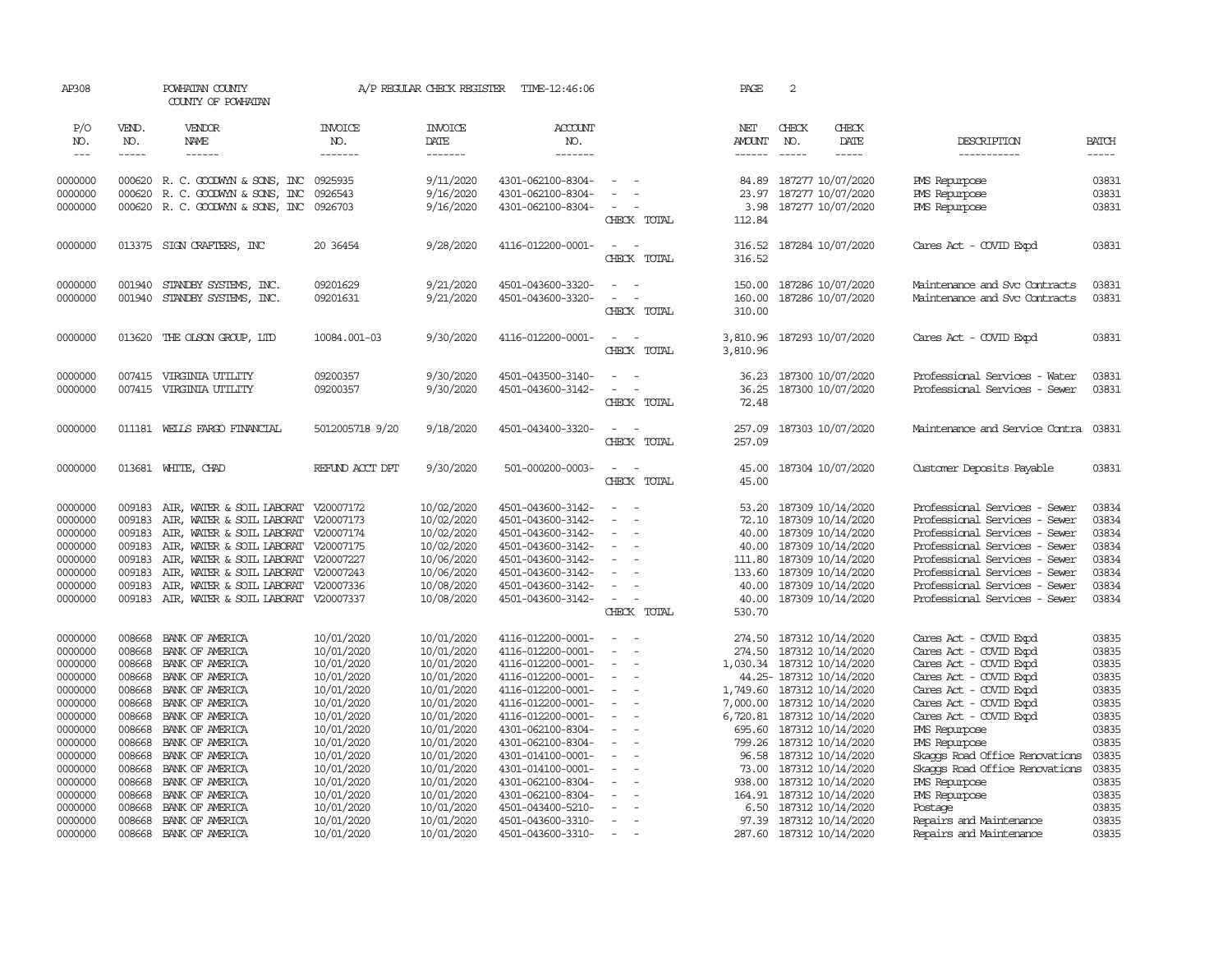| AP308              |                  | POWHATAN COUNTY<br>COUNTY OF POWHATAN                            |                          | A/P REGULAR CHECK REGISTER | TIME-12:46:06                          |                                                      | PAGE            | 2                                               |               |                                                                |                |
|--------------------|------------------|------------------------------------------------------------------|--------------------------|----------------------------|----------------------------------------|------------------------------------------------------|-----------------|-------------------------------------------------|---------------|----------------------------------------------------------------|----------------|
| P/O<br>NO.         | VEND.<br>NO.     | VENDOR<br>NAME                                                   | <b>INVOICE</b><br>NO.    | <b>INVOICE</b><br>DATE     | ACCOUNT<br>NO.                         |                                                      | NET<br>AMOUNT   | CHECK<br>NO.                                    | CHECK<br>DATE | DESCRIPTION                                                    | <b>BATCH</b>   |
| $\frac{1}{2}$      | -----            | ------                                                           | -------                  | -------                    | -------                                |                                                      | $- - - - - -$   |                                                 | $- - - - -$   | -----------                                                    | $- - - - -$    |
| 0000000            |                  | 000620 R. C. GOODWIN & SONS, INC 0925935                         |                          | 9/11/2020                  | 4301-062100-8304-                      | $\overline{\phantom{a}}$                             |                 | 84.89 187277 10/07/2020                         |               | PMS Repurpose                                                  | 03831          |
| 0000000            | 000620           | R. C. GOODWIN & SONS, INC                                        | 0926543                  | 9/16/2020                  | 4301-062100-8304-                      |                                                      | 23.97           | 187277 10/07/2020                               |               | PMS Repurpose                                                  | 03831          |
| 0000000            |                  | 000620 R. C. GOODWIN & SONS, INC                                 | 0926703                  | 9/16/2020                  | 4301-062100-8304-                      | $\sim$                                               | 3.98            | 187277 10/07/2020                               |               | <b>PMS</b> Repurpose                                           | 03831          |
|                    |                  |                                                                  |                          |                            |                                        | CHECK TOTAL                                          | 112.84          |                                                 |               |                                                                |                |
| 0000000            |                  | 013375 SIGN CRAFTERS, INC                                        | 20 36454                 | 9/28/2020                  | 4116-012200-0001-                      | $\sim$<br>$\sim$                                     | 316.52          | 187284 10/07/2020                               |               | Cares Act - COVID Expd                                         | 03831          |
|                    |                  |                                                                  |                          |                            |                                        | CHECK TOTAL                                          | 316.52          |                                                 |               |                                                                |                |
| 0000000            | 001940           | STANDBY SYSTEMS, INC.                                            | 09201629                 | 9/21/2020                  | 4501-043600-3320-                      | $\sim$<br>$\sim$                                     | 150.00          | 187286 10/07/2020                               |               | Maintenance and Svc Contracts                                  | 03831          |
| 0000000            | 001940           | STANDBY SYSTEMS, INC.                                            | 09201631                 | 9/21/2020                  | 4501-043600-3320-                      | $\sim$<br>$\sim$                                     | 160.00          | 187286 10/07/2020                               |               | Maintenance and Svc Contracts                                  | 03831          |
|                    |                  |                                                                  |                          |                            |                                        | CHECK TOTAL                                          | 310.00          |                                                 |               |                                                                |                |
| 0000000            | 013620           | THE OLSON GROUP, LTD                                             | 10084.001-03             | 9/30/2020                  | 4116-012200-0001-                      | $\overline{\phantom{a}}$                             | 3,810.96        | 187293 10/07/2020                               |               | Cares Act - COVID Expd                                         | 03831          |
|                    |                  |                                                                  |                          |                            |                                        | CHECK TOTAL                                          | 3,810.96        |                                                 |               |                                                                |                |
| 0000000            | 007415           | VIRGINIA UTILITY                                                 | 09200357                 | 9/30/2020                  | 4501-043500-3140-                      | $\equiv$                                             | 36.23           | 187300 10/07/2020                               |               | Professional Services - Water                                  | 03831          |
| 0000000            |                  | 007415 VIRGINIA UTILITY                                          | 09200357                 | 9/30/2020                  | 4501-043600-3142-                      | $\overline{\phantom{a}}$<br>$\overline{a}$           | 36.25           | 187300 10/07/2020                               |               | Professional Services - Sewer                                  | 03831          |
|                    |                  |                                                                  |                          |                            |                                        | CHECK TOTAL                                          | 72.48           |                                                 |               |                                                                |                |
| 0000000            |                  | 011181 WELLS FARGO FINANCIAL                                     | 5012005718 9/20          | 9/18/2020                  | 4501-043400-3320-                      | $\sim$                                               | 257.09          | 187303 10/07/2020                               |               | Maintenance and Service Contra                                 | 03831          |
|                    |                  |                                                                  |                          |                            |                                        | CHECK TOTAL                                          | 257.09          |                                                 |               |                                                                |                |
| 0000000            |                  | 013681 WHITE, CHAD                                               | REFUND ACCT DPT          | 9/30/2020                  | 501-000200-0003-                       | $\sim$<br>$\sim$                                     | 45.00           | 187304 10/07/2020                               |               | Customer Deposits Payable                                      | 03831          |
|                    |                  |                                                                  |                          |                            |                                        | CHECK TOTAL                                          | 45.00           |                                                 |               |                                                                |                |
| 0000000            |                  | 009183 AIR, WATER & SOIL LABORAT V20007172                       |                          | 10/02/2020                 | 4501-043600-3142-                      | $\equiv$<br>$\sim$                                   | 53.20           | 187309 10/14/2020                               |               | Professional Services - Sewer                                  | 03834          |
| 0000000            | 009183           | AIR, WATER & SOIL LABORAT                                        | V20007173                | 10/02/2020                 | 4501-043600-3142-                      | $\overline{\phantom{a}}$                             | 72.10           | 187309 10/14/2020                               |               | Professional Services - Sewer                                  | 03834          |
| 0000000            | 009183           | AIR, WATER & SOIL LABORAT V20007174                              |                          | 10/02/2020                 | 4501-043600-3142-                      | $\sim$                                               | 40.00           | 187309 10/14/2020                               |               | Professional Services - Sewer                                  | 03834          |
| 0000000            | 009183           | AIR, WATER & SOIL LABORAT V20007175                              |                          | 10/02/2020                 | 4501-043600-3142-                      | $\equiv$                                             | 40.00           | 187309 10/14/2020                               |               | Professional Services - Sewer                                  | 03834          |
| 0000000            | 009183           | AIR, WATER & SOIL LABORAT V20007227                              |                          | 10/06/2020                 | 4501-043600-3142-                      | $\equiv$                                             | 111.80          | 187309 10/14/2020                               |               | Professional Services - Sewer                                  | 03834          |
| 0000000<br>0000000 | 009183<br>009183 | AIR, WATER & SOIL LABORAT<br>AIR, WATER & SOIL LABORAT V20007336 | V20007243                | 10/06/2020<br>10/08/2020   | 4501-043600-3142-<br>4501-043600-3142- | $\sim$                                               | 133.60<br>40.00 | 187309 10/14/2020<br>187309 10/14/2020          |               | Professional Services - Sewer<br>Professional Services - Sewer | 03834<br>03834 |
| 0000000            |                  | 009183 AIR, WATER & SOIL LABORAT V20007337                       |                          | 10/08/2020                 | 4501-043600-3142-                      | $\sim$                                               | 40.00           | 187309 10/14/2020                               |               | Professional Services - Sewer                                  | 03834          |
|                    |                  |                                                                  |                          |                            |                                        | CHECK TOTAL                                          | 530.70          |                                                 |               |                                                                |                |
|                    |                  |                                                                  |                          |                            |                                        |                                                      |                 |                                                 |               |                                                                |                |
| 0000000            | 008668           | BANK OF AMERICA                                                  | 10/01/2020               | 10/01/2020                 | 4116-012200-0001-                      | $\sim$                                               | 274.50          | 187312 10/14/2020                               |               | Cares Act - COVID Expd                                         | 03835          |
| 0000000            | 008668           | BANK OF AMERICA                                                  | 10/01/2020               | 10/01/2020                 | 4116-012200-0001-                      | $\sim$<br>$\sim$                                     |                 | 274.50 187312 10/14/2020                        |               | Cares Act - COVID Expd                                         | 03835          |
| 0000000            | 008668           | BANK OF AMERICA                                                  | 10/01/2020               | 10/01/2020                 | 4116-012200-0001-                      | $\sim$                                               |                 | 1,030.34 187312 10/14/2020                      |               | Cares Act - COVID Expd                                         | 03835          |
| 0000000            | 008668           | BANK OF AMERICA                                                  | 10/01/2020               | 10/01/2020                 | 4116-012200-0001-                      | $\equiv$                                             |                 | 44.25-187312 10/14/2020                         |               | Cares Act - COVID Expd                                         | 03835          |
| 0000000<br>0000000 | 008668<br>008668 | BANK OF AMERICA<br>BANK OF AMERICA                               | 10/01/2020<br>10/01/2020 | 10/01/2020<br>10/01/2020   | 4116-012200-0001-                      | $\equiv$<br>$\blacksquare$                           | 7,000.00        | 1,749.60 187312 10/14/2020<br>187312 10/14/2020 |               | Cares Act - COVID Expd                                         | 03835<br>03835 |
| 0000000            | 008668           | BANK OF AMERICA                                                  | 10/01/2020               | 10/01/2020                 | 4116-012200-0001-<br>4116-012200-0001- | $\equiv$                                             |                 | 6,720.81 187312 10/14/2020                      |               | Cares Act - COVID Expd<br>Cares Act - COVID Expd               | 03835          |
| 0000000            | 008668           | BANK OF AMERICA                                                  | 10/01/2020               | 10/01/2020                 | 4301-062100-8304-                      |                                                      |                 | 695.60 187312 10/14/2020                        |               | PMS Repurpose                                                  | 03835          |
| 0000000            | 008668           | BANK OF AMERICA                                                  | 10/01/2020               | 10/01/2020                 | 4301-062100-8304-                      | $\overline{\phantom{a}}$<br>$\overline{\phantom{a}}$ |                 | 799.26 187312 10/14/2020                        |               | PMS Repurpose                                                  | 03835          |
| 0000000            | 008668           | BANK OF AMERICA                                                  | 10/01/2020               | 10/01/2020                 | 4301-014100-0001-                      | $\overline{\phantom{a}}$                             | 96.58           | 187312 10/14/2020                               |               | Skaops Road Office Renovations                                 | 03835          |
| 0000000            | 008668           | BANK OF AMERICA                                                  | 10/01/2020               | 10/01/2020                 | 4301-014100-0001-                      | $\sim$                                               | 73.00           | 187312 10/14/2020                               |               | Skaops Road Office Renovations                                 | 03835          |
| 0000000            | 008668           | BANK OF AMERICA                                                  | 10/01/2020               | 10/01/2020                 | 4301-062100-8304-                      |                                                      |                 | 938.00 187312 10/14/2020                        |               | PMS Repurpose                                                  | 03835          |
| 0000000            | 008668           | BANK OF AMERICA                                                  | 10/01/2020               | 10/01/2020                 | 4301-062100-8304-                      | $\overline{\phantom{a}}$                             |                 | 164.91 187312 10/14/2020                        |               | <b>PMS</b> Repurpose                                           | 03835          |
| 0000000            | 008668           | BANK OF AMERICA                                                  | 10/01/2020               | 10/01/2020                 | 4501-043400-5210-                      | $\overline{\phantom{a}}$                             | 6.50            | 187312 10/14/2020                               |               | Postage                                                        | 03835          |
| 0000000            | 008668           | BANK OF AMERICA                                                  | 10/01/2020               | 10/01/2020                 | 4501-043600-3310-                      | $\overline{\phantom{a}}$                             | 97.39           | 187312 10/14/2020                               |               | Repairs and Maintenance                                        | 03835          |
| 0000000            |                  | 008668 BANK OF AMERICA                                           | 10/01/2020               | 10/01/2020                 | 4501-043600-3310-                      | $\sim$                                               |                 | 287.60 187312 10/14/2020                        |               | Repairs and Maintenance                                        | 03835          |
|                    |                  |                                                                  |                          |                            |                                        |                                                      |                 |                                                 |               |                                                                |                |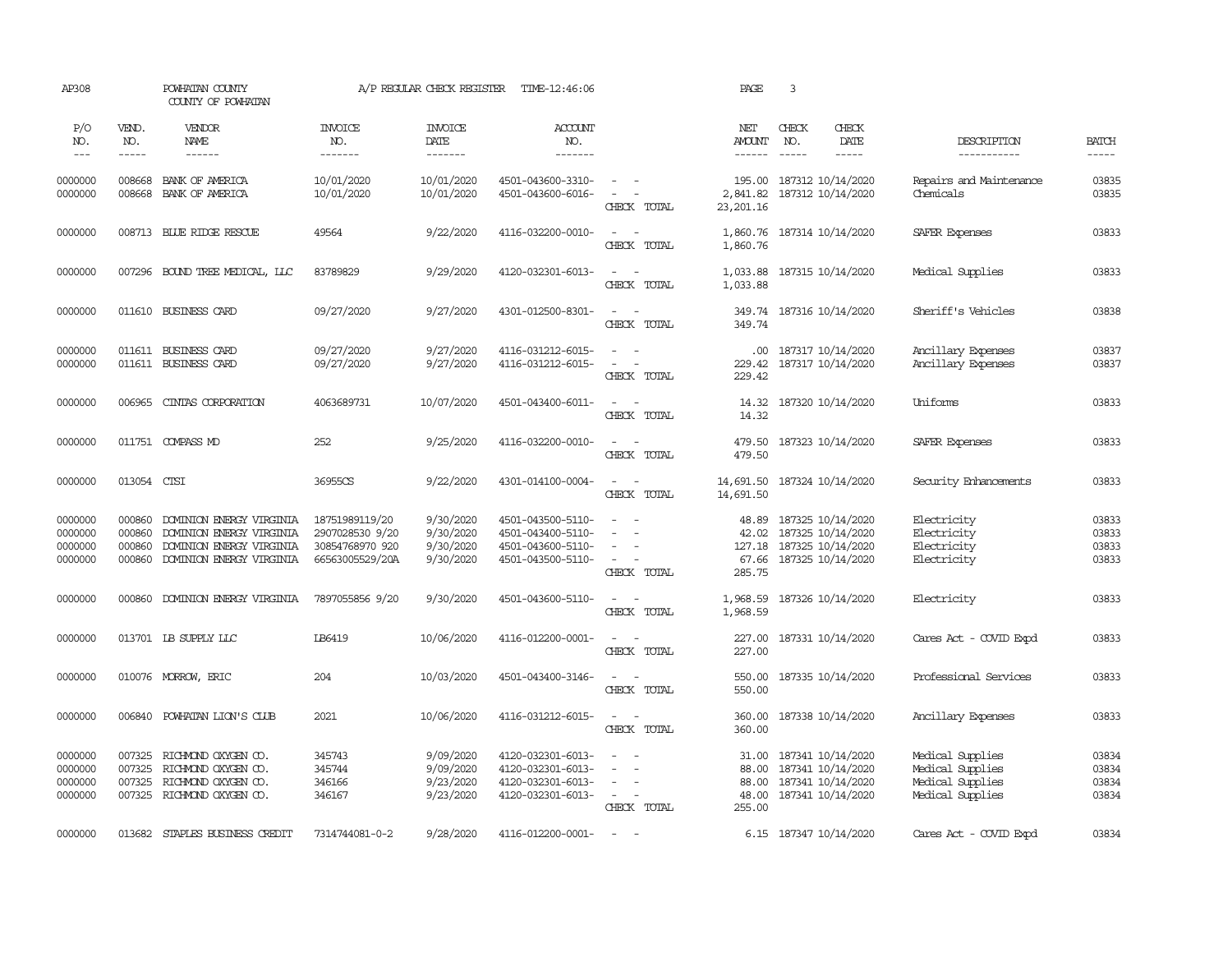| AP308                                    |                                      | POWHATAN COUNTY<br>COUNTY OF POWHATAN                                                                        |                                                                         | A/P REGULAR CHECK REGISTER                       | TIME-12:46:06                                                                    |                                                                                                   | PAGE                                        | 3                                                                                |                                                                              |                                  |
|------------------------------------------|--------------------------------------|--------------------------------------------------------------------------------------------------------------|-------------------------------------------------------------------------|--------------------------------------------------|----------------------------------------------------------------------------------|---------------------------------------------------------------------------------------------------|---------------------------------------------|----------------------------------------------------------------------------------|------------------------------------------------------------------------------|----------------------------------|
| P/O<br>NO.<br>$---$                      | VEND.<br>NO.<br>$- - - - -$          | VENDOR<br>NAME<br>$- - - - - -$                                                                              | <b>INVOICE</b><br>NO.<br>-------                                        | <b>INVOICE</b><br><b>DATE</b><br>-------         | ACCOUNT<br>NO.<br>$- - - - - - -$                                                |                                                                                                   | NET<br><b>AMOUNT</b><br>$- - - - - -$       | CHECK<br>CHECK<br>NO.<br>DATE<br>$\frac{1}{2}$<br>$- - - - -$                    | DESCRIPTION<br>-----------                                                   | <b>BATCH</b><br>-----            |
| 0000000<br>0000000                       | 008668<br>008668                     | BANK OF AMERICA<br>BANK OF AMERICA                                                                           | 10/01/2020<br>10/01/2020                                                | 10/01/2020<br>10/01/2020                         | 4501-043600-3310-<br>4501-043600-6016-                                           | $\sim$ $ \sim$<br>$\sim$<br>CHECK TOTAL                                                           | 195.00<br>2,841.82<br>23, 201.16            | 187312 10/14/2020<br>187312 10/14/2020                                           | Repairs and Maintenance<br>Chemicals                                         | 03835<br>03835                   |
| 0000000                                  |                                      | 008713 BLUE RIDGE RESCUE                                                                                     | 49564                                                                   | 9/22/2020                                        | 4116-032200-0010-                                                                | $\sim$<br>$\sim$ $-$<br>CHECK TOTAL                                                               | 1,860.76<br>1,860.76                        | 187314 10/14/2020                                                                | SAFER Expenses                                                               | 03833                            |
| 0000000                                  |                                      | 007296 BOUND TREE MEDICAL, LLC                                                                               | 83789829                                                                | 9/29/2020                                        | 4120-032301-6013-                                                                | $\sim$ $ \sim$<br>CHECK TOTAL                                                                     | 1,033.88<br>1,033.88                        | 187315 10/14/2020                                                                | Medical Supplies                                                             | 03833                            |
| 0000000                                  |                                      | 011610 BUSINESS CARD                                                                                         | 09/27/2020                                                              | 9/27/2020                                        | 4301-012500-8301-                                                                | $\sim$<br>$\sim$ $-$<br>CHECK TOTAL                                                               | 349.74                                      | 349.74 187316 10/14/2020                                                         | Sheriff's Vehicles                                                           | 03838                            |
| 0000000<br>0000000                       |                                      | 011611 BUSINESS CARD<br>011611 BUSINESS CARD                                                                 | 09/27/2020<br>09/27/2020                                                | 9/27/2020<br>9/27/2020                           | 4116-031212-6015-<br>4116-031212-6015-                                           | $\sim$<br>$\sim$<br>$\omega_{\rm{max}}$ and $\omega_{\rm{max}}$<br>CHECK TOTAL                    | .00.<br>229.42<br>229.42                    | 187317 10/14/2020<br>187317 10/14/2020                                           | Ancillary Expenses<br>Ancillary Expenses                                     | 03837<br>03837                   |
| 0000000                                  | 006965                               | CINIAS CORPORATION                                                                                           | 4063689731                                                              | 10/07/2020                                       | 4501-043400-6011-                                                                | $\omega_{\rm{max}}$ and $\omega_{\rm{max}}$<br>CHECK TOTAL                                        | 14.32<br>14.32                              | 187320 10/14/2020                                                                | Uniforms                                                                     | 03833                            |
| 0000000                                  |                                      | 011751 COMPASS MD                                                                                            | 252                                                                     | 9/25/2020                                        | 4116-032200-0010-                                                                | $\sim$ $-$<br>$\sim$<br>CHECK TOTAL                                                               | 479.50<br>479.50                            | 187323 10/14/2020                                                                | SAFER Expenses                                                               | 03833                            |
| 0000000                                  | 013054 CTSI                          |                                                                                                              | 36955CS                                                                 | 9/22/2020                                        | 4301-014100-0004-                                                                | $\sim$ $ \sim$<br>CHECK TOTAL                                                                     | 14,691.50<br>14,691.50                      | 187324 10/14/2020                                                                | Security Enhancements                                                        | 03833                            |
| 0000000<br>0000000<br>0000000<br>0000000 | 000860<br>000860<br>000860<br>000860 | DOMINION ENERGY VIRGINIA<br>DOMINION ENERGY VIRGINIA<br>DOMINION ENERGY VIRGINIA<br>DOMINION ENERGY VIRGINIA | 18751989119/20<br>2907028530 9/20<br>30854768970 920<br>66563005529/20A | 9/30/2020<br>9/30/2020<br>9/30/2020<br>9/30/2020 | 4501-043500-5110-<br>4501-043400-5110-<br>4501-043600-5110-<br>4501-043500-5110- | $\sim$<br>$\overline{\phantom{a}}$<br>$\sim$<br>$\sim$<br>$\overline{\phantom{a}}$<br>CHECK TOTAL | 48.89<br>42.02<br>127.18<br>67.66<br>285.75 | 187325 10/14/2020<br>187325 10/14/2020<br>187325 10/14/2020<br>187325 10/14/2020 | Electricity<br>Electricity<br>Electricity<br>Electricity                     | 03833<br>03833<br>03833<br>03833 |
| 0000000                                  | 000860                               | DOMINION ENERGY VIRGINIA                                                                                     | 7897055856 9/20                                                         | 9/30/2020                                        | 4501-043600-5110-                                                                | $\sim$ $ -$<br>CHECK TOTAL                                                                        | 1,968.59<br>1,968.59                        | 187326 10/14/2020                                                                | Electricity                                                                  | 03833                            |
| 0000000                                  |                                      | 013701 IB SUPPLY LLC                                                                                         | IB6419                                                                  | 10/06/2020                                       | 4116-012200-0001-                                                                | $\sim$ $ \sim$<br>CHECK TOTAL                                                                     | 227.00<br>227.00                            | 187331 10/14/2020                                                                | Cares Act - COVID Expd                                                       | 03833                            |
| 0000000                                  |                                      | 010076 MORROW, ERIC                                                                                          | 204                                                                     | 10/03/2020                                       | 4501-043400-3146-                                                                | $\sim$ $ \sim$<br>CHECK TOTAL                                                                     | 550.00<br>550.00                            | 187335 10/14/2020                                                                | Professional Services                                                        | 03833                            |
| 0000000                                  | 006840                               | POWHATAN LION'S CLUB                                                                                         | 2021                                                                    | 10/06/2020                                       | 4116-031212-6015-                                                                | $\overline{\phantom{a}}$<br>$\sim$<br>CHECK TOTAL                                                 | 360.00<br>360.00                            | 187338 10/14/2020                                                                | Ancillary Expenses                                                           | 03833                            |
| 0000000<br>0000000<br>0000000<br>0000000 | 007325<br>007325<br>007325<br>007325 | RICHMOND OXYGEN CO.<br>RICHMOND OXYGEN CO.<br>RICHMOND OXYGEN CO.<br>RICHMOND OXYGEN CO.                     | 345743<br>345744<br>346166<br>346167                                    | 9/09/2020<br>9/09/2020<br>9/23/2020<br>9/23/2020 | 4120-032301-6013-<br>4120-032301-6013-<br>4120-032301-6013-<br>4120-032301-6013- | $\overline{a}$<br>$\equiv$<br>$\overline{\phantom{a}}$<br>$\overline{\phantom{a}}$<br>CHECK TOTAL | 31.00<br>88.00<br>88.00<br>48.00<br>255.00  | 187341 10/14/2020<br>187341 10/14/2020<br>187341 10/14/2020<br>187341 10/14/2020 | Medical Supplies<br>Medical Supplies<br>Medical Supplies<br>Medical Supplies | 03834<br>03834<br>03834<br>03834 |
| 0000000                                  |                                      | 013682 STAPLES BUSINESS CREDIT                                                                               | 7314744081-0-2                                                          | 9/28/2020                                        | 4116-012200-0001-                                                                | $\sim$<br>$\sim$                                                                                  |                                             | 6.15 187347 10/14/2020                                                           | Cares Act - COVID Expd                                                       | 03834                            |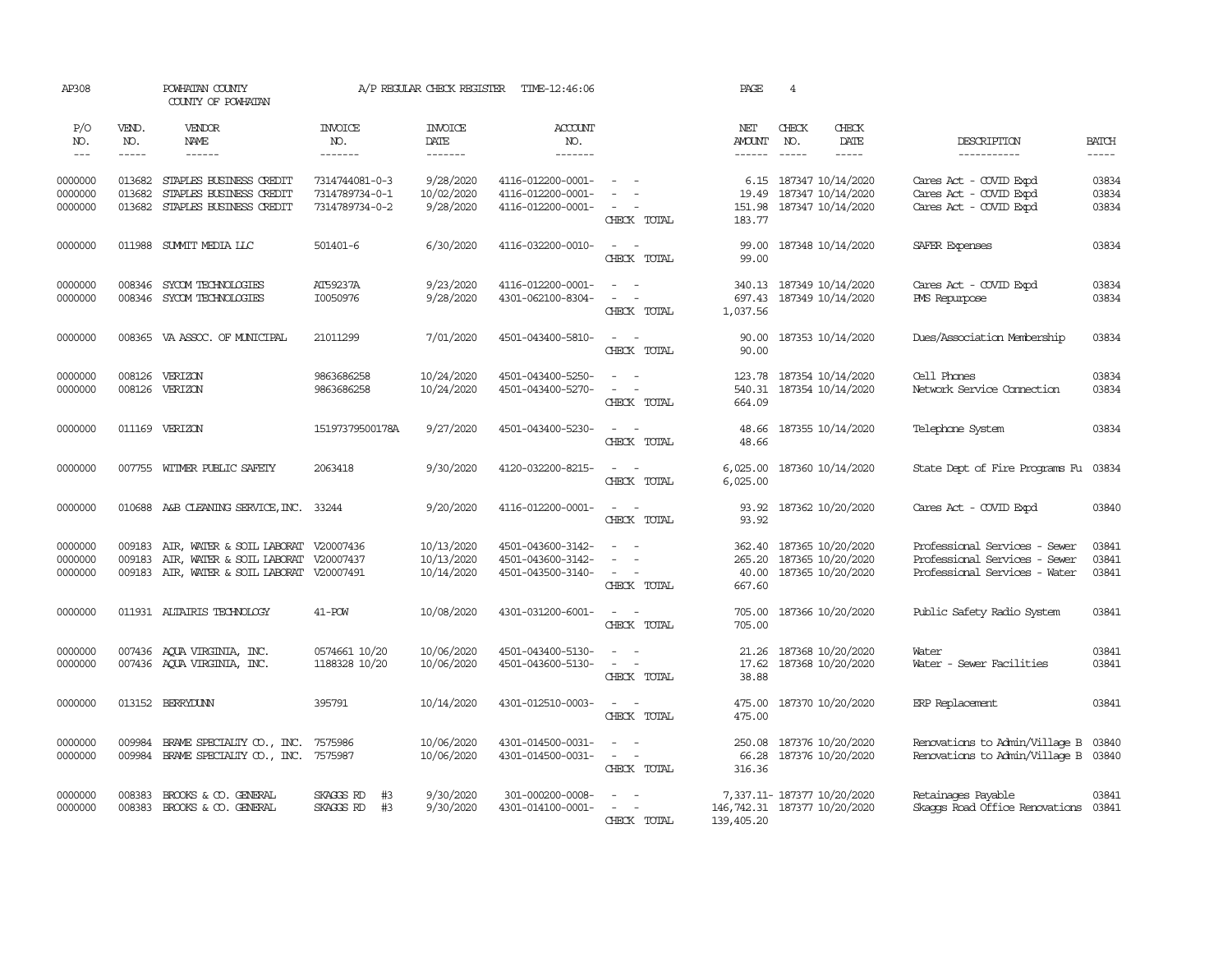| AP308                         |                             | POWHATAN COUNTY<br>COUNTY OF POWHATAN                                                                          |                                                    | A/P REGULAR CHECK REGISTER               | TIME-12:46:06                                               |                                                                                                                                                 | PAGE                                       | 4                                                           |                               |                                                                                                 |                          |
|-------------------------------|-----------------------------|----------------------------------------------------------------------------------------------------------------|----------------------------------------------------|------------------------------------------|-------------------------------------------------------------|-------------------------------------------------------------------------------------------------------------------------------------------------|--------------------------------------------|-------------------------------------------------------------|-------------------------------|-------------------------------------------------------------------------------------------------|--------------------------|
| P/O<br>NO.<br>$\frac{1}{2}$   | VEND.<br>NO.<br>$- - - - -$ | VENDOR<br><b>NAME</b><br>$- - - - - -$                                                                         | <b>INVOICE</b><br>NO.<br>-------                   | <b>INVOICE</b><br><b>DATE</b><br>------- | <b>ACCOUNT</b><br>NO.<br>--------                           |                                                                                                                                                 | NET<br><b>AMOUNT</b><br>$- - - - - -$      | CHECK<br>NO.<br>$\frac{1}{2}$                               | CHECK<br><b>DATE</b><br>----- | DESCRIPTION<br>-----------                                                                      | <b>BATCH</b><br>$\cdots$ |
| 0000000<br>0000000<br>0000000 | 013682<br>013682<br>013682  | STAPLES BUSINESS CREDIT<br>STAPLES BUSINESS CREDIT<br>STAPLES BUSINESS CREDIT                                  | 7314744081-0-3<br>7314789734-0-1<br>7314789734-0-2 | 9/28/2020<br>10/02/2020<br>9/28/2020     | 4116-012200-0001-<br>4116-012200-0001-<br>4116-012200-0001- | $\sim$<br>$\sim$<br>CHECK TOTAL                                                                                                                 | 6.15<br>19.49<br>151.98<br>183.77          | 187347 10/14/2020<br>187347 10/14/2020<br>187347 10/14/2020 |                               | Cares Act - COVID Expd<br>Cares Act - COVID Expd<br>Cares Act - COVID Expd                      | 03834<br>03834<br>03834  |
| 0000000                       |                             | 011988 SUMMIT MEDIA LLC                                                                                        | 501401-6                                           | 6/30/2020                                | 4116-032200-0010-                                           | $\sim$<br>$\sim$<br>CHECK TOTAL                                                                                                                 | 99.00                                      | 99.00 187348 10/14/2020                                     |                               | SAFER Expenses                                                                                  | 03834                    |
| 0000000<br>0000000            | 008346<br>008346            | SYCOM TECHNOLOGIES<br>SYCOM TECHNOLOGIES                                                                       | AT59237A<br>I0050976                               | 9/23/2020<br>9/28/2020                   | 4116-012200-0001-<br>4301-062100-8304-                      | $\sim$<br>$\sim$<br>$\overline{\phantom{a}}$<br>$\sim$<br>CHECK TOTAL                                                                           | 697.43<br>1,037.56                         | 340.13 187349 10/14/2020<br>187349 10/14/2020               |                               | Cares Act - COVID Expd<br>PMS Repurpose                                                         | 03834<br>03834           |
| 0000000                       |                             | 008365 VA ASSOC. OF MUNICIPAL                                                                                  | 21011299                                           | 7/01/2020                                | 4501-043400-5810-                                           | $\sim$ $  -$<br>CHECK TOTAL                                                                                                                     | 90.00<br>90.00                             | 187353 10/14/2020                                           |                               | Dues/Association Membership                                                                     | 03834                    |
| 0000000<br>0000000            | 008126<br>008126            | VERIZON<br>VERIZON                                                                                             | 9863686258<br>9863686258                           | 10/24/2020<br>10/24/2020                 | 4501-043400-5250-<br>4501-043400-5270-                      | $\frac{1}{2} \left( \frac{1}{2} \right) = \frac{1}{2} \left( \frac{1}{2} \right) = \frac{1}{2}$<br>$\sim$<br>$\sim$<br>CHECK TOTAL              | 123.78<br>540.31<br>664.09                 | 187354 10/14/2020<br>187354 10/14/2020                      |                               | Cell Phones<br>Network Service Connection                                                       | 03834<br>03834           |
| 0000000                       |                             | 011169 VERIZON                                                                                                 | 15197379500178A                                    | 9/27/2020                                | 4501-043400-5230-                                           | $\sim$ $ \sim$<br>CHECK TOTAL                                                                                                                   | 48.66<br>48.66                             | 187355 10/14/2020                                           |                               | Telephone System                                                                                | 03834                    |
| 0000000                       |                             | 007755 WITMER PUBLIC SAFETY                                                                                    | 2063418                                            | 9/30/2020                                | 4120-032200-8215-                                           | $\overline{\phantom{a}}$<br>CHECK TOTAL                                                                                                         | 6,025.00<br>6,025.00                       | 187360 10/14/2020                                           |                               | State Dept of Fire Programs Fu 03834                                                            |                          |
| 0000000                       | 010688                      | A&B CLEANING SERVICE, INC.                                                                                     | 33244                                              | 9/20/2020                                | 4116-012200-0001-                                           | $\sim$<br>$\sim$<br>CHECK TOTAL                                                                                                                 | 93.92<br>93.92                             | 187362 10/20/2020                                           |                               | Cares Act - COVID Expd                                                                          | 03840                    |
| 0000000<br>0000000<br>0000000 | 009183<br>009183            | AIR, WATER & SOIL LABORAT V20007436<br>AIR, WATER & SOIL LABORAT<br>009183 AIR, WATER & SOIL LABORAT V20007491 | V20007437                                          | 10/13/2020<br>10/13/2020<br>10/14/2020   | 4501-043600-3142-<br>4501-043600-3142-<br>4501-043500-3140- | $ -$<br>$\overline{a}$<br>$\sim$<br>$\sim$<br>CHECK TOTAL                                                                                       | 362.40<br>265.20<br>40.00<br>667.60        | 187365 10/20/2020<br>187365 10/20/2020<br>187365 10/20/2020 |                               | Professional Services - Sewer<br>Professional Services - Sewer<br>Professional Services - Water | 03841<br>03841<br>03841  |
| 0000000                       |                             | 011931 ALTAIRIS TECHNOLOGY                                                                                     | 41-POW                                             | 10/08/2020                               | 4301-031200-6001-                                           | $\sim$ $ \sim$<br>CHECK TOTAL                                                                                                                   | 705.00<br>705.00                           | 187366 10/20/2020                                           |                               | Public Safety Radio System                                                                      | 03841                    |
| 0000000<br>0000000            |                             | 007436 ACUA VIRGINIA, INC.<br>007436 AQUA VIRGINIA, INC.                                                       | 0574661 10/20<br>1188328 10/20                     | 10/06/2020<br>10/06/2020                 | 4501-043400-5130-<br>4501-043600-5130-                      | $\frac{1}{2} \left( \frac{1}{2} \right) \left( \frac{1}{2} \right) = \frac{1}{2} \left( \frac{1}{2} \right)$<br>$\sim$<br>$\sim$<br>CHECK TOTAL | 21.26<br>17.62<br>38.88                    | 187368 10/20/2020<br>187368 10/20/2020                      |                               | Water<br>Water - Sewer Facilities                                                               | 03841<br>03841           |
| 0000000                       |                             | 013152 BERRYDUNN                                                                                               | 395791                                             | 10/14/2020                               | 4301-012510-0003-                                           | $\sim$ $ -$<br>CHECK TOTAL                                                                                                                      | 475.00                                     | 475.00 187370 10/20/2020                                    |                               | ERP Replacement                                                                                 | 03841                    |
| 0000000<br>0000000            | 009984                      | BRAME SPECIALITY CO., INC.<br>009984 BRAME SPECIALITY CO., INC. 7575987                                        | 7575986                                            | 10/06/2020<br>10/06/2020                 | 4301-014500-0031-<br>4301-014500-0031-                      | $\sim$<br>$\omega_{\rm{max}}$<br>CHECK TOTAL                                                                                                    | 250.08<br>66.28<br>316.36                  | 187376 10/20/2020<br>187376 10/20/2020                      |                               | Renovations to Admin/Village B 03840<br>Renovations to Admin/Village B 03840                    |                          |
| 0000000<br>0000000            | 008383                      | BROOKS & CO. GENERAL<br>008383 BROOKS & CO. GENERAL                                                            | #3<br>SKAGGS RD<br>SKAGGS RD<br>#3                 | 9/30/2020<br>9/30/2020                   | 301-000200-0008-<br>4301-014100-0001-                       | $\equiv$<br>$\sim$<br>$\sim$ $\sim$<br>CHECK TOTAL                                                                                              | 146,742.31 187377 10/20/2020<br>139,405.20 | 7,337.11- 187377 10/20/2020                                 |                               | Retainages Payable<br>Skaops Road Office Renovations 03841                                      | 03841                    |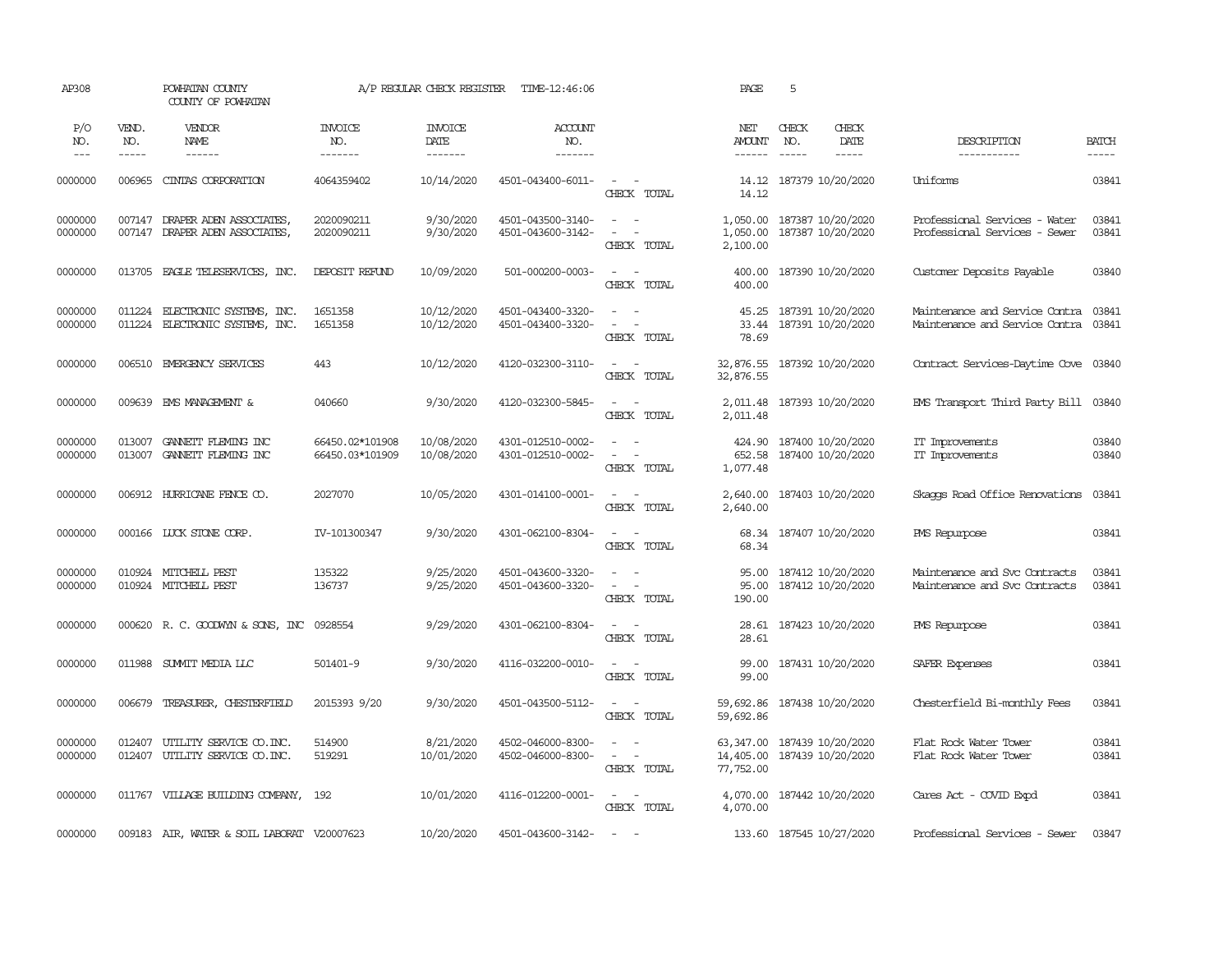| AP308                       |                             | POWHATAN COUNTY<br>COUNTY OF POWHATAN                    |                                    | A/P REGULAR CHECK REGISTER        | TIME-12:46:06                          |                                                                                                           | PAGE                                | 5                                                        |                                                                  |                             |
|-----------------------------|-----------------------------|----------------------------------------------------------|------------------------------------|-----------------------------------|----------------------------------------|-----------------------------------------------------------------------------------------------------------|-------------------------------------|----------------------------------------------------------|------------------------------------------------------------------|-----------------------------|
| P/O<br>NO.<br>$\frac{1}{2}$ | VEND.<br>NO.<br>$- - - - -$ | VENDOR<br>NAME<br>$- - - - - -$                          | <b>INVOICE</b><br>NO.<br>-------   | <b>INVOICE</b><br>DATE<br>------- | ACCOUNT<br>NO.<br>-------              |                                                                                                           | NET<br><b>AMOUNT</b><br>------      | CHECK<br>CHECK<br>NO.<br>DATE<br>$\cdots$<br>$- - - - -$ | DESCRIPTION<br>-----------                                       | <b>BATCH</b><br>$- - - - -$ |
| 0000000                     | 006965                      | CINTAS CORPORATION                                       | 4064359402                         | 10/14/2020                        | 4501-043400-6011-                      | $\sim$ $ -$<br>CHECK TOTAL                                                                                | 14.12<br>14.12                      | 187379 10/20/2020                                        | Uniforms                                                         | 03841                       |
| 0000000<br>0000000          | 007147                      | DRAPER ADEN ASSOCIATES<br>007147 DRAPER ADEN ASSOCIATES, | 2020090211<br>2020090211           | 9/30/2020<br>9/30/2020            | 4501-043500-3140-<br>4501-043600-3142- | $\sim$ $ -$<br>$\sim$<br>$\sim$ $-$<br>CHECK TOTAL                                                        | 1,050.00<br>1,050.00<br>2,100.00    | 187387 10/20/2020<br>187387 10/20/2020                   | Professional Services - Water<br>Professional Services - Sewer   | 03841<br>03841              |
| 0000000                     |                             | 013705 EAGLE TELESERVICES, INC.                          | DEPOSIT REFUND                     | 10/09/2020                        | 501-000200-0003-                       | $\sim$ $ -$<br>CHECK TOTAL                                                                                | 400.00<br>400.00                    | 187390 10/20/2020                                        | Customer Deposits Payable                                        | 03840                       |
| 0000000<br>0000000          | 011224<br>011224            | ELECTRONIC SYSTEMS, INC.<br>ELECTRONIC SYSTEMS, INC.     | 1651358<br>1651358                 | 10/12/2020<br>10/12/2020          | 4501-043400-3320-<br>4501-043400-3320- | $\overline{\phantom{a}}$<br>- -<br>$\sim$<br>$\sim$<br>CHECK TOTAL                                        | 45.25<br>33.44<br>78.69             | 187391 10/20/2020<br>187391 10/20/2020                   | Maintenance and Service Contra<br>Maintenance and Service Contra | 03841<br>03841              |
| 0000000                     |                             | 006510 EMERGENCY SERVICES                                | 443                                | 10/12/2020                        | 4120-032300-3110-                      | $\sim$ $ -$<br>CHECK TOTAL                                                                                | 32,876.55<br>32,876.55              | 187392 10/20/2020                                        | Contract Services-Daytime Cove 03840                             |                             |
| 0000000                     |                             | 009639 EMS MANAGEMENT &                                  | 040660                             | 9/30/2020                         | 4120-032300-5845-                      | $\sim$ $ \sim$<br>CHECK TOTAL                                                                             | 2,011.48                            | 2,011.48 187393 10/20/2020                               | EMS Transport Third Party Bill 03840                             |                             |
| 0000000<br>0000000          | 013007<br>013007            | GANNETT FLEMING INC<br>GANNETT FLEMING INC               | 66450.02*101908<br>66450.03*101909 | 10/08/2020<br>10/08/2020          | 4301-012510-0002-<br>4301-012510-0002- | $\sim$ $ -$<br>$\sim$<br>$\sim$<br>CHECK TOTAL                                                            | 652.58<br>1,077.48                  | 424.90 187400 10/20/2020<br>187400 10/20/2020            | IT Improvements<br>IT Improvements                               | 03840<br>03840              |
| 0000000                     |                             | 006912 HURRICANE FENCE CO.                               | 2027070                            | 10/05/2020                        | 4301-014100-0001-                      | $\sim$ $ -$<br>CHECK TOTAL                                                                                | 2,640.00<br>2,640.00                | 187403 10/20/2020                                        | Skaops Road Office Renovations                                   | 03841                       |
| 0000000                     |                             | 000166 LUCK STONE CORP.                                  | IV-101300347                       | 9/30/2020                         | 4301-062100-8304-                      | $\sim$<br>$\sim$<br>CHECK TOTAL                                                                           | 68.34                               | 68.34 187407 10/20/2020                                  | PMS Repurpose                                                    | 03841                       |
| 0000000<br>0000000          |                             | 010924 MITCHELL PEST<br>010924 MITCHELL PEST             | 135322<br>136737                   | 9/25/2020<br>9/25/2020            | 4501-043600-3320-<br>4501-043600-3320- | $\omega_{\rm{max}}$ and $\omega_{\rm{max}}$<br>$\omega_{\rm{max}}$ and $\omega_{\rm{max}}$<br>CHECK TOTAL | 95.00<br>95.00<br>190.00            | 187412 10/20/2020<br>187412 10/20/2020                   | Maintenance and Svc Contracts<br>Maintenance and Svc Contracts   | 03841<br>03841              |
| 0000000                     |                             | 000620 R.C. GOODWYN & SONS, INC 0928554                  |                                    | 9/29/2020                         | 4301-062100-8304-                      | $\sim$<br>$\sim$<br>CHECK TOTAL                                                                           | 28.61<br>28.61                      | 187423 10/20/2020                                        | PMS Repurpose                                                    | 03841                       |
| 0000000                     |                             | 011988 SUMMIT MEDIA LLC                                  | 501401-9                           | 9/30/2020                         | 4116-032200-0010-                      | $\sim$ $ \sim$<br>CHECK TOTAL                                                                             | 99.00<br>99.00                      | 187431 10/20/2020                                        | SAFER Expenses                                                   | 03841                       |
| 0000000                     |                             | 006679 TREASURER, CHESTERFIELD                           | 2015393 9/20                       | 9/30/2020                         | 4501-043500-5112-                      | $\omega_{\rm{max}}$ and $\omega_{\rm{max}}$<br>CHECK TOTAL                                                | 59,692.86                           | 59,692.86 187438 10/20/2020                              | Chesterfield Bi-monthly Fees                                     | 03841                       |
| 0000000<br>0000000          | 012407<br>012407            | UTILITY SERVICE CO. INC.<br>UTILITY SERVICE CO. INC.     | 514900<br>519291                   | 8/21/2020<br>10/01/2020           | 4502-046000-8300-<br>4502-046000-8300- | $\sim$<br>$\sim$<br>$\sim$<br>$\sim$<br>CHECK TOTAL                                                       | 63,347.00<br>14,405.00<br>77,752.00 | 187439 10/20/2020<br>187439 10/20/2020                   | Flat Rock Water Tower<br>Flat Rock Water Tower                   | 03841<br>03841              |
| 0000000                     |                             | 011767 VILLAGE BUILDING COMPANY, 192                     |                                    | 10/01/2020                        | 4116-012200-0001-                      | $\sim$ $ \sim$<br>CHECK TOTAL                                                                             | 4,070.00                            | 4,070.00 187442 10/20/2020                               | Cares Act - COVID Expd                                           | 03841                       |
| 0000000                     |                             | 009183 AIR, WATER & SOIL LABORAT V20007623               |                                    | 10/20/2020                        | 4501-043600-3142-                      | $\overline{\phantom{a}}$<br>$\sim$                                                                        |                                     | 133.60 187545 10/27/2020                                 | Professional Services - Sewer                                    | 03847                       |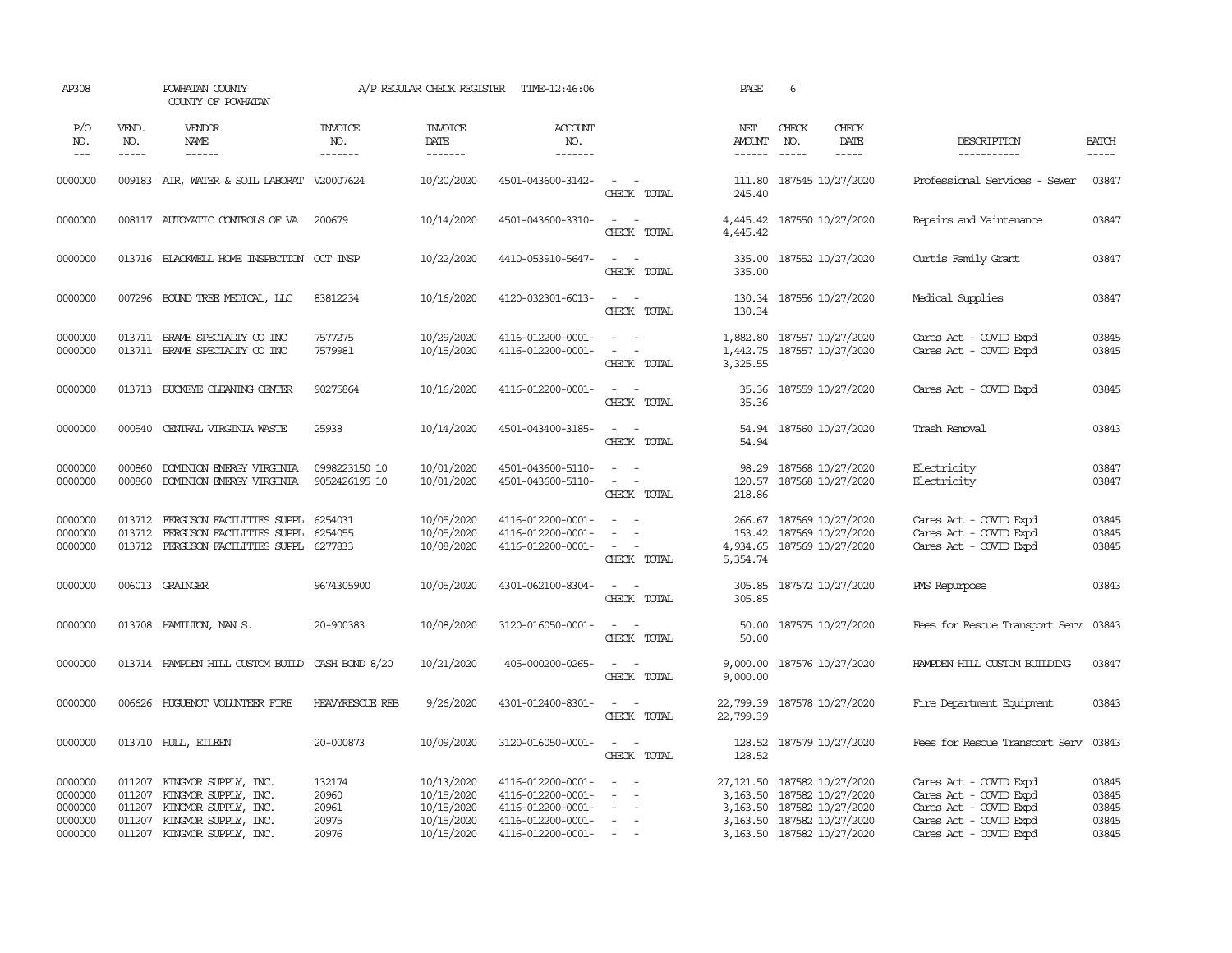| AP308                                               |                                                | POWHATAN COUNTY<br>COUNTY OF POWHATAN                                                                                |                                            | A/P REGULAR CHECK REGISTER                                         | TIME-12:46:06                                                                                         |                                                                       | PAGE                                                                                                                                                     | 6                                                    |                              |                                                                                                                                |                                           |
|-----------------------------------------------------|------------------------------------------------|----------------------------------------------------------------------------------------------------------------------|--------------------------------------------|--------------------------------------------------------------------|-------------------------------------------------------------------------------------------------------|-----------------------------------------------------------------------|----------------------------------------------------------------------------------------------------------------------------------------------------------|------------------------------------------------------|------------------------------|--------------------------------------------------------------------------------------------------------------------------------|-------------------------------------------|
| P/O<br>NO.<br>$---$                                 | VEND.<br>NO.<br>$- - - - -$                    | VENDOR<br>NAME<br>$- - - - - -$                                                                                      | <b>INVOICE</b><br>NO.<br>-------           | <b>INVOICE</b><br>DATE<br>--------                                 | ACCOUNT<br>NO.<br>$- - - - - - -$                                                                     |                                                                       | NET<br><b>AMOUNT</b><br>$- - - - - -$                                                                                                                    | CHECK<br>NO.<br>$---$                                | CHECK<br>DATE<br>$- - - - -$ | DESCRIPTION<br>-----------                                                                                                     | <b>BATCH</b><br>$- - - - -$               |
| 0000000                                             |                                                | 009183 AIR, WATER & SOIL LABORAT V20007624                                                                           |                                            | 10/20/2020                                                         | 4501-043600-3142-                                                                                     | $\sim$ $ \sim$<br>CHECK TOTAL                                         | 111.80<br>245.40                                                                                                                                         | 187545 10/27/2020                                    |                              | Professional Services - Sewer                                                                                                  | 03847                                     |
| 0000000                                             |                                                | 008117 AUTOMATIC CONTROLS OF VA                                                                                      | 200679                                     | 10/14/2020                                                         | 4501-043600-3310-                                                                                     | $\sim$ $ \sim$<br>CHECK TOTAL                                         | 4,445.42                                                                                                                                                 | 4,445.42 187550 10/27/2020                           |                              | Repairs and Maintenance                                                                                                        | 03847                                     |
| 0000000                                             |                                                | 013716 BLACKWELL HOME INSPECTION OCT INSP                                                                            |                                            | 10/22/2020                                                         | 4410-053910-5647-                                                                                     | $\sim$<br>$\sim$<br>CHECK TOTAL                                       | 335.00<br>335.00                                                                                                                                         | 187552 10/27/2020                                    |                              | Curtis Family Grant                                                                                                            | 03847                                     |
| 0000000                                             |                                                | 007296 BOUND TREE MEDICAL, LLC                                                                                       | 83812234                                   | 10/16/2020                                                         | 4120-032301-6013-                                                                                     | $\sim$ $ \sim$<br>CHECK TOTAL                                         | 130.34                                                                                                                                                   | 130.34 187556 10/27/2020                             |                              | Medical Supplies                                                                                                               | 03847                                     |
| 0000000<br>0000000                                  |                                                | 013711 BRAME SPECIALTY CO INC<br>013711 BRAME SPECIALITY CO INC                                                      | 7577275<br>7579981                         | 10/29/2020<br>10/15/2020                                           | 4116-012200-0001-<br>4116-012200-0001-                                                                | $\sim$<br>$\sim$<br>$\sim$ $-$<br>$\sim$<br>CHECK TOTAL               | 1,882.80 187557 10/27/2020<br>1,442.75<br>3,325.55                                                                                                       |                                                      | 187557 10/27/2020            | Cares Act - COVID Expd<br>Cares Act - COVID Expd                                                                               | 03845<br>03845                            |
| 0000000                                             |                                                | 013713 BUCKEYE CLEANING CENTER                                                                                       | 90275864                                   | 10/16/2020                                                         | 4116-012200-0001-                                                                                     | $\sim$ $  -$<br>CHECK TOTAL                                           | 35.36<br>35.36                                                                                                                                           |                                                      | 187559 10/27/2020            | Cares Act - COVID Expd                                                                                                         | 03845                                     |
| 0000000                                             | 000540                                         | CENTRAL VIRGINIA WASTE                                                                                               | 25938                                      | 10/14/2020                                                         | 4501-043400-3185-                                                                                     | $\sim$ $ \sim$<br>CHECK TOTAL                                         | 54.94                                                                                                                                                    | 54.94 187560 10/27/2020                              |                              | Trash Removal                                                                                                                  | 03843                                     |
| 0000000<br>0000000                                  | 000860<br>000860                               | DOMINION ENERGY VIRGINIA<br>DOMINION ENERGY VIRGINIA                                                                 | 0998223150 10<br>9052426195 10             | 10/01/2020<br>10/01/2020                                           | 4501-043600-5110-<br>4501-043600-5110-                                                                | $\sim$ $ \sim$<br>$\sim$ $ -$<br>CHECK TOTAL                          | 98.29<br>218.86                                                                                                                                          | 187568 10/27/2020<br>120.57 187568 10/27/2020        |                              | Electricity<br>Electricity                                                                                                     | 03847<br>03847                            |
| 0000000<br>0000000<br>0000000                       | 013712<br>013712                               | FERGUSON FACILITIES SUPPL<br>FERGUSON FACILITIES SUPPL<br>013712 FERGUSON FACILITIES SUPPL                           | 6254031<br>6254055<br>6277833              | 10/05/2020<br>10/05/2020<br>10/08/2020                             | 4116-012200-0001-<br>4116-012200-0001-<br>4116-012200-0001-                                           | $\sim$<br>$\sim$<br>$\sim$<br>$\sim$<br>$\sim$ $ \sim$<br>CHECK TOTAL | 4,934.65<br>5,354.74                                                                                                                                     | 266.67 187569 10/27/2020<br>153.42 187569 10/27/2020 | 187569 10/27/2020            | Cares Act - COVID Expd<br>Cares Act - COVID Expd<br>Cares Act - COVID Expd                                                     | 03845<br>03845<br>03845                   |
| 0000000                                             |                                                | 006013 GRAINGER                                                                                                      | 9674305900                                 | 10/05/2020                                                         | 4301-062100-8304-                                                                                     | $\sim$<br>CHECK TOTAL                                                 | 305.85<br>305.85                                                                                                                                         | 187572 10/27/2020                                    |                              | PMS Repurpose                                                                                                                  | 03843                                     |
| 0000000                                             |                                                | 013708 HAMILTON, NAN S.                                                                                              | 20-900383                                  | 10/08/2020                                                         | 3120-016050-0001-                                                                                     | $\sim$ $ -$<br>CHECK TOTAL                                            | 50.00<br>50.00                                                                                                                                           | 187575 10/27/2020                                    |                              | Fees for Rescue Transport Serv                                                                                                 | 03843                                     |
| 0000000                                             |                                                | 013714 HAMPDEN HILL CUSTOM BUILD CASH BOND 8/20                                                                      |                                            | 10/21/2020                                                         | 405-000200-0265-                                                                                      | $\sim$ $ \sim$<br>CHECK TOTAL                                         | 9,000.00<br>9,000.00                                                                                                                                     | 187576 10/27/2020                                    |                              | HAMPDEN HILL CUSTOM BUILDING                                                                                                   | 03847                                     |
| 0000000                                             |                                                | 006626 HUGUENOT VOLUNTEER FIRE                                                                                       | HEAVYRESCUE REB                            | 9/26/2020                                                          | 4301-012400-8301-                                                                                     | $\sim$ $ \sim$<br>CHECK TOTAL                                         | 22,799.39<br>22,799.39                                                                                                                                   | 187578 10/27/2020                                    |                              | Fire Department Equipment                                                                                                      | 03843                                     |
| 0000000                                             |                                                | 013710 HULL, ETLEEN                                                                                                  | 20-000873                                  | 10/09/2020                                                         | 3120-016050-0001-                                                                                     | $\sim$ $ \sim$<br>CHECK TOTAL                                         | 128.52                                                                                                                                                   | 128.52 187579 10/27/2020                             |                              | Fees for Rescue Transport Serv                                                                                                 | 03843                                     |
| 0000000<br>0000000<br>0000000<br>0000000<br>0000000 | 011207<br>011207<br>011207<br>011207<br>011207 | KINGMOR SUPPLY, INC.<br>KINGMOR SUPPLY, INC.<br>KINGMOR SUPPLY, INC.<br>KINGMOR SUPPLY, INC.<br>KINGMOR SUPPLY, INC. | 132174<br>20960<br>20961<br>20975<br>20976 | 10/13/2020<br>10/15/2020<br>10/15/2020<br>10/15/2020<br>10/15/2020 | 4116-012200-0001-<br>4116-012200-0001-<br>4116-012200-0001-<br>4116-012200-0001-<br>4116-012200-0001- | $\sim$<br>$\sim$<br>$\sim$<br>$\sim$ $\sim$                           | 27, 121.50 187582 10/27/2020<br>3, 163.50 187582 10/27/2020<br>3, 163.50 187582 10/27/2020<br>3, 163.50 187582 10/27/2020<br>3, 163.50 187582 10/27/2020 |                                                      |                              | Cares Act - COVID Expd<br>Cares Act - COVID Expd<br>Cares Act - COVID Expd<br>Cares Act - COVID Expd<br>Cares Act - COVID Expd | 03845<br>03845<br>03845<br>03845<br>03845 |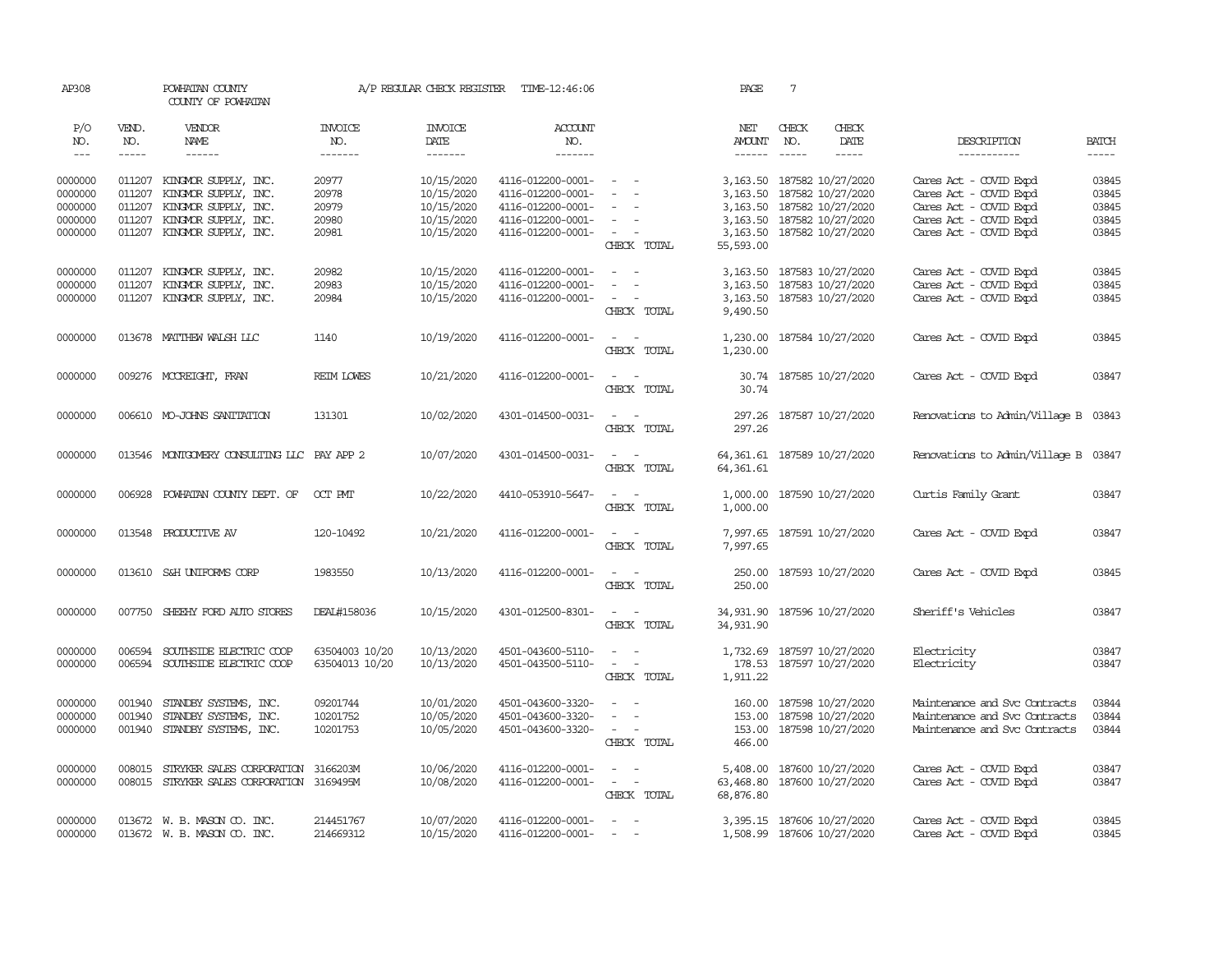| AP308                                               |                            | POWHATAN COUNTY<br>COUNTY OF POWHATAN                                                                                              |                                                                                                                                                                                                                                                                                                                                                                                                                                                                                        |                                                                    | A/P REGULAR CHECK REGISTER TIME-12:46:06                                                              |                                                                         | PAGE                                                 | $7\phantom{.0}$ |                                                                                                                                                         |                                                                                                                                |                                           |
|-----------------------------------------------------|----------------------------|------------------------------------------------------------------------------------------------------------------------------------|----------------------------------------------------------------------------------------------------------------------------------------------------------------------------------------------------------------------------------------------------------------------------------------------------------------------------------------------------------------------------------------------------------------------------------------------------------------------------------------|--------------------------------------------------------------------|-------------------------------------------------------------------------------------------------------|-------------------------------------------------------------------------|------------------------------------------------------|-----------------|---------------------------------------------------------------------------------------------------------------------------------------------------------|--------------------------------------------------------------------------------------------------------------------------------|-------------------------------------------|
| P/O<br>NO.                                          | VEND.<br>NO.               | VENDOR<br>NAME                                                                                                                     | <b>INVOICE</b><br>NO.                                                                                                                                                                                                                                                                                                                                                                                                                                                                  | <b>INVOICE</b><br>DATE                                             | <b>ACCOUNT</b><br>NO.                                                                                 |                                                                         | NET<br>AMOUNT                                        | CHECK<br>NO.    | CHECK<br>DATE                                                                                                                                           | DESCRIPTION                                                                                                                    | <b>BATCH</b>                              |
| $---$                                               | $- - - - -$                | $- - - - - -$                                                                                                                      | $\begin{array}{cccccccccc} \multicolumn{2}{c}{} & \multicolumn{2}{c}{} & \multicolumn{2}{c}{} & \multicolumn{2}{c}{} & \multicolumn{2}{c}{} & \multicolumn{2}{c}{} & \multicolumn{2}{c}{} & \multicolumn{2}{c}{} & \multicolumn{2}{c}{} & \multicolumn{2}{c}{} & \multicolumn{2}{c}{} & \multicolumn{2}{c}{} & \multicolumn{2}{c}{} & \multicolumn{2}{c}{} & \multicolumn{2}{c}{} & \multicolumn{2}{c}{} & \multicolumn{2}{c}{} & \multicolumn{2}{c}{} & \multicolumn{2}{c}{} & \mult$ | $- - - - - - -$                                                    | $- - - - - - -$                                                                                       |                                                                         |                                                      | $---$           | $- - - - -$                                                                                                                                             | -----------                                                                                                                    | $\frac{1}{2}$                             |
| 0000000<br>0000000<br>0000000<br>0000000<br>0000000 | 011207<br>011207<br>011207 | 011207 KINGMOR SUPPLY, INC.<br>011207 KINGMOR SUPPLY, INC.<br>KINGMOR SUPPLY, INC.<br>KINGMOR SUPPLY, INC.<br>KINGMOR SUPPLY, INC. | 20977<br>20978<br>20979<br>20980<br>20981                                                                                                                                                                                                                                                                                                                                                                                                                                              | 10/15/2020<br>10/15/2020<br>10/15/2020<br>10/15/2020<br>10/15/2020 | 4116-012200-0001-<br>4116-012200-0001-<br>4116-012200-0001-<br>4116-012200-0001-<br>4116-012200-0001- | $\sim$ $ -$<br>$\sim$<br>$\sim$<br>$\sim$<br>$\sim$ $ -$<br>CHECK TOTAL | 55,593.00                                            |                 | 3, 163.50 187582 10/27/2020<br>3, 163.50 187582 10/27/2020<br>3, 163.50 187582 10/27/2020<br>3, 163.50 187582 10/27/2020<br>3, 163.50 187582 10/27/2020 | Cares Act - COVID Expd<br>Cares Act - COVID Expd<br>Cares Act - COVID Expd<br>Cares Act - COVID Expd<br>Cares Act - COVID Expd | 03845<br>03845<br>03845<br>03845<br>03845 |
| 0000000<br>0000000<br>0000000                       | 011207                     | 011207 KINGMOR SUPPLY, INC.<br>KINGMOR SUPPLY, INC.<br>011207 KINGMOR SUPPLY, INC.                                                 | 20982<br>20983<br>20984                                                                                                                                                                                                                                                                                                                                                                                                                                                                | 10/15/2020<br>10/15/2020<br>10/15/2020                             | 4116-012200-0001-<br>4116-012200-0001-<br>4116-012200-0001-                                           | $\sim$ $ -$<br>$\sim$ $ \sim$<br>$\sim$ $ -$<br>CHECK TOTAL             | 9,490.50                                             |                 | 3, 163.50 187583 10/27/2020<br>3,163.50 187583 10/27/2020<br>3, 163.50 187583 10/27/2020                                                                | Cares Act - COVID Expd<br>Cares Act - COVID Expd<br>Cares Act - COVID Expd                                                     | 03845<br>03845<br>03845                   |
| 0000000                                             |                            | 013678 MATTHEW WALSH LLC                                                                                                           | 1140                                                                                                                                                                                                                                                                                                                                                                                                                                                                                   | 10/19/2020                                                         | 4116-012200-0001-                                                                                     | $\sim$ $ \sim$<br>CHECK TOTAL                                           | 1,230.00                                             |                 | 1,230.00 187584 10/27/2020                                                                                                                              | Cares Act - COVID Expd                                                                                                         | 03845                                     |
| 0000000                                             |                            | 009276 MCCREIGHT, FRAN                                                                                                             | REIM LOWES                                                                                                                                                                                                                                                                                                                                                                                                                                                                             | 10/21/2020                                                         | 4116-012200-0001-                                                                                     | $\sim$ $ \sim$<br>CHECK TOTAL                                           | 30.74                                                |                 | 30.74 187585 10/27/2020                                                                                                                                 | Cares Act - COVID Expd                                                                                                         | 03847                                     |
| 0000000                                             |                            | 006610 MO-JOHNS SANITATION                                                                                                         | 131301                                                                                                                                                                                                                                                                                                                                                                                                                                                                                 | 10/02/2020                                                         | 4301-014500-0031-                                                                                     | $\sim$<br>$\sim$<br>CHECK TOTAL                                         | 297.26                                               |                 | 297.26 187587 10/27/2020                                                                                                                                | Renovations to Admin/Village B 03843                                                                                           |                                           |
| 0000000                                             |                            | 013546 MONTGOMERY CONSULTING LLC PAY APP 2                                                                                         |                                                                                                                                                                                                                                                                                                                                                                                                                                                                                        | 10/07/2020                                                         | 4301-014500-0031-                                                                                     | $\sim$ $ -$<br>CHECK TOTAL                                              | 64, 361.61 187589 10/27/2020<br>64, 361.61           |                 |                                                                                                                                                         | Renovations to Admin/Village B 03847                                                                                           |                                           |
| 0000000                                             | 006928                     | POWHATAN COUNTY DEPT. OF OCT PMT                                                                                                   |                                                                                                                                                                                                                                                                                                                                                                                                                                                                                        | 10/22/2020                                                         | 4410-053910-5647-                                                                                     | $\sim$ $ -$<br>CHECK TOTAL                                              | 1,000.00 187590 10/27/2020<br>1,000.00               |                 |                                                                                                                                                         | Curtis Family Grant                                                                                                            | 03847                                     |
| 0000000                                             |                            | 013548 PRODUCTIVE AV                                                                                                               | 120-10492                                                                                                                                                                                                                                                                                                                                                                                                                                                                              | 10/21/2020                                                         | 4116-012200-0001-                                                                                     | $\sim$ $ \sim$<br>CHECK TOTAL                                           | 7,997.65                                             |                 | 7,997.65 187591 10/27/2020                                                                                                                              | Cares Act - COVID Expd                                                                                                         | 03847                                     |
| 0000000                                             |                            | 013610 S&H UNIFORMS CORP                                                                                                           | 1983550                                                                                                                                                                                                                                                                                                                                                                                                                                                                                | 10/13/2020                                                         | 4116-012200-0001-                                                                                     | $\sim$ $ \sim$<br>CHECK TOTAL                                           | 250.00                                               |                 | 250.00 187593 10/27/2020                                                                                                                                | Cares Act - COVID Expd                                                                                                         | 03845                                     |
| 0000000                                             |                            | 007750 SHEEHY FORD AUTO STORES                                                                                                     | DEAL#158036                                                                                                                                                                                                                                                                                                                                                                                                                                                                            | 10/15/2020                                                         | 4301-012500-8301-                                                                                     | $\sim$ $ \sim$ $-$<br>CHECK TOTAL                                       | 34,931.90 187596 10/27/2020<br>34,931.90             |                 |                                                                                                                                                         | Sheriff's Vehicles                                                                                                             | 03847                                     |
| 0000000<br>0000000                                  | 006594<br>006594           | SOUTHSIDE ELECTRIC COOP<br>SOUTHSIDE ELECTRIC COOP                                                                                 | 63504003 10/20<br>63504013 10/20                                                                                                                                                                                                                                                                                                                                                                                                                                                       | 10/13/2020<br>10/13/2020                                           | 4501-043600-5110-<br>4501-043500-5110-                                                                | $\sim$ $ \sim$<br>$\sim$ $ -$<br>CHECK TOTAL                            | 1,911.22                                             |                 | 1,732.69 187597 10/27/2020<br>178.53 187597 10/27/2020                                                                                                  | Electricity<br>Electricity                                                                                                     | 03847<br>03847                            |
| 0000000<br>0000000<br>0000000                       | 001940<br>001940           | STANDBY SYSTEMS, INC.<br>STANDBY SYSTEMS, INC.<br>001940 STANDBY SYSTEMS, INC.                                                     | 09201744<br>10201752<br>10201753                                                                                                                                                                                                                                                                                                                                                                                                                                                       | 10/01/2020<br>10/05/2020<br>10/05/2020                             | 4501-043600-3320-<br>4501-043600-3320-<br>4501-043600-3320-                                           | $\sim$<br>$\sim$<br>$\sim$ $ -$<br>$\sim$ $ -$<br>CHECK TOTAL           | 466.00                                               |                 | 160.00 187598 10/27/2020<br>153.00 187598 10/27/2020<br>153.00 187598 10/27/2020                                                                        | Maintenance and Svc Contracts<br>Maintenance and Svc Contracts<br>Maintenance and Svc Contracts                                | 03844<br>03844<br>03844                   |
| 0000000<br>0000000                                  | 008015                     | STRYKER SALES CORPORATION 3166203M<br>008015 STRYKER SALES CORPORATION 3169495M                                                    |                                                                                                                                                                                                                                                                                                                                                                                                                                                                                        | 10/06/2020<br>10/08/2020                                           | 4116-012200-0001-<br>4116-012200-0001-                                                                | $\sim$ $ -$<br>CHECK TOTAL                                              | 5,408.00<br>63,468.80 187600 10/27/2020<br>68,876.80 |                 | 187600 10/27/2020                                                                                                                                       | Cares Act - COVID Expd<br>Cares Act - COVID Expd                                                                               | 03847<br>03847                            |
| 0000000<br>0000000                                  |                            | 013672 W. B. MASON CO. INC.<br>013672 W. B. MASON CO. INC.                                                                         | 214451767<br>214669312                                                                                                                                                                                                                                                                                                                                                                                                                                                                 | 10/07/2020<br>10/15/2020                                           | 4116-012200-0001-<br>4116-012200-0001-                                                                | $\sim$ $ \sim$<br>$\sim$<br>$\sim$                                      |                                                      |                 | 3,395.15 187606 10/27/2020<br>1,508.99 187606 10/27/2020                                                                                                | Cares Act - COVID Expd<br>Cares Act - COVID Expd                                                                               | 03845<br>03845                            |